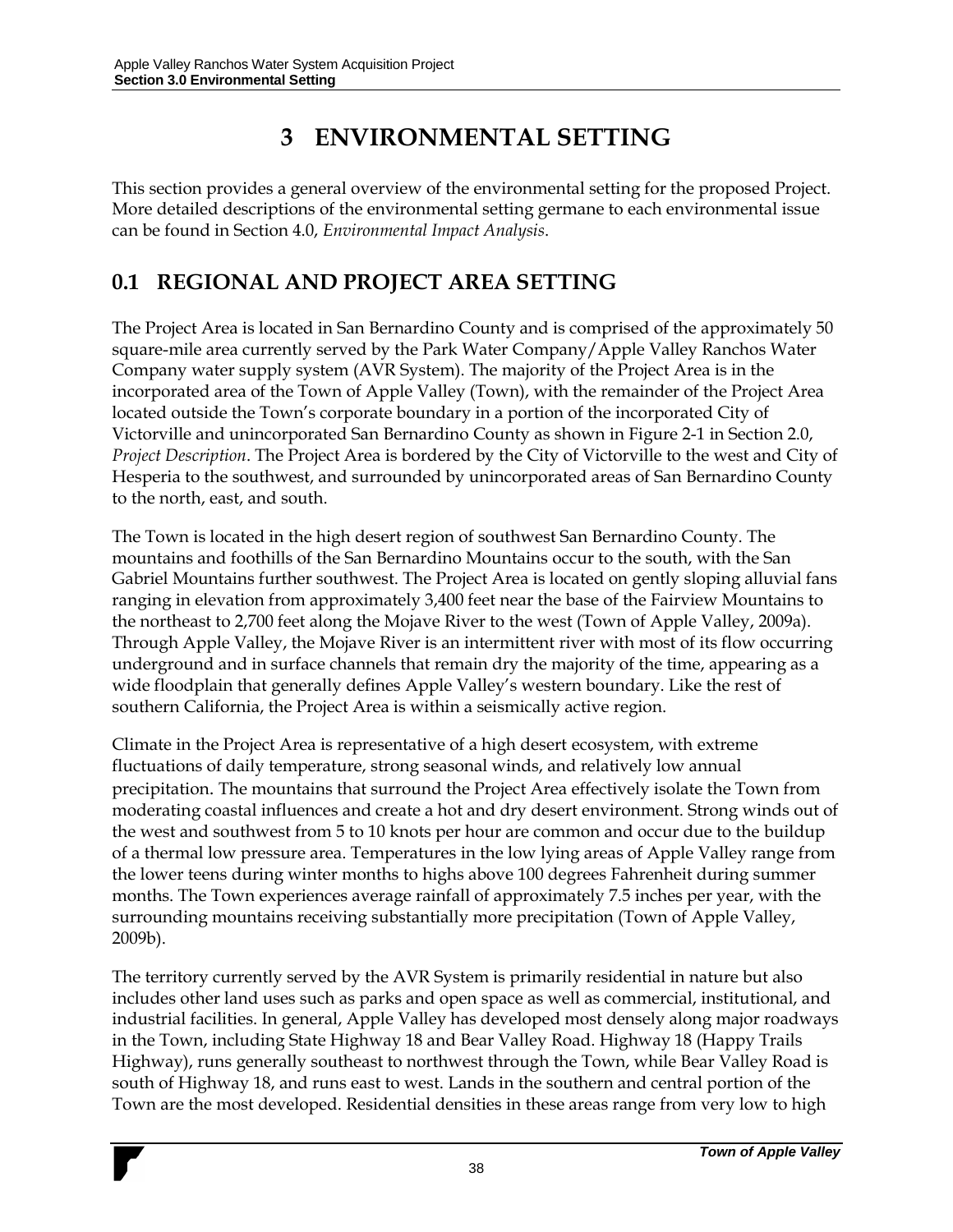# **3 ENVIRONMENTAL SETTING**

This section provides a general overview of the environmental setting for the proposed Project. More detailed descriptions of the environmental setting germane to each environmental issue can be found in Section 4.0, *Environmental Impact Analysis*.

## **0.1 REGIONAL AND PROJECT AREA SETTING**

The Project Area is located in San Bernardino County and is comprised of the approximately 50 square-mile area currently served by the Park Water Company/Apple Valley Ranchos Water Company water supply system (AVR System). The majority of the Project Area is in the incorporated area of the Town of Apple Valley (Town), with the remainder of the Project Area located outside the Town's corporate boundary in a portion of the incorporated City of Victorville and unincorporated San Bernardino County as shown in Figure 2-1 in Section 2.0, *Project Description*. The Project Area is bordered by the City of Victorville to the west and City of Hesperia to the southwest, and surrounded by unincorporated areas of San Bernardino County to the north, east, and south.

The Town is located in the high desert region of southwest San Bernardino County. The mountains and foothills of the San Bernardino Mountains occur to the south, with the San Gabriel Mountains further southwest. The Project Area is located on gently sloping alluvial fans ranging in elevation from approximately 3,400 feet near the base of the Fairview Mountains to the northeast to 2,700 feet along the Mojave River to the west (Town of Apple Valley, 2009a). Through Apple Valley, the Mojave River is an intermittent river with most of its flow occurring underground and in surface channels that remain dry the majority of the time, appearing as a wide floodplain that generally defines Apple Valley's western boundary. Like the rest of southern California, the Project Area is within a seismically active region.

Climate in the Project Area is representative of a high desert ecosystem, with extreme fluctuations of daily temperature, strong seasonal winds, and relatively low annual precipitation. The mountains that surround the Project Area effectively isolate the Town from moderating coastal influences and create a hot and dry desert environment. Strong winds out of the west and southwest from 5 to 10 knots per hour are common and occur due to the buildup of a thermal low pressure area. Temperatures in the low lying areas of Apple Valley range from the lower teens during winter months to highs above 100 degrees Fahrenheit during summer months. The Town experiences average rainfall of approximately 7.5 inches per year, with the surrounding mountains receiving substantially more precipitation (Town of Apple Valley, 2009b).

The territory currently served by the AVR System is primarily residential in nature but also includes other land uses such as parks and open space as well as commercial, institutional, and industrial facilities. In general, Apple Valley has developed most densely along major roadways in the Town, including State Highway 18 and Bear Valley Road. Highway 18 (Happy Trails Highway), runs generally southeast to northwest through the Town, while Bear Valley Road is south of Highway 18, and runs east to west. Lands in the southern and central portion of the Town are the most developed. Residential densities in these areas range from very low to high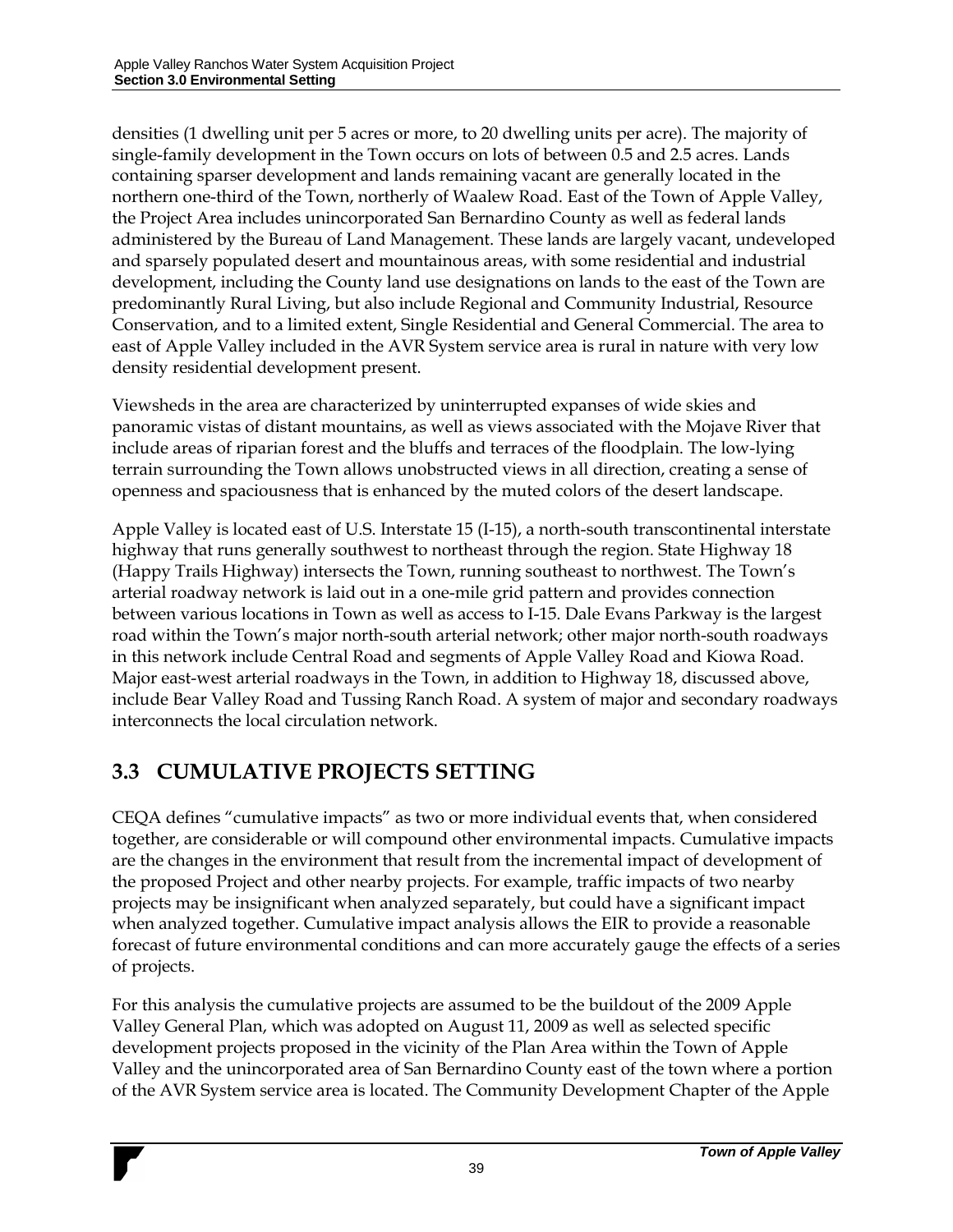densities (1 dwelling unit per 5 acres or more, to 20 dwelling units per acre). The majority of single-family development in the Town occurs on lots of between 0.5 and 2.5 acres. Lands containing sparser development and lands remaining vacant are generally located in the northern one-third of the Town, northerly of Waalew Road. East of the Town of Apple Valley, the Project Area includes unincorporated San Bernardino County as well as federal lands administered by the Bureau of Land Management. These lands are largely vacant, undeveloped and sparsely populated desert and mountainous areas, with some residential and industrial development, including the County land use designations on lands to the east of the Town are predominantly Rural Living, but also include Regional and Community Industrial, Resource Conservation, and to a limited extent, Single Residential and General Commercial. The area to east of Apple Valley included in the AVR System service area is rural in nature with very low density residential development present.

Viewsheds in the area are characterized by uninterrupted expanses of wide skies and panoramic vistas of distant mountains, as well as views associated with the Mojave River that include areas of riparian forest and the bluffs and terraces of the floodplain. The low-lying terrain surrounding the Town allows unobstructed views in all direction, creating a sense of openness and spaciousness that is enhanced by the muted colors of the desert landscape.

Apple Valley is located east of U.S. Interstate 15 (I-15), a north-south transcontinental interstate highway that runs generally southwest to northeast through the region. State Highway 18 (Happy Trails Highway) intersects the Town, running southeast to northwest. The Town's arterial roadway network is laid out in a one-mile grid pattern and provides connection between various locations in Town as well as access to I-15. Dale Evans Parkway is the largest road within the Town's major north-south arterial network; other major north-south roadways in this network include Central Road and segments of Apple Valley Road and Kiowa Road. Major east-west arterial roadways in the Town, in addition to Highway 18, discussed above, include Bear Valley Road and Tussing Ranch Road. A system of major and secondary roadways interconnects the local circulation network.

## **3.3 CUMULATIVE PROJECTS SETTING**

CEQA defines "cumulative impacts" as two or more individual events that, when considered together, are considerable or will compound other environmental impacts. Cumulative impacts are the changes in the environment that result from the incremental impact of development of the proposed Project and other nearby projects. For example, traffic impacts of two nearby projects may be insignificant when analyzed separately, but could have a significant impact when analyzed together. Cumulative impact analysis allows the EIR to provide a reasonable forecast of future environmental conditions and can more accurately gauge the effects of a series of projects.

For this analysis the cumulative projects are assumed to be the buildout of the 2009 Apple Valley General Plan, which was adopted on August 11, 2009 as well as selected specific development projects proposed in the vicinity of the Plan Area within the Town of Apple Valley and the unincorporated area of San Bernardino County east of the town where a portion of the AVR System service area is located. The Community Development Chapter of the Apple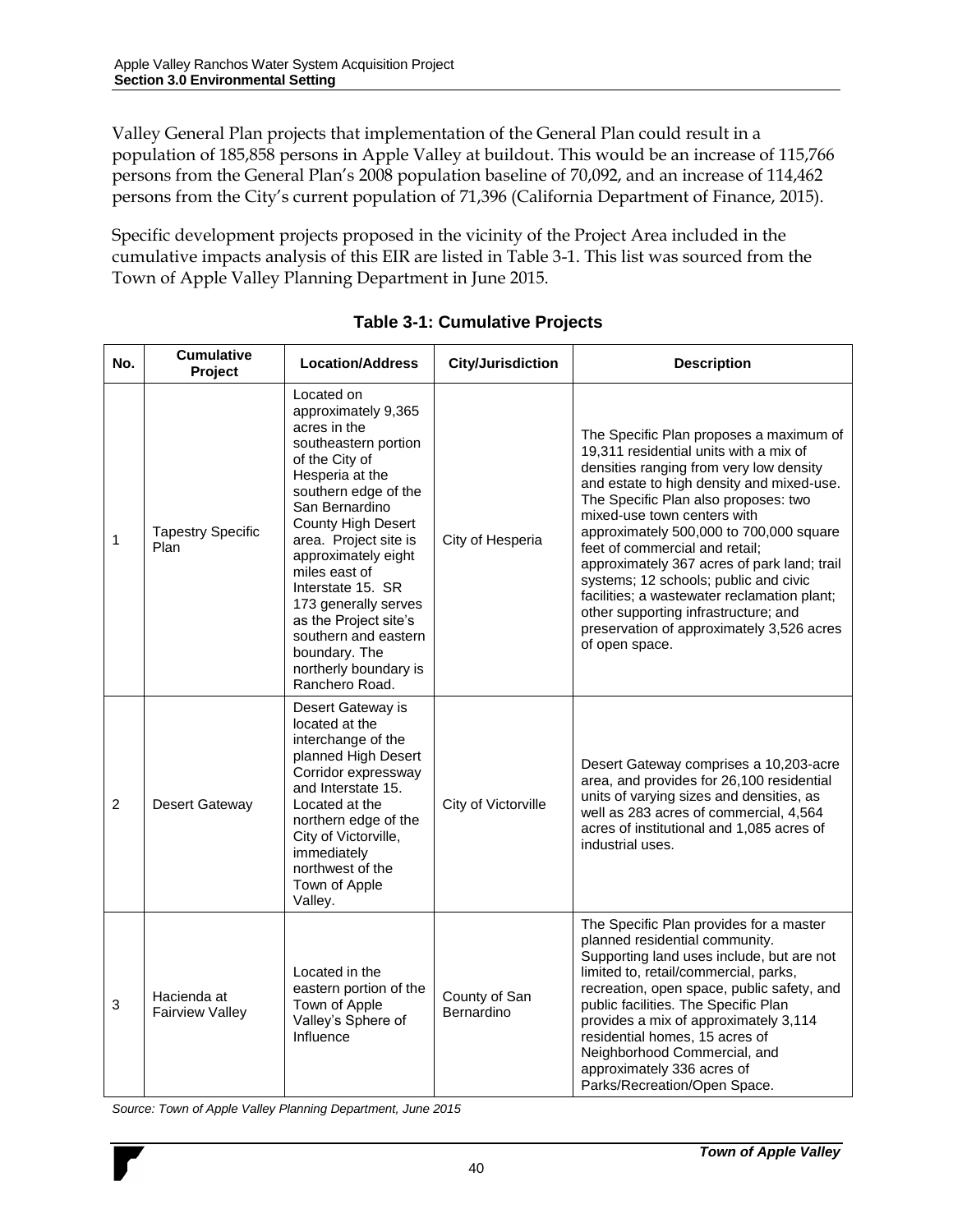Valley General Plan projects that implementation of the General Plan could result in a population of 185,858 persons in Apple Valley at buildout. This would be an increase of 115,766 persons from the General Plan's 2008 population baseline of 70,092, and an increase of 114,462 persons from the City's current population of 71,396 (California Department of Finance, 2015).

Specific development projects proposed in the vicinity of the Project Area included in the cumulative impacts analysis of this EIR are listed in Table 3-1. This list was sourced from the Town of Apple Valley Planning Department in June 2015.

| No.            | <b>Cumulative</b><br>Project          | <b>Location/Address</b>                                                                                                                                                                                                                                                                                                                                                                                          | <b>City/Jurisdiction</b>    | <b>Description</b>                                                                                                                                                                                                                                                                                                                                                                                                                                                                                                                                                          |
|----------------|---------------------------------------|------------------------------------------------------------------------------------------------------------------------------------------------------------------------------------------------------------------------------------------------------------------------------------------------------------------------------------------------------------------------------------------------------------------|-----------------------------|-----------------------------------------------------------------------------------------------------------------------------------------------------------------------------------------------------------------------------------------------------------------------------------------------------------------------------------------------------------------------------------------------------------------------------------------------------------------------------------------------------------------------------------------------------------------------------|
| 1              | <b>Tapestry Specific</b><br>Plan      | Located on<br>approximately 9,365<br>acres in the<br>southeastern portion<br>of the City of<br>Hesperia at the<br>southern edge of the<br>San Bernardino<br><b>County High Desert</b><br>area. Project site is<br>approximately eight<br>miles east of<br>Interstate 15. SR<br>173 generally serves<br>as the Project site's<br>southern and eastern<br>boundary. The<br>northerly boundary is<br>Ranchero Road. | City of Hesperia            | The Specific Plan proposes a maximum of<br>19,311 residential units with a mix of<br>densities ranging from very low density<br>and estate to high density and mixed-use.<br>The Specific Plan also proposes: two<br>mixed-use town centers with<br>approximately 500,000 to 700,000 square<br>feet of commercial and retail;<br>approximately 367 acres of park land; trail<br>systems; 12 schools; public and civic<br>facilities; a wastewater reclamation plant;<br>other supporting infrastructure; and<br>preservation of approximately 3,526 acres<br>of open space. |
| $\overline{2}$ | <b>Desert Gateway</b>                 | Desert Gateway is<br>located at the<br>interchange of the<br>planned High Desert<br>Corridor expressway<br>and Interstate 15.<br>Located at the<br>northern edge of the<br>City of Victorville,<br>immediately<br>northwest of the<br>Town of Apple<br>Valley.                                                                                                                                                   | City of Victorville         | Desert Gateway comprises a 10,203-acre<br>area, and provides for 26,100 residential<br>units of varying sizes and densities, as<br>well as 283 acres of commercial, 4,564<br>acres of institutional and 1,085 acres of<br>industrial uses.                                                                                                                                                                                                                                                                                                                                  |
| 3              | Hacienda at<br><b>Fairview Valley</b> | Located in the<br>eastern portion of the<br>Town of Apple<br>Valley's Sphere of<br>Influence                                                                                                                                                                                                                                                                                                                     | County of San<br>Bernardino | The Specific Plan provides for a master<br>planned residential community.<br>Supporting land uses include, but are not<br>limited to, retail/commercial, parks,<br>recreation, open space, public safety, and<br>public facilities. The Specific Plan<br>provides a mix of approximately 3,114<br>residential homes, 15 acres of<br>Neighborhood Commercial, and<br>approximately 336 acres of<br>Parks/Recreation/Open Space.                                                                                                                                              |

#### **Table 3-1: Cumulative Projects**

*Source: Town of Apple Valley Planning Department, June 2015*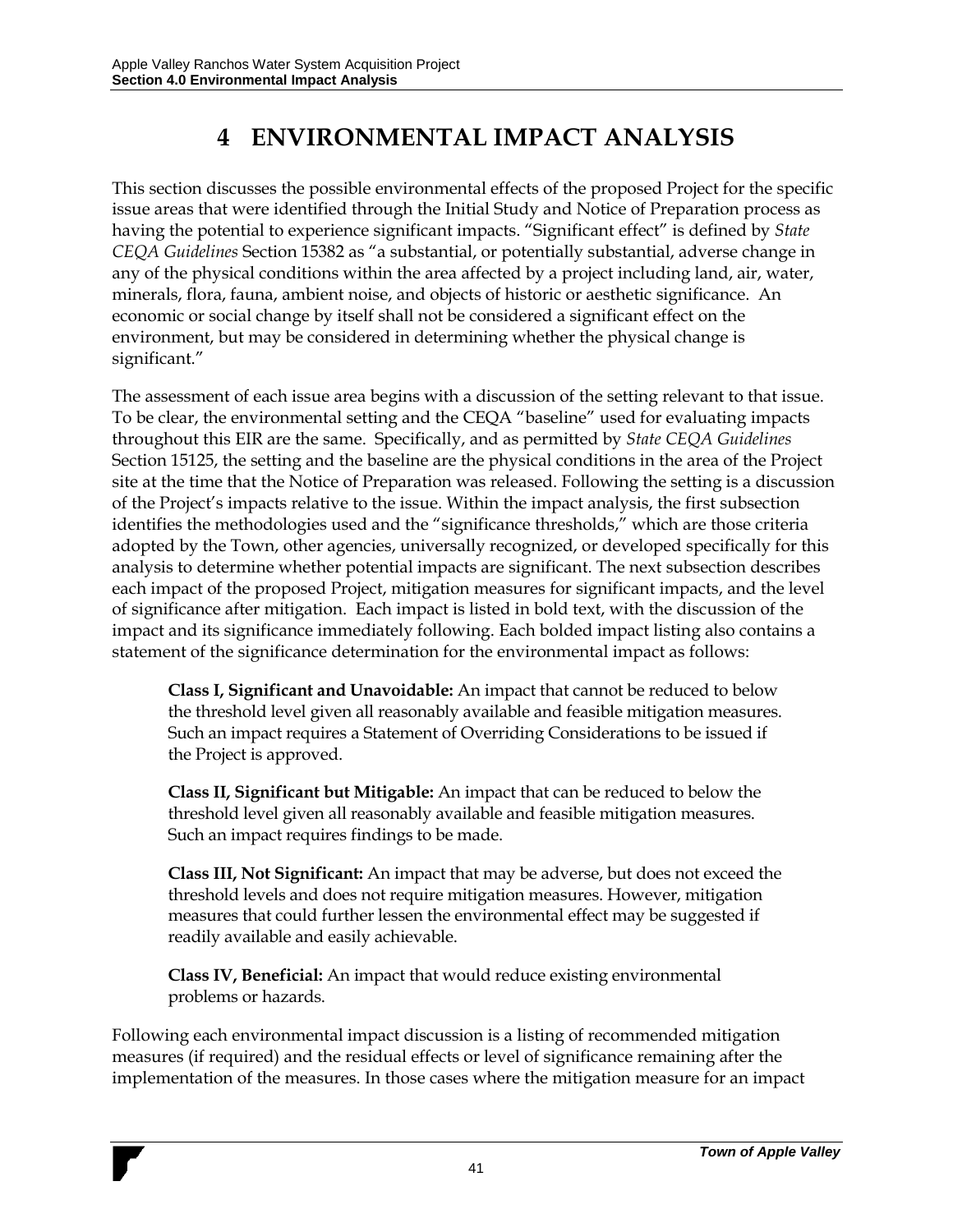# **4 ENVIRONMENTAL IMPACT ANALYSIS**

This section discusses the possible environmental effects of the proposed Project for the specific issue areas that were identified through the Initial Study and Notice of Preparation process as having the potential to experience significant impacts. "Significant effect" is defined by *State CEQA Guidelines* Section 15382 as "a substantial, or potentially substantial, adverse change in any of the physical conditions within the area affected by a project including land, air, water, minerals, flora, fauna, ambient noise, and objects of historic or aesthetic significance. An economic or social change by itself shall not be considered a significant effect on the environment, but may be considered in determining whether the physical change is significant."

The assessment of each issue area begins with a discussion of the setting relevant to that issue. To be clear, the environmental setting and the CEQA "baseline" used for evaluating impacts throughout this EIR are the same. Specifically, and as permitted by *State CEQA Guidelines* Section 15125, the setting and the baseline are the physical conditions in the area of the Project site at the time that the Notice of Preparation was released. Following the setting is a discussion of the Project's impacts relative to the issue. Within the impact analysis, the first subsection identifies the methodologies used and the "significance thresholds," which are those criteria adopted by the Town, other agencies, universally recognized, or developed specifically for this analysis to determine whether potential impacts are significant. The next subsection describes each impact of the proposed Project, mitigation measures for significant impacts, and the level of significance after mitigation. Each impact is listed in bold text, with the discussion of the impact and its significance immediately following. Each bolded impact listing also contains a statement of the significance determination for the environmental impact as follows:

**Class I, Significant and Unavoidable:** An impact that cannot be reduced to below the threshold level given all reasonably available and feasible mitigation measures. Such an impact requires a Statement of Overriding Considerations to be issued if the Project is approved.

**Class II, Significant but Mitigable:** An impact that can be reduced to below the threshold level given all reasonably available and feasible mitigation measures. Such an impact requires findings to be made.

**Class III, Not Significant:** An impact that may be adverse, but does not exceed the threshold levels and does not require mitigation measures. However, mitigation measures that could further lessen the environmental effect may be suggested if readily available and easily achievable.

**Class IV, Beneficial:** An impact that would reduce existing environmental problems or hazards.

Following each environmental impact discussion is a listing of recommended mitigation measures (if required) and the residual effects or level of significance remaining after the implementation of the measures. In those cases where the mitigation measure for an impact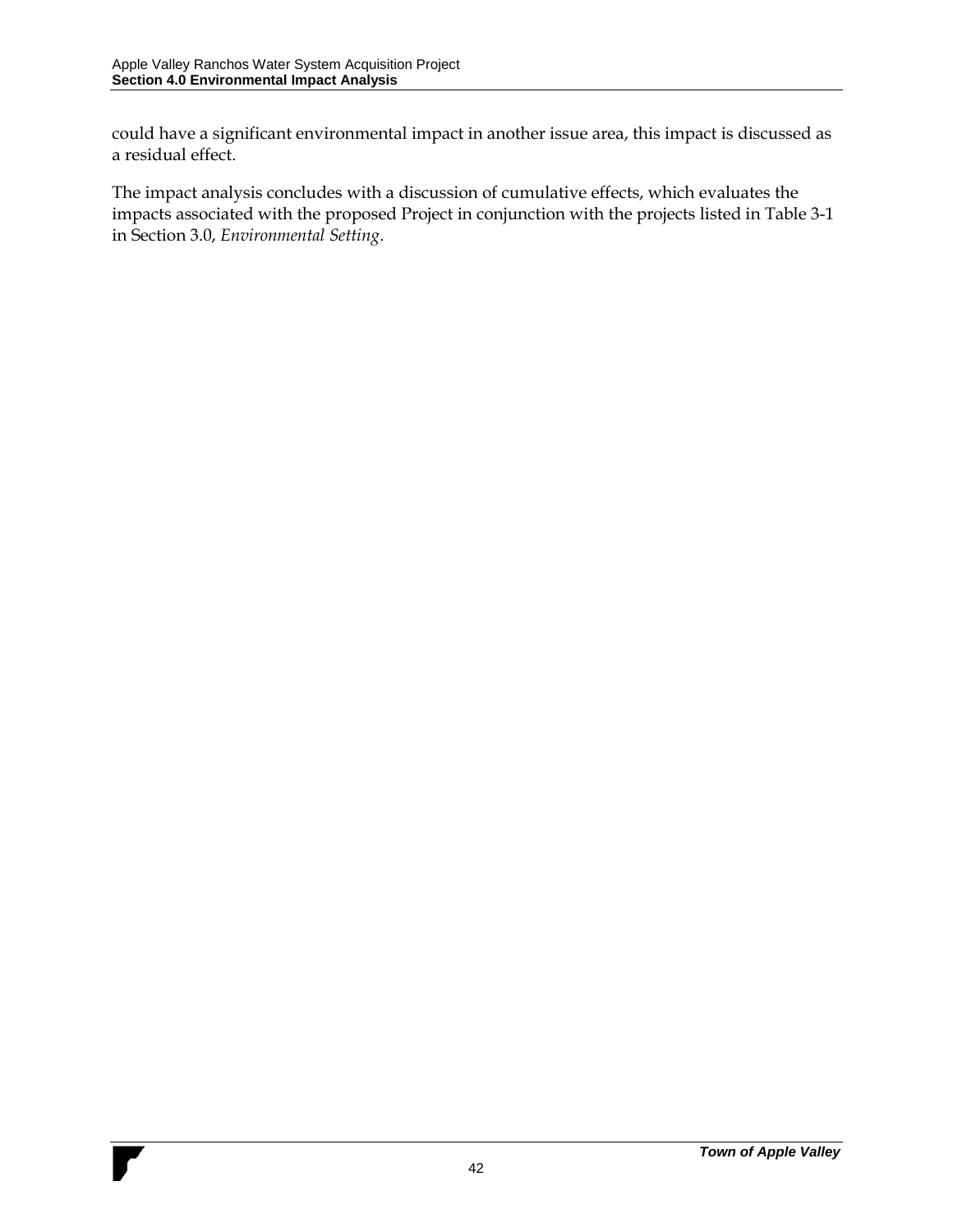could have a significant environmental impact in another issue area, this impact is discussed as a residual effect.

The impact analysis concludes with a discussion of cumulative effects, which evaluates the impacts associated with the proposed Project in conjunction with the projects listed in Table 3-1 in Section 3.0, *Environmental Setting*.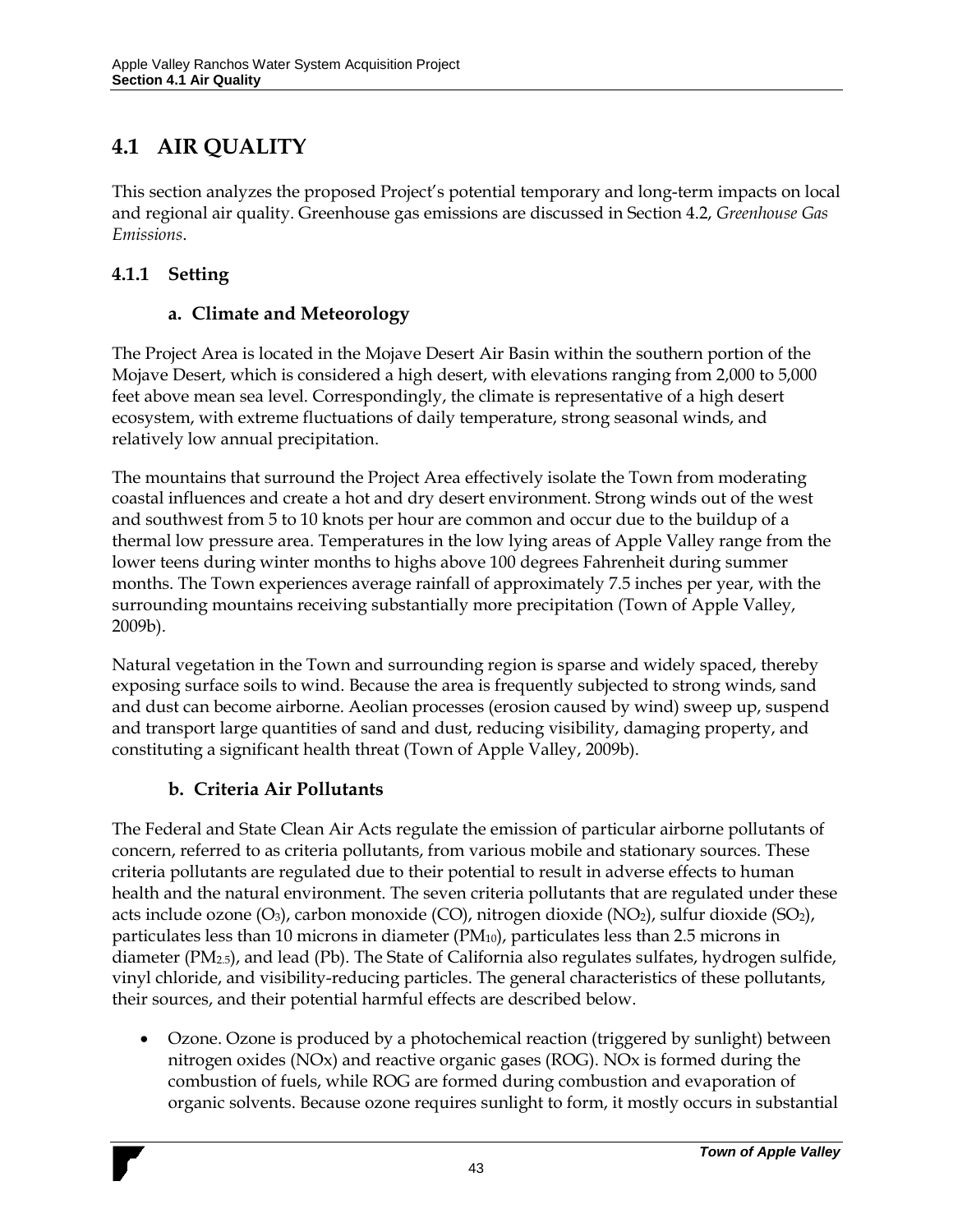## **4.1 AIR QUALITY**

This section analyzes the proposed Project's potential temporary and long-term impacts on local and regional air quality. Greenhouse gas emissions are discussed in Section 4.2, *Greenhouse Gas Emissions*.

## **4.1.1 Setting**

### **a. Climate and Meteorology**

The Project Area is located in the Mojave Desert Air Basin within the southern portion of the Mojave Desert, which is considered a high desert, with elevations ranging from 2,000 to 5,000 feet above mean sea level. Correspondingly, the climate is representative of a high desert ecosystem, with extreme fluctuations of daily temperature, strong seasonal winds, and relatively low annual precipitation.

The mountains that surround the Project Area effectively isolate the Town from moderating coastal influences and create a hot and dry desert environment. Strong winds out of the west and southwest from 5 to 10 knots per hour are common and occur due to the buildup of a thermal low pressure area. Temperatures in the low lying areas of Apple Valley range from the lower teens during winter months to highs above 100 degrees Fahrenheit during summer months. The Town experiences average rainfall of approximately 7.5 inches per year, with the surrounding mountains receiving substantially more precipitation (Town of Apple Valley, 2009b).

Natural vegetation in the Town and surrounding region is sparse and widely spaced, thereby exposing surface soils to wind. Because the area is frequently subjected to strong winds, sand and dust can become airborne. Aeolian processes (erosion caused by wind) sweep up, suspend and transport large quantities of sand and dust, reducing visibility, damaging property, and constituting a significant health threat (Town of Apple Valley, 2009b).

### **b. Criteria Air Pollutants**

The Federal and State Clean Air Acts regulate the emission of particular airborne pollutants of concern, referred to as criteria pollutants, from various mobile and stationary sources. These criteria pollutants are regulated due to their potential to result in adverse effects to human health and the natural environment. The seven criteria pollutants that are regulated under these acts include ozone  $(O_3)$ , carbon monoxide  $(CO)$ , nitrogen dioxide  $(NO_2)$ , sulfur dioxide  $(SO_2)$ , particulates less than 10 microns in diameter (PM<sub>10</sub>), particulates less than 2.5 microns in diameter  $(PM_{2.5})$ , and lead  $(Pb)$ . The State of California also regulates sulfates, hydrogen sulfide, vinyl chloride, and visibility-reducing particles. The general characteristics of these pollutants, their sources, and their potential harmful effects are described below.

 Ozone. Ozone is produced by a photochemical reaction (triggered by sunlight) between nitrogen oxides (NOx) and reactive organic gases (ROG). NOx is formed during the combustion of fuels, while ROG are formed during combustion and evaporation of organic solvents. Because ozone requires sunlight to form, it mostly occurs in substantial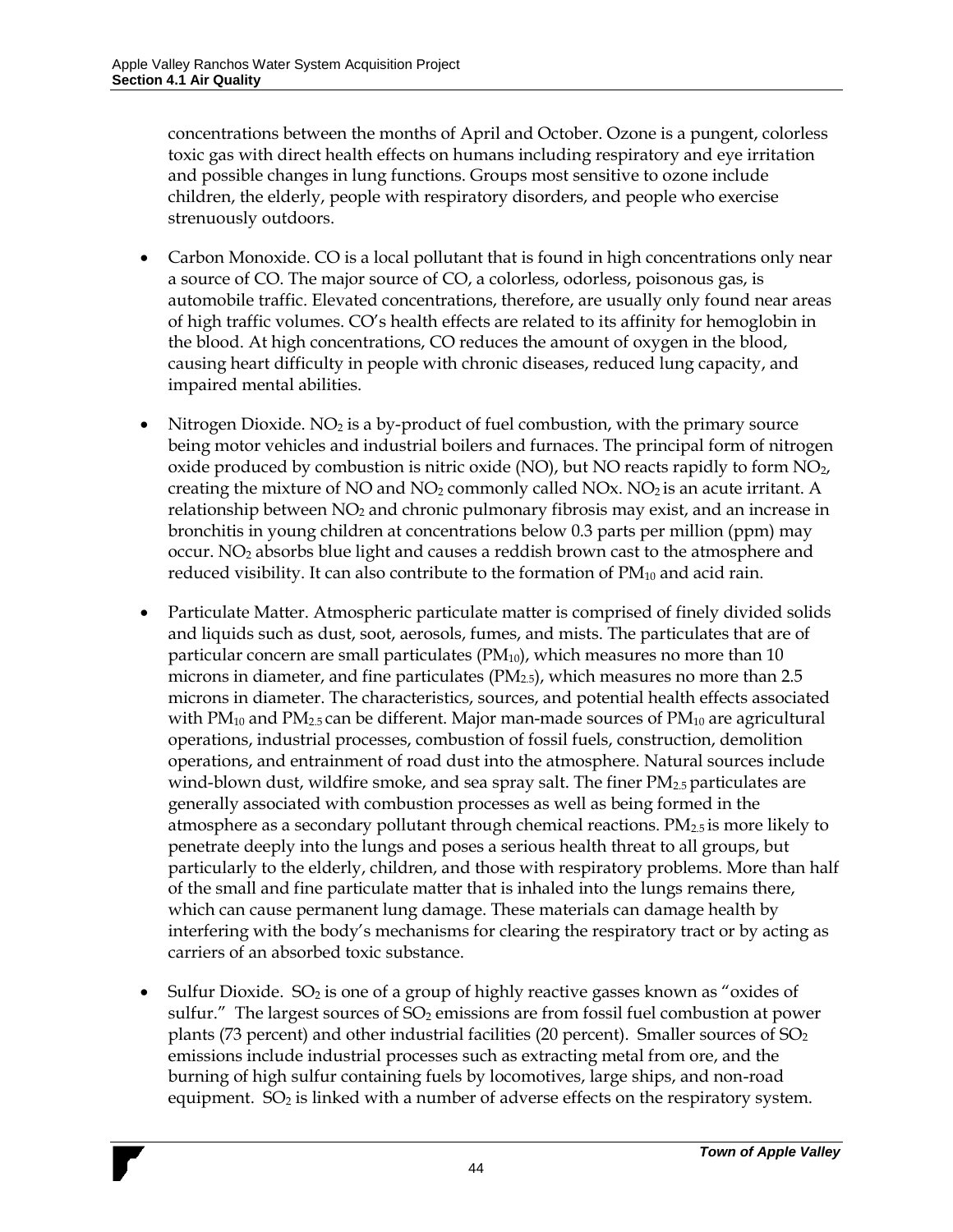concentrations between the months of April and October. Ozone is a pungent, colorless toxic gas with direct health effects on humans including respiratory and eye irritation and possible changes in lung functions. Groups most sensitive to ozone include children, the elderly, people with respiratory disorders, and people who exercise strenuously outdoors.

- Carbon Monoxide. CO is a local pollutant that is found in high concentrations only near a source of CO. The major source of CO, a colorless, odorless, poisonous gas, is automobile traffic. Elevated concentrations, therefore, are usually only found near areas of high traffic volumes. CO's health effects are related to its affinity for hemoglobin in the blood. At high concentrations, CO reduces the amount of oxygen in the blood, causing heart difficulty in people with chronic diseases, reduced lung capacity, and impaired mental abilities.
- Nitrogen Dioxide.  $NO<sub>2</sub>$  is a by-product of fuel combustion, with the primary source being motor vehicles and industrial boilers and furnaces. The principal form of nitrogen oxide produced by combustion is nitric oxide (NO), but NO reacts rapidly to form  $NO<sub>2</sub>$ , creating the mixture of NO and  $NO<sub>2</sub>$  commonly called NOx.  $NO<sub>2</sub>$  is an acute irritant. A relationship between  $NO<sub>2</sub>$  and chronic pulmonary fibrosis may exist, and an increase in bronchitis in young children at concentrations below 0.3 parts per million (ppm) may occur. NO<sup>2</sup> absorbs blue light and causes a reddish brown cast to the atmosphere and reduced visibility. It can also contribute to the formation of  $PM_{10}$  and acid rain.
- Particulate Matter. Atmospheric particulate matter is comprised of finely divided solids and liquids such as dust, soot, aerosols, fumes, and mists. The particulates that are of particular concern are small particulates  $(PM_{10})$ , which measures no more than 10 microns in diameter, and fine particulates  $(PM_{2.5})$ , which measures no more than 2.5 microns in diameter. The characteristics, sources, and potential health effects associated with  $PM_{10}$  and  $PM_{2.5}$  can be different. Major man-made sources of  $PM_{10}$  are agricultural operations, industrial processes, combustion of fossil fuels, construction, demolition operations, and entrainment of road dust into the atmosphere. Natural sources include wind-blown dust, wildfire smoke, and sea spray salt. The finer  $PM_{2.5}$  particulates are generally associated with combustion processes as well as being formed in the atmosphere as a secondary pollutant through chemical reactions.  $PM_{2.5}$  is more likely to penetrate deeply into the lungs and poses a serious health threat to all groups, but particularly to the elderly, children, and those with respiratory problems. More than half of the small and fine particulate matter that is inhaled into the lungs remains there, which can cause permanent lung damage. These materials can damage health by interfering with the body's mechanisms for clearing the respiratory tract or by acting as carriers of an absorbed toxic substance.
- Sulfur Dioxide.  $SO_2$  is one of a group of highly reactive gasses known as "oxides of sulfur." The largest sources of  $SO_2$  emissions are from fossil fuel combustion at power plants (73 percent) and other industrial facilities (20 percent). Smaller sources of  $SO<sub>2</sub>$ emissions include industrial processes such as extracting metal from ore, and the burning of high sulfur containing fuels by locomotives, large ships, and non-road equipment.  $SO_2$  is linked with a number of adverse effects on the respiratory system.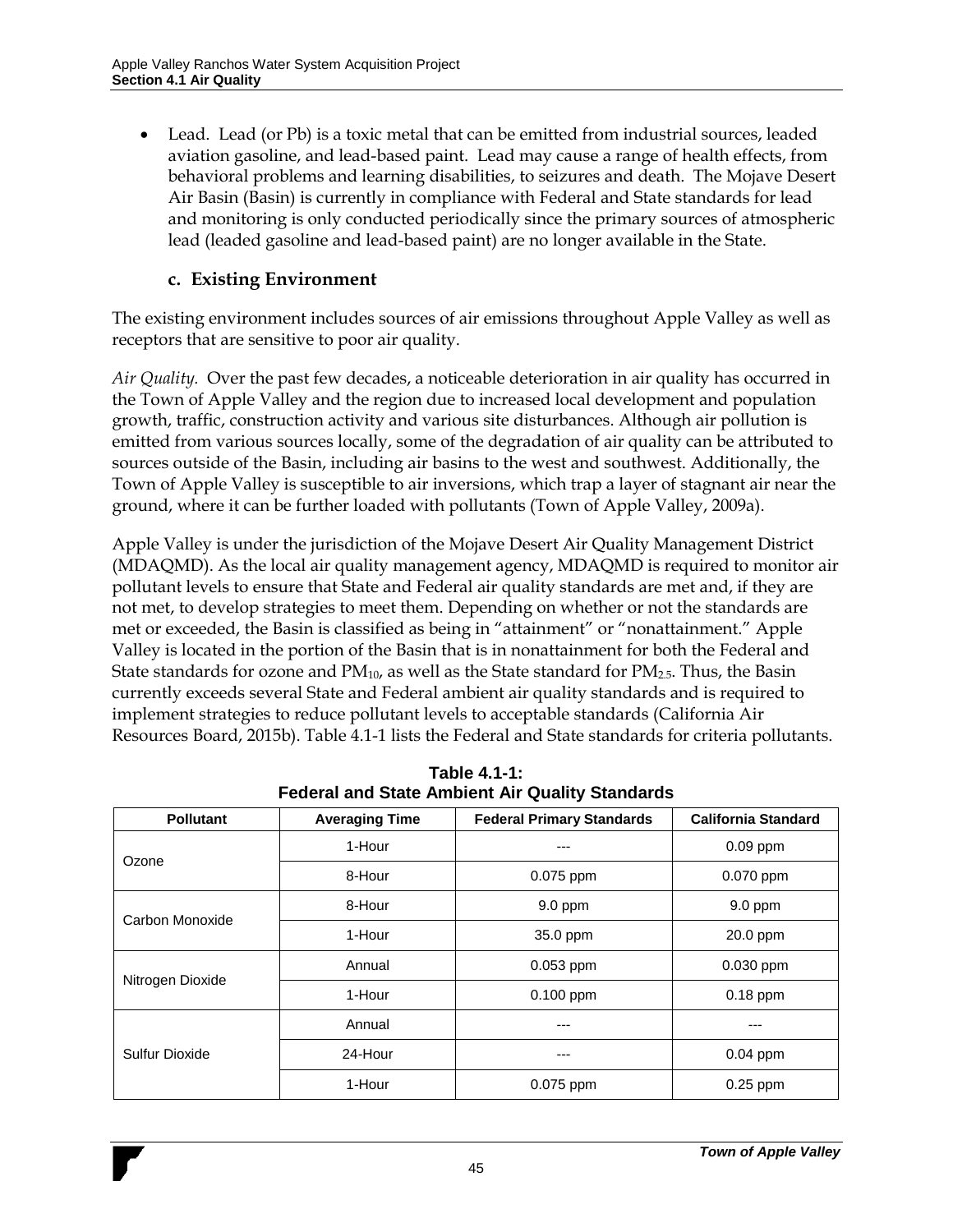Lead. Lead (or Pb) is a toxic metal that can be emitted from industrial sources, leaded aviation gasoline, and lead-based paint. Lead may cause a range of health effects, from behavioral problems and learning disabilities, to seizures and death. The Mojave Desert Air Basin (Basin) is currently in compliance with Federal and State standards for lead and monitoring is only conducted periodically since the primary sources of atmospheric lead (leaded gasoline and lead-based paint) are no longer available in the State.

#### **c. Existing Environment**

The existing environment includes sources of air emissions throughout Apple Valley as well as receptors that are sensitive to poor air quality.

*Air Quality.* Over the past few decades, a noticeable deterioration in air quality has occurred in the Town of Apple Valley and the region due to increased local development and population growth, traffic, construction activity and various site disturbances. Although air pollution is emitted from various sources locally, some of the degradation of air quality can be attributed to sources outside of the Basin, including air basins to the west and southwest. Additionally, the Town of Apple Valley is susceptible to air inversions, which trap a layer of stagnant air near the ground, where it can be further loaded with pollutants (Town of Apple Valley, 2009a).

Apple Valley is under the jurisdiction of the Mojave Desert Air Quality Management District (MDAQMD). As the local air quality management agency, MDAQMD is required to monitor air pollutant levels to ensure that State and Federal air quality standards are met and, if they are not met, to develop strategies to meet them. Depending on whether or not the standards are met or exceeded, the Basin is classified as being in "attainment" or "nonattainment." Apple Valley is located in the portion of the Basin that is in nonattainment for both the Federal and State standards for ozone and  $PM_{10}$ , as well as the State standard for  $PM_{2.5}$ . Thus, the Basin currently exceeds several State and Federal ambient air quality standards and is required to implement strategies to reduce pollutant levels to acceptable standards (California Air Resources Board, 2015b). [Table 4.1-1](#page-7-0) lists the Federal and State standards for criteria pollutants.

<span id="page-7-0"></span>

| <b>Pollutant</b>      | <b>Averaging Time</b> | <b>Federal Primary Standards</b> | <b>California Standard</b> |
|-----------------------|-----------------------|----------------------------------|----------------------------|
|                       | 1-Hour                | ---                              | $0.09$ ppm                 |
| Ozone                 | 8-Hour                | 0.075 ppm                        | 0.070 ppm                  |
| Carbon Monoxide       | 8-Hour                | $9.0$ ppm                        | $9.0$ ppm                  |
|                       | 1-Hour                | 35.0 ppm                         | 20.0 ppm                   |
|                       | Annual                | 0.053 ppm                        | 0.030 ppm                  |
| Nitrogen Dioxide      | 1-Hour                | $0.100$ ppm                      | $0.18$ ppm                 |
|                       | Annual                | ---                              |                            |
| <b>Sulfur Dioxide</b> | 24-Hour               | ---                              | $0.04$ ppm                 |
|                       | 1-Hour                | $0.075$ ppm                      | 0.25 ppm                   |

**Table 4.1-1: Federal and State Ambient Air Quality Standards**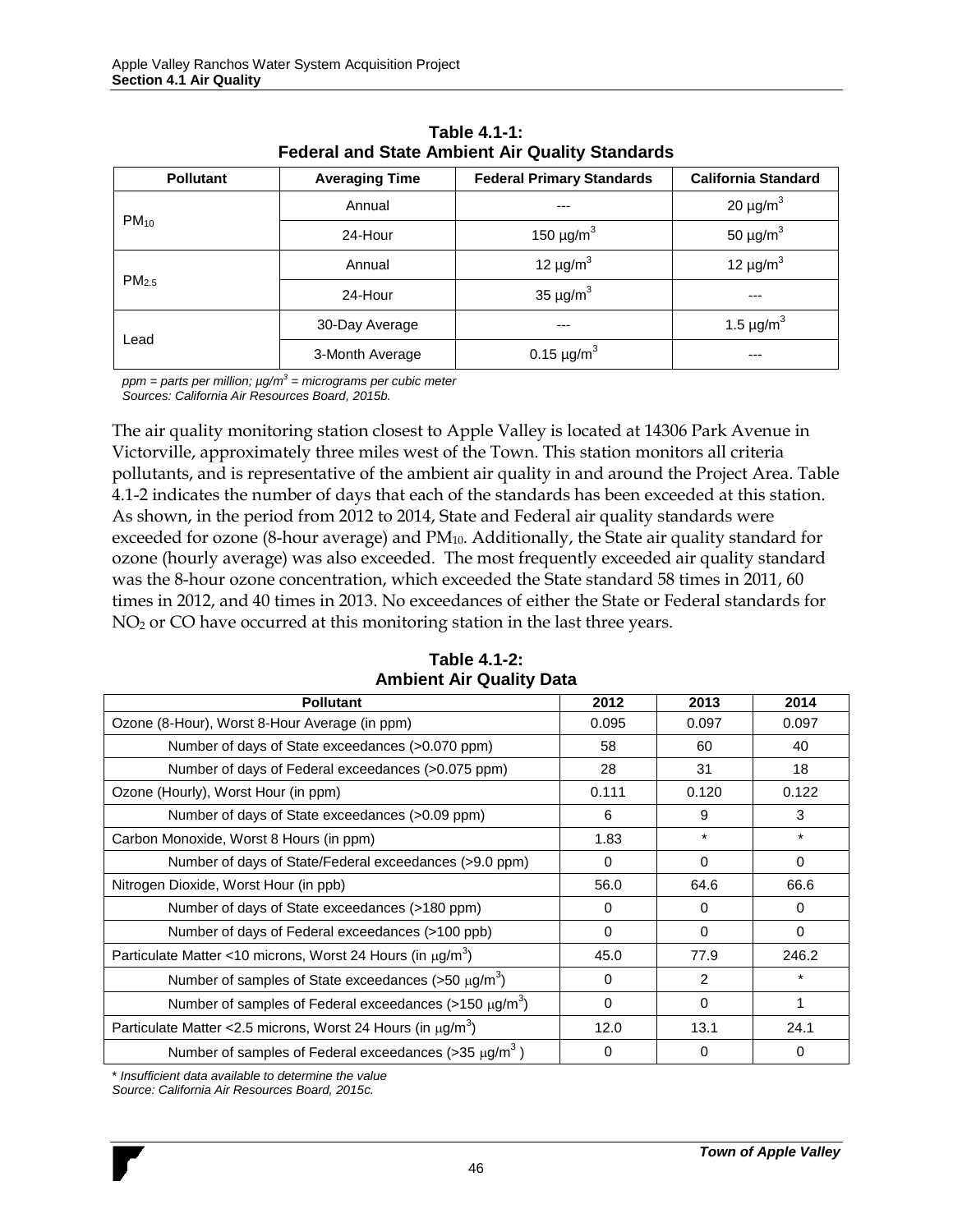| <b>Pollutant</b>  | <b>Averaging Time</b> | <b>Federal Primary Standards</b> |                            |
|-------------------|-----------------------|----------------------------------|----------------------------|
|                   | Annual                | ---                              | 20 $\mu$ g/m <sup>3</sup>  |
| $PM_{10}$         | 24-Hour               | 150 $\mu$ g/m <sup>3</sup>       | 50 $\mu$ g/m <sup>3</sup>  |
|                   | Annual                | 12 $\mu$ g/m <sup>3</sup>        | 12 $\mu$ g/m <sup>3</sup>  |
| PM <sub>2.5</sub> | 24-Hour               | 35 $\mu$ g/m <sup>3</sup>        | ---                        |
|                   | 30-Day Average        | ---                              | 1.5 $\mu$ g/m <sup>3</sup> |
| Lead              | 3-Month Average       | 0.15 $\mu$ g/m <sup>3</sup>      | ---                        |

| Table 4.1-1:                                    |  |
|-------------------------------------------------|--|
| Federal and State Ambient Air Quality Standards |  |

*ppm = parts per million; µg/m<sup>3</sup> = micrograms per cubic meter Sources: California Air Resources Board, 2015b.*

The air quality monitoring station closest to Apple Valley is located at 14306 Park Avenue in Victorville, approximately three miles west of the Town. This station monitors all criteria pollutants, and is representative of the ambient air quality in and around the Project Area. [Table](#page-8-0)  [4.1-2](#page-8-0) indicates the number of days that each of the standards has been exceeded at this station. As shown, in the period from 2012 to 2014, State and Federal air quality standards were exceeded for ozone (8-hour average) and PM<sub>10</sub>. Additionally, the State air quality standard for ozone (hourly average) was also exceeded. The most frequently exceeded air quality standard was the 8-hour ozone concentration, which exceeded the State standard 58 times in 2011, 60 times in 2012, and 40 times in 2013. No exceedances of either the State or Federal standards for NO<sub>2</sub> or CO have occurred at this monitoring station in the last three years.

<span id="page-8-0"></span>

| <b>Pollutant</b>                                                              | 2012     | 2013     | 2014     |
|-------------------------------------------------------------------------------|----------|----------|----------|
| Ozone (8-Hour), Worst 8-Hour Average (in ppm)                                 | 0.095    | 0.097    | 0.097    |
| Number of days of State exceedances (>0.070 ppm)                              | 58       | 60       | 40       |
| Number of days of Federal exceedances (>0.075 ppm)                            | 28       | 31       | 18       |
| Ozone (Hourly), Worst Hour (in ppm)                                           | 0.111    | 0.120    | 0.122    |
| Number of days of State exceedances (>0.09 ppm)                               | 6        | 9        | 3        |
| Carbon Monoxide, Worst 8 Hours (in ppm)                                       | 1.83     | $\star$  | $\star$  |
| Number of days of State/Federal exceedances (>9.0 ppm)                        | $\Omega$ | $\Omega$ | $\Omega$ |
| Nitrogen Dioxide, Worst Hour (in ppb)                                         | 56.0     | 64.6     | 66.6     |
| Number of days of State exceedances (>180 ppm)                                | 0        | 0        | $\Omega$ |
| Number of days of Federal exceedances (>100 ppb)                              | $\Omega$ | $\Omega$ | $\Omega$ |
| Particulate Matter <10 microns, Worst 24 Hours (in $\mu$ g/m <sup>3</sup> )   | 45.0     | 77.9     | 246.2    |
| Number of samples of State exceedances ( $>50 \mu g/m^3$ )                    | 0        | 2        | $\star$  |
| Number of samples of Federal exceedances ( $>150 \mu g/m^3$ )                 | $\Omega$ | $\Omega$ | 1        |
| Particulate Matter < 2.5 microns, Worst 24 Hours (in $\mu$ g/m <sup>3</sup> ) | 12.0     | 13.1     | 24.1     |
| Number of samples of Federal exceedances (>35 $\mu$ g/m <sup>3</sup> )        | $\Omega$ | 0        | 0        |

**Table 4.1-2: Ambient Air Quality Data**

\* *Insufficient data available to determine the value*

*Source: California Air Resources Board, 2015c.*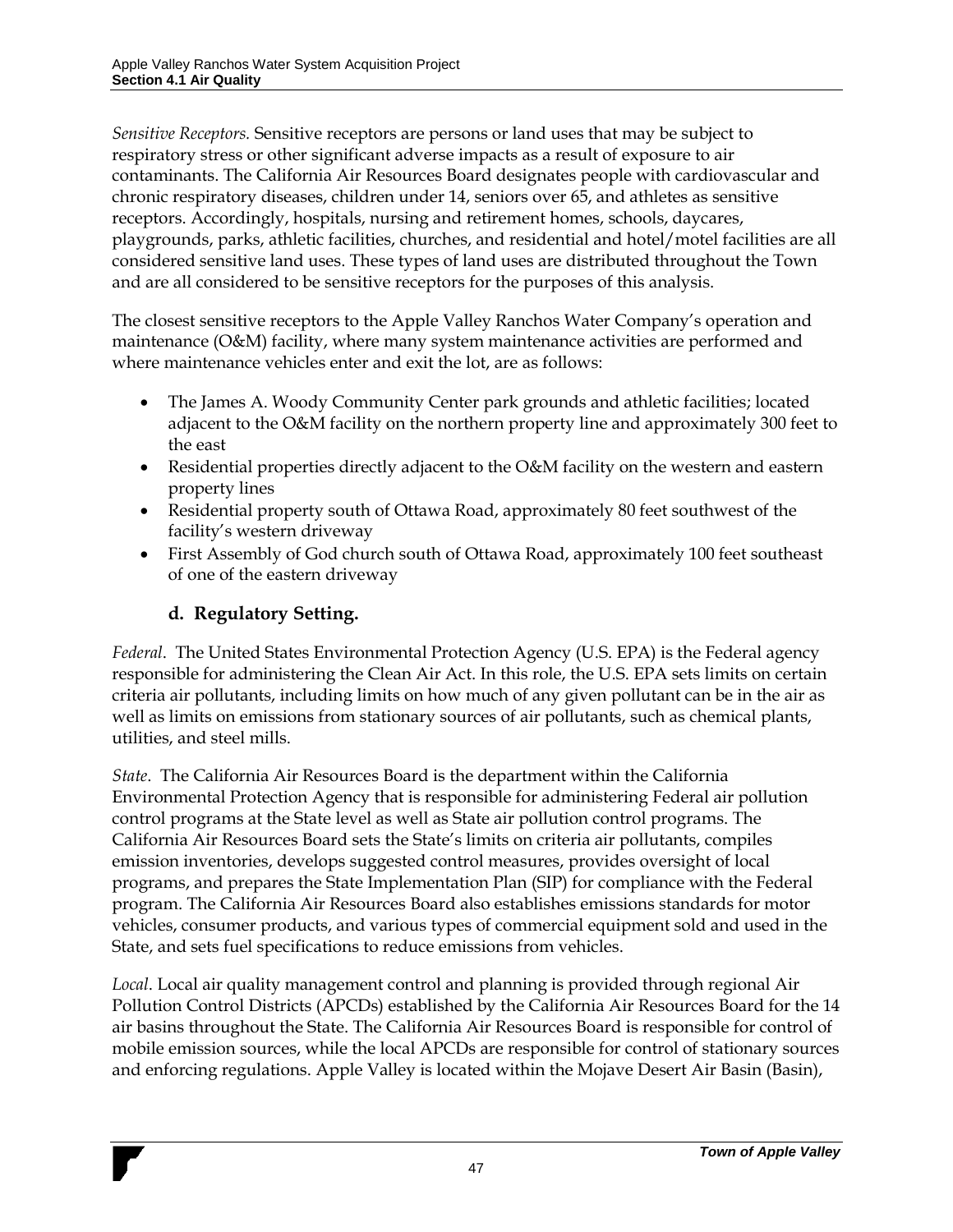*Sensitive Receptors.* Sensitive receptors are persons or land uses that may be subject to respiratory stress or other significant adverse impacts as a result of exposure to air contaminants. The California Air Resources Board designates people with cardiovascular and chronic respiratory diseases, children under 14, seniors over 65, and athletes as sensitive receptors. Accordingly, hospitals, nursing and retirement homes, schools, daycares, playgrounds, parks, athletic facilities, churches, and residential and hotel/motel facilities are all considered sensitive land uses. These types of land uses are distributed throughout the Town and are all considered to be sensitive receptors for the purposes of this analysis.

The closest sensitive receptors to the Apple Valley Ranchos Water Company's operation and maintenance (O&M) facility, where many system maintenance activities are performed and where maintenance vehicles enter and exit the lot, are as follows:

- The James A. Woody Community Center park grounds and athletic facilities; located adjacent to the O&M facility on the northern property line and approximately 300 feet to the east
- Residential properties directly adjacent to the O&M facility on the western and eastern property lines
- Residential property south of Ottawa Road, approximately 80 feet southwest of the facility's western driveway
- First Assembly of God church south of Ottawa Road, approximately 100 feet southeast of one of the eastern driveway

## **d. Regulatory Setting.**

*Federal*. The United States Environmental Protection Agency (U.S. EPA) is the Federal agency responsible for administering the Clean Air Act. In this role, the U.S. EPA sets limits on certain criteria air pollutants, including limits on how much of any given pollutant can be in the air as well as limits on emissions from stationary sources of air pollutants, such as chemical plants, utilities, and steel mills.

*State*. The California Air Resources Board is the department within the California Environmental Protection Agency that is responsible for administering Federal air pollution control programs at the State level as well as State air pollution control programs. The California Air Resources Board sets the State's limits on criteria air pollutants, compiles emission inventories, develops suggested control measures, provides oversight of local programs, and prepares the State Implementation Plan (SIP) for compliance with the Federal program. The California Air Resources Board also establishes emissions standards for motor vehicles, consumer products, and various types of commercial equipment sold and used in the State, and sets fuel specifications to reduce emissions from vehicles.

*Local*. Local air quality management control and planning is provided through regional Air Pollution Control Districts (APCDs) established by the California Air Resources Board for the 14 air basins throughout the State. The California Air Resources Board is responsible for control of mobile emission sources, while the local APCDs are responsible for control of stationary sources and enforcing regulations. Apple Valley is located within the Mojave Desert Air Basin (Basin),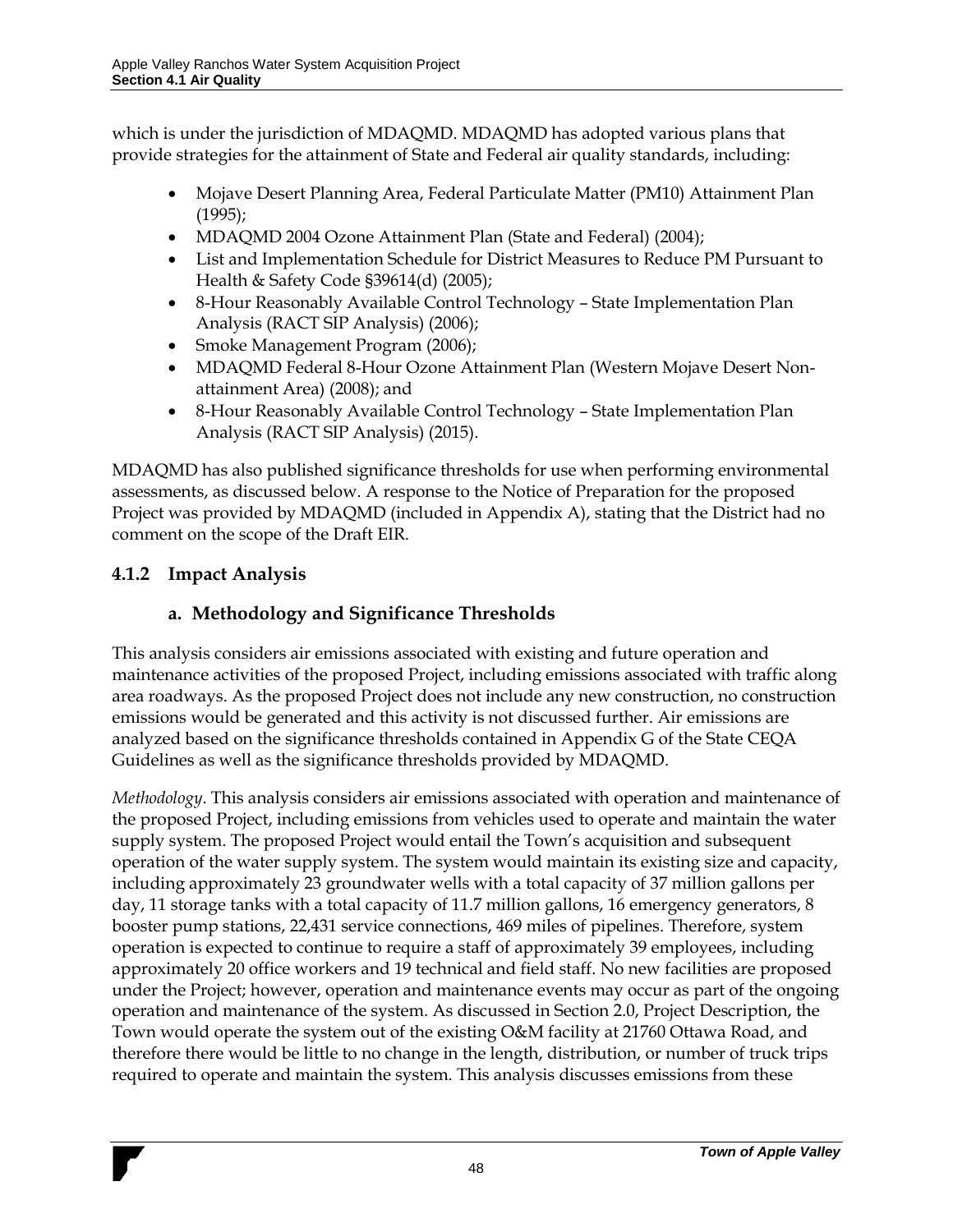which is under the jurisdiction of MDAQMD. MDAQMD has adopted various plans that provide strategies for the attainment of State and Federal air quality standards, including:

- Mojave Desert Planning Area, Federal Particulate Matter (PM10) Attainment Plan (1995);
- MDAQMD 2004 Ozone Attainment Plan (State and Federal) (2004);
- List and Implementation Schedule for District Measures to Reduce PM Pursuant to Health & Safety Code §39614(d) (2005);
- 8-Hour Reasonably Available Control Technology State Implementation Plan Analysis (RACT SIP Analysis) (2006);
- Smoke Management Program (2006);
- MDAQMD Federal 8-Hour Ozone Attainment Plan (Western Mojave Desert Nonattainment Area) (2008); and
- 8-Hour Reasonably Available Control Technology State Implementation Plan Analysis (RACT SIP Analysis) (2015).

MDAQMD has also published significance thresholds for use when performing environmental assessments, as discussed below. A response to the Notice of Preparation for the proposed Project was provided by MDAQMD (included in Appendix A), stating that the District had no comment on the scope of the Draft EIR.

## **4.1.2 Impact Analysis**

## **a. Methodology and Significance Thresholds**

This analysis considers air emissions associated with existing and future operation and maintenance activities of the proposed Project, including emissions associated with traffic along area roadways. As the proposed Project does not include any new construction, no construction emissions would be generated and this activity is not discussed further. Air emissions are analyzed based on the significance thresholds contained in Appendix G of the State CEQA Guidelines as well as the significance thresholds provided by MDAQMD.

*Methodology*. This analysis considers air emissions associated with operation and maintenance of the proposed Project, including emissions from vehicles used to operate and maintain the water supply system. The proposed Project would entail the Town's acquisition and subsequent operation of the water supply system. The system would maintain its existing size and capacity, including approximately 23 groundwater wells with a total capacity of 37 million gallons per day, 11 storage tanks with a total capacity of 11.7 million gallons, 16 emergency generators, 8 booster pump stations, 22,431 service connections, 469 miles of pipelines. Therefore, system operation is expected to continue to require a staff of approximately 39 employees, including approximately 20 office workers and 19 technical and field staff. No new facilities are proposed under the Project; however, operation and maintenance events may occur as part of the ongoing operation and maintenance of the system. As discussed in Section 2.0, Project Description, the Town would operate the system out of the existing O&M facility at 21760 Ottawa Road, and therefore there would be little to no change in the length, distribution, or number of truck trips required to operate and maintain the system. This analysis discusses emissions from these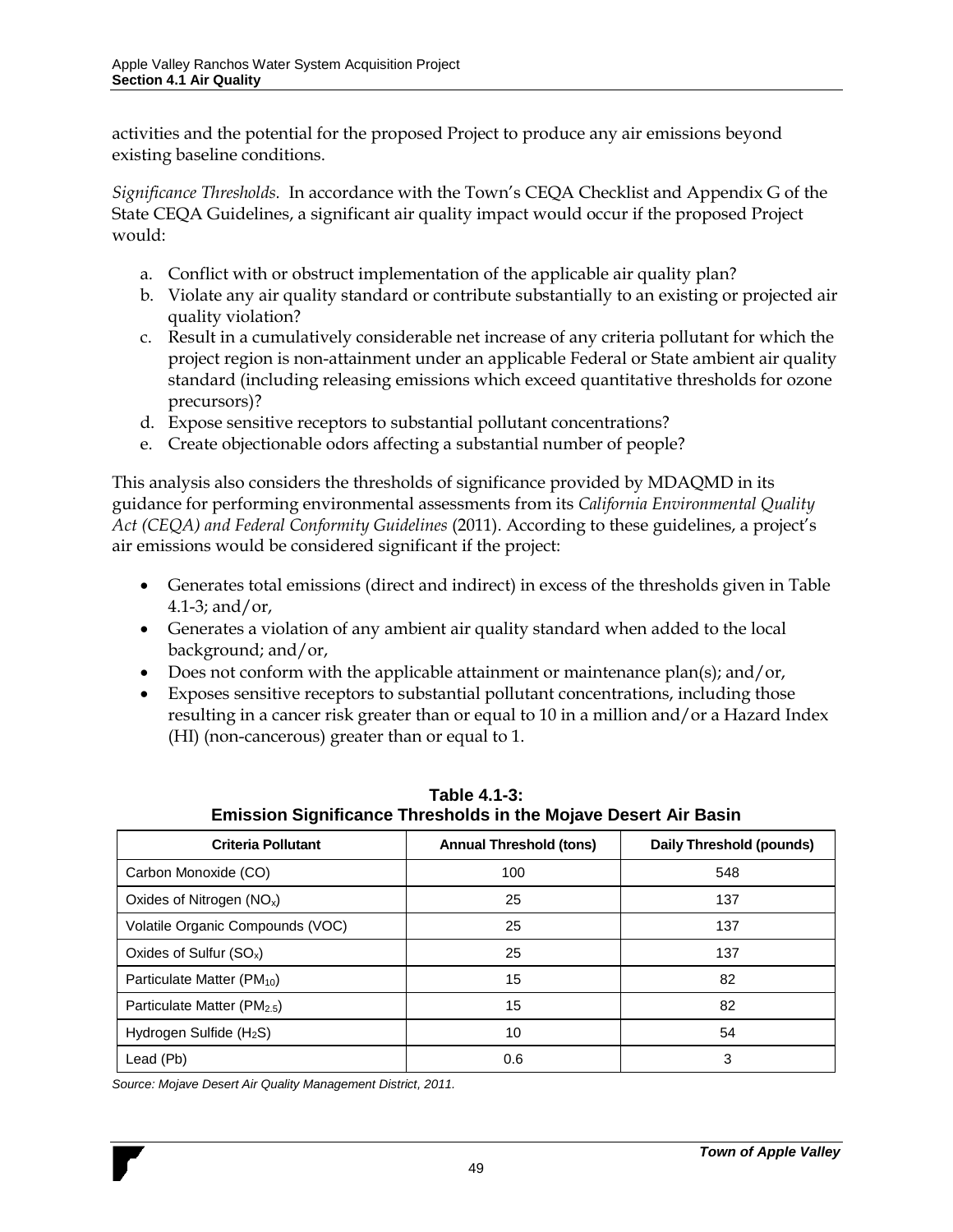activities and the potential for the proposed Project to produce any air emissions beyond existing baseline conditions.

*Significance Thresholds.* In accordance with the Town's CEQA Checklist and Appendix G of the State CEQA Guidelines, a significant air quality impact would occur if the proposed Project would:

- a. Conflict with or obstruct implementation of the applicable air quality plan?
- b. Violate any air quality standard or contribute substantially to an existing or projected air quality violation?
- c. Result in a cumulatively considerable net increase of any criteria pollutant for which the project region is non-attainment under an applicable Federal or State ambient air quality standard (including releasing emissions which exceed quantitative thresholds for ozone precursors)?
- d. Expose sensitive receptors to substantial pollutant concentrations?
- e. Create objectionable odors affecting a substantial number of people?

This analysis also considers the thresholds of significance provided by MDAQMD in its guidance for performing environmental assessments from its *California Environmental Quality Act (CEQA) and Federal Conformity Guidelines* (2011). According to these guidelines, a project's air emissions would be considered significant if the project:

- Generates total emissions (direct and indirect) in excess of the thresholds given in [Table](#page-11-0)  [4.1-3;](#page-11-0) and/or,
- Generates a violation of any ambient air quality standard when added to the local background; and/or,
- Does not conform with the applicable attainment or maintenance  $plan(s)$ ; and/or,
- Exposes sensitive receptors to substantial pollutant concentrations, including those resulting in a cancer risk greater than or equal to 10 in a million and/or a Hazard Index (HI) (non-cancerous) greater than or equal to 1.

<span id="page-11-0"></span>

| <b>Criteria Pollutant</b>               | <b>Annual Threshold (tons)</b> | Daily Threshold (pounds) |  |
|-----------------------------------------|--------------------------------|--------------------------|--|
| Carbon Monoxide (CO)                    | 100                            | 548                      |  |
| Oxides of Nitrogen $(NO_x)$             | 25                             | 137                      |  |
| Volatile Organic Compounds (VOC)        | 25                             | 137                      |  |
| Oxides of Sulfur $(SO_x)$               | 25                             | 137                      |  |
| Particulate Matter (PM <sub>10</sub> )  | 15                             | 82                       |  |
| Particulate Matter (PM <sub>2.5</sub> ) | 15                             | 82                       |  |
| Hydrogen Sulfide $(H_2S)$               | 10                             | 54                       |  |
| Lead (Pb)                               | 0.6                            | 3                        |  |

**Table 4.1-3: Emission Significance Thresholds in the Mojave Desert Air Basin**

*Source: Mojave Desert Air Quality Management District, 2011.*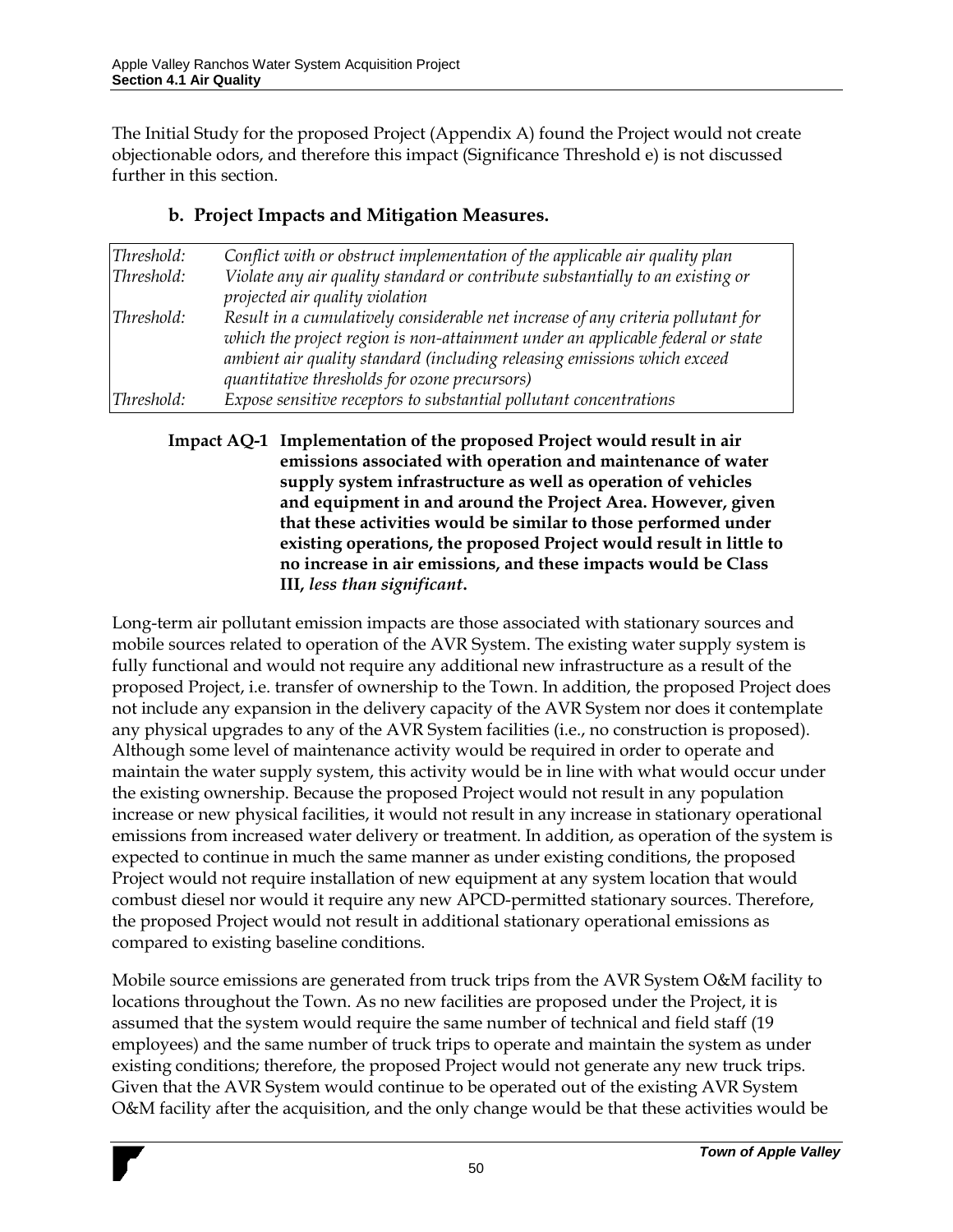The Initial Study for the proposed Project (Appendix A) found the Project would not create objectionable odors, and therefore this impact (Significance Threshold e) is not discussed further in this section.

| Threshold: | Conflict with or obstruct implementation of the applicable air quality plan      |
|------------|----------------------------------------------------------------------------------|
| Threshold: | Violate any air quality standard or contribute substantially to an existing or   |
|            | projected air quality violation                                                  |
| Threshold: | Result in a cumulatively considerable net increase of any criteria pollutant for |
|            | which the project region is non-attainment under an applicable federal or state  |
|            | ambient air quality standard (including releasing emissions which exceed         |
|            | quantitative thresholds for ozone precursors)                                    |
| Threshold: | Expose sensitive receptors to substantial pollutant concentrations               |

#### **b. Project Impacts and Mitigation Measures.**

**Impact AQ-1 Implementation of the proposed Project would result in air emissions associated with operation and maintenance of water supply system infrastructure as well as operation of vehicles and equipment in and around the Project Area. However, given that these activities would be similar to those performed under existing operations, the proposed Project would result in little to no increase in air emissions, and these impacts would be Class III,** *less than significant***.**

Long-term air pollutant emission impacts are those associated with stationary sources and mobile sources related to operation of the AVR System. The existing water supply system is fully functional and would not require any additional new infrastructure as a result of the proposed Project, i.e. transfer of ownership to the Town. In addition, the proposed Project does not include any expansion in the delivery capacity of the AVR System nor does it contemplate any physical upgrades to any of the AVR System facilities (i.e., no construction is proposed). Although some level of maintenance activity would be required in order to operate and maintain the water supply system, this activity would be in line with what would occur under the existing ownership. Because the proposed Project would not result in any population increase or new physical facilities, it would not result in any increase in stationary operational emissions from increased water delivery or treatment. In addition, as operation of the system is expected to continue in much the same manner as under existing conditions, the proposed Project would not require installation of new equipment at any system location that would combust diesel nor would it require any new APCD-permitted stationary sources. Therefore, the proposed Project would not result in additional stationary operational emissions as compared to existing baseline conditions.

Mobile source emissions are generated from truck trips from the AVR System O&M facility to locations throughout the Town. As no new facilities are proposed under the Project, it is assumed that the system would require the same number of technical and field staff (19 employees) and the same number of truck trips to operate and maintain the system as under existing conditions; therefore, the proposed Project would not generate any new truck trips. Given that the AVR System would continue to be operated out of the existing AVR System O&M facility after the acquisition, and the only change would be that these activities would be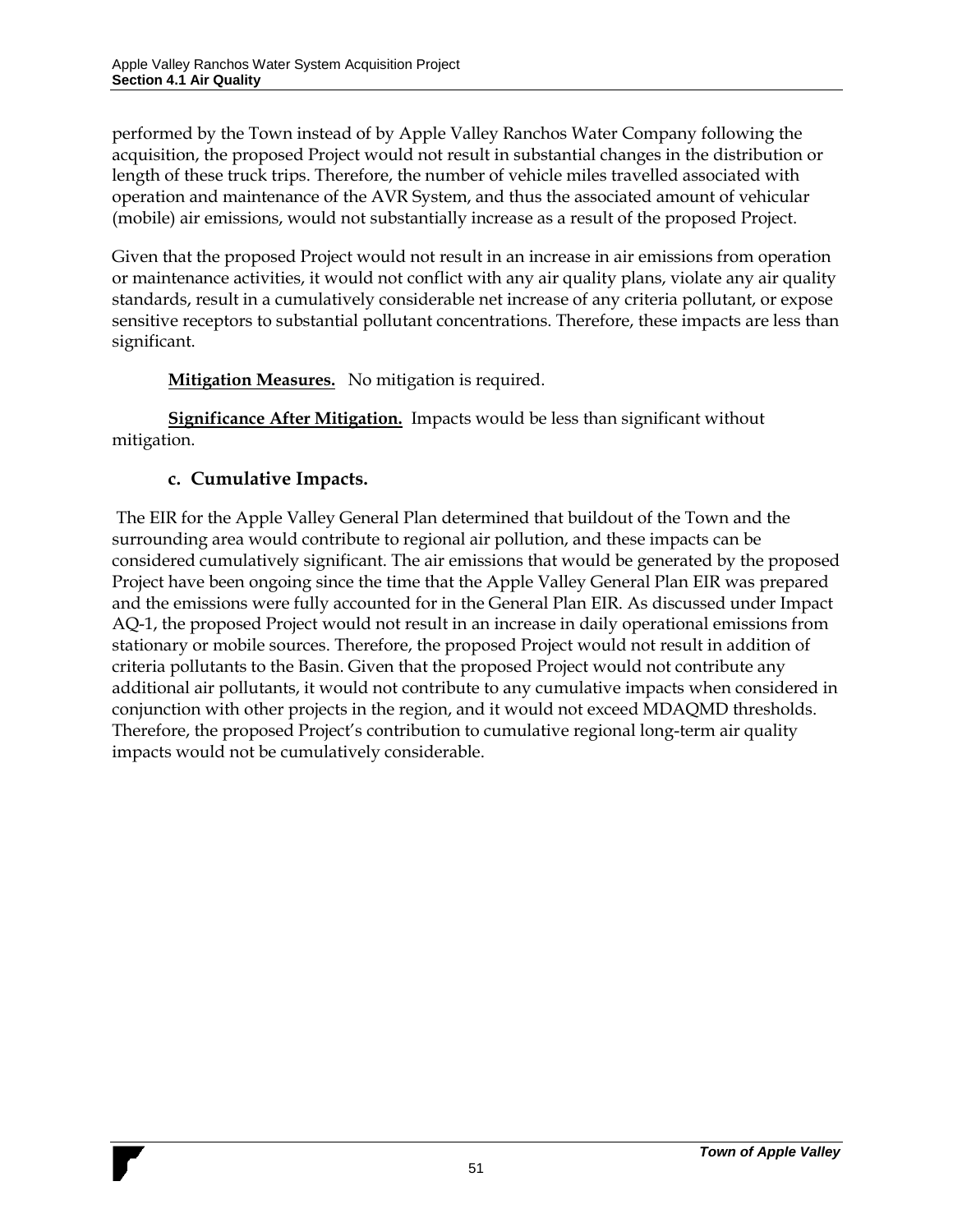performed by the Town instead of by Apple Valley Ranchos Water Company following the acquisition, the proposed Project would not result in substantial changes in the distribution or length of these truck trips. Therefore, the number of vehicle miles travelled associated with operation and maintenance of the AVR System, and thus the associated amount of vehicular (mobile) air emissions, would not substantially increase as a result of the proposed Project.

Given that the proposed Project would not result in an increase in air emissions from operation or maintenance activities, it would not conflict with any air quality plans, violate any air quality standards, result in a cumulatively considerable net increase of any criteria pollutant, or expose sensitive receptors to substantial pollutant concentrations. Therefore, these impacts are less than significant.

#### **Mitigation Measures.** No mitigation is required.

**Significance After Mitigation.** Impacts would be less than significant without mitigation.

#### **c. Cumulative Impacts.**

The EIR for the Apple Valley General Plan determined that buildout of the Town and the surrounding area would contribute to regional air pollution, and these impacts can be considered cumulatively significant. The air emissions that would be generated by the proposed Project have been ongoing since the time that the Apple Valley General Plan EIR was prepared and the emissions were fully accounted for in the General Plan EIR. As discussed under Impact AQ-1, the proposed Project would not result in an increase in daily operational emissions from stationary or mobile sources. Therefore, the proposed Project would not result in addition of criteria pollutants to the Basin. Given that the proposed Project would not contribute any additional air pollutants, it would not contribute to any cumulative impacts when considered in conjunction with other projects in the region, and it would not exceed MDAQMD thresholds. Therefore, the proposed Project's contribution to cumulative regional long-term air quality impacts would not be cumulatively considerable.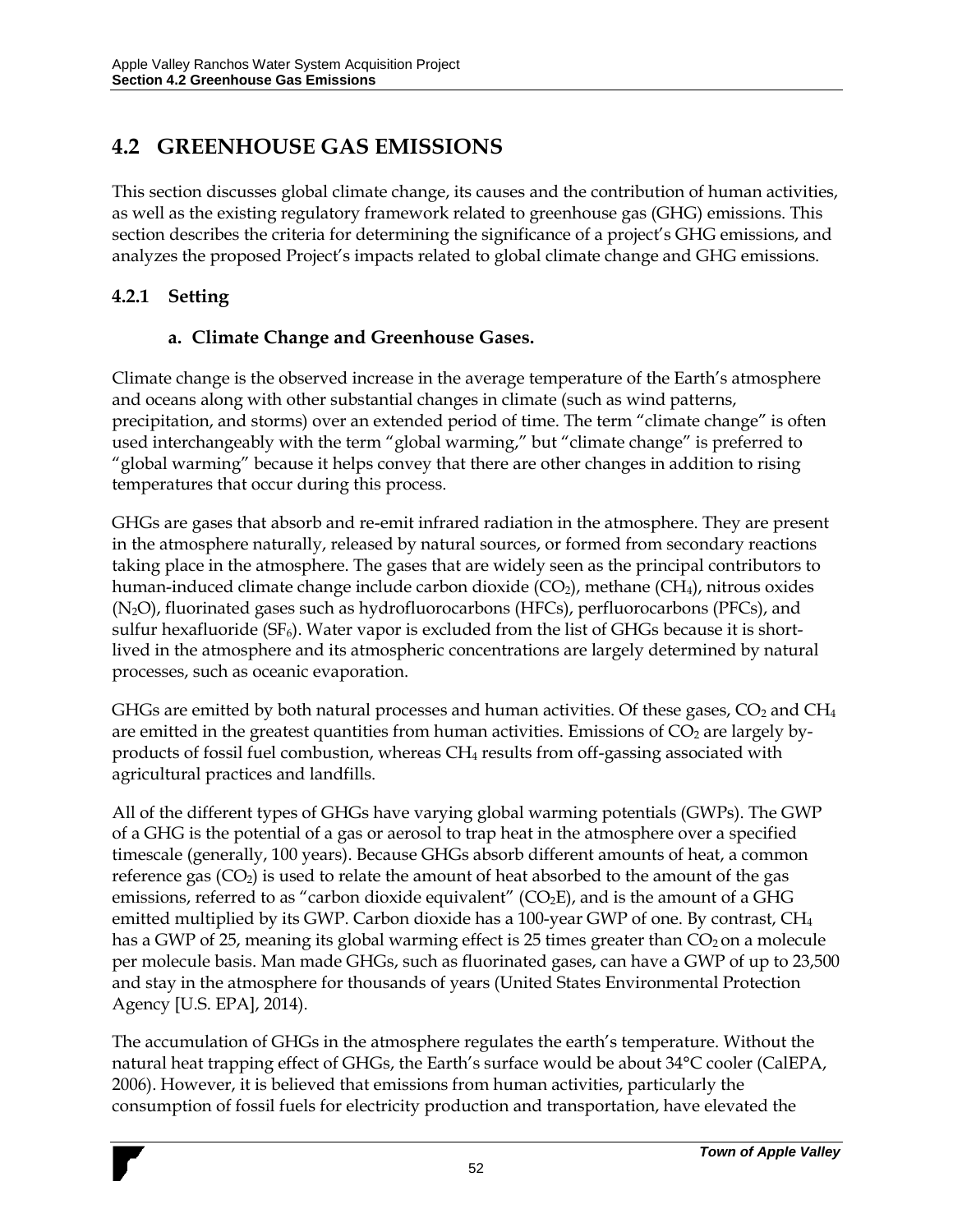## **4.2 GREENHOUSE GAS EMISSIONS**

This section discusses global climate change, its causes and the contribution of human activities, as well as the existing regulatory framework related to greenhouse gas (GHG) emissions. This section describes the criteria for determining the significance of a project's GHG emissions, and analyzes the proposed Project's impacts related to global climate change and GHG emissions.

### **4.2.1 Setting**

### **a. Climate Change and Greenhouse Gases.**

Climate change is the observed increase in the average temperature of the Earth's atmosphere and oceans along with other substantial changes in climate (such as wind patterns, precipitation, and storms) over an extended period of time. The term "climate change" is often used interchangeably with the term "global warming," but "climate change" is preferred to "global warming" because it helps convey that there are other changes in addition to rising temperatures that occur during this process.

GHGs are gases that absorb and re-emit infrared radiation in the atmosphere. They are present in the atmosphere naturally, released by natural sources, or formed from secondary reactions taking place in the atmosphere. The gases that are widely seen as the principal contributors to human-induced climate change include carbon dioxide  $(CO_2)$ , methane  $(CH_4)$ , nitrous oxides (N2O), fluorinated gases such as hydrofluorocarbons (HFCs), perfluorocarbons (PFCs), and sulfur hexafluoride (SF<sub>6</sub>). Water vapor is excluded from the list of GHGs because it is shortlived in the atmosphere and its atmospheric concentrations are largely determined by natural processes, such as oceanic evaporation.

GHGs are emitted by both natural processes and human activities. Of these gases,  $CO<sub>2</sub>$  and CH<sub>4</sub> are emitted in the greatest quantities from human activities. Emissions of  $CO<sub>2</sub>$  are largely byproducts of fossil fuel combustion, whereas CH<sup>4</sup> results from off-gassing associated with agricultural practices and landfills.

All of the different types of GHGs have varying global warming potentials (GWPs). The GWP of a GHG is the potential of a gas or aerosol to trap heat in the atmosphere over a specified timescale (generally, 100 years). Because GHGs absorb different amounts of heat, a common reference gas  $(CO<sub>2</sub>)$  is used to relate the amount of heat absorbed to the amount of the gas emissions, referred to as "carbon dioxide equivalent" ( $CO<sub>2</sub>E$ ), and is the amount of a GHG emitted multiplied by its GWP. Carbon dioxide has a 100-year GWP of one. By contrast, CH<sup>4</sup> has a GWP of 25, meaning its global warming effect is 25 times greater than  $CO<sub>2</sub>$  on a molecule per molecule basis. Man made GHGs, such as fluorinated gases, can have a GWP of up to 23,500 and stay in the atmosphere for thousands of years (United States Environmental Protection Agency [U.S. EPA], 2014).

The accumulation of GHGs in the atmosphere regulates the earth's temperature. Without the natural heat trapping effect of GHGs, the Earth's surface would be about 34°C cooler (CalEPA, 2006). However, it is believed that emissions from human activities, particularly the consumption of fossil fuels for electricity production and transportation, have elevated the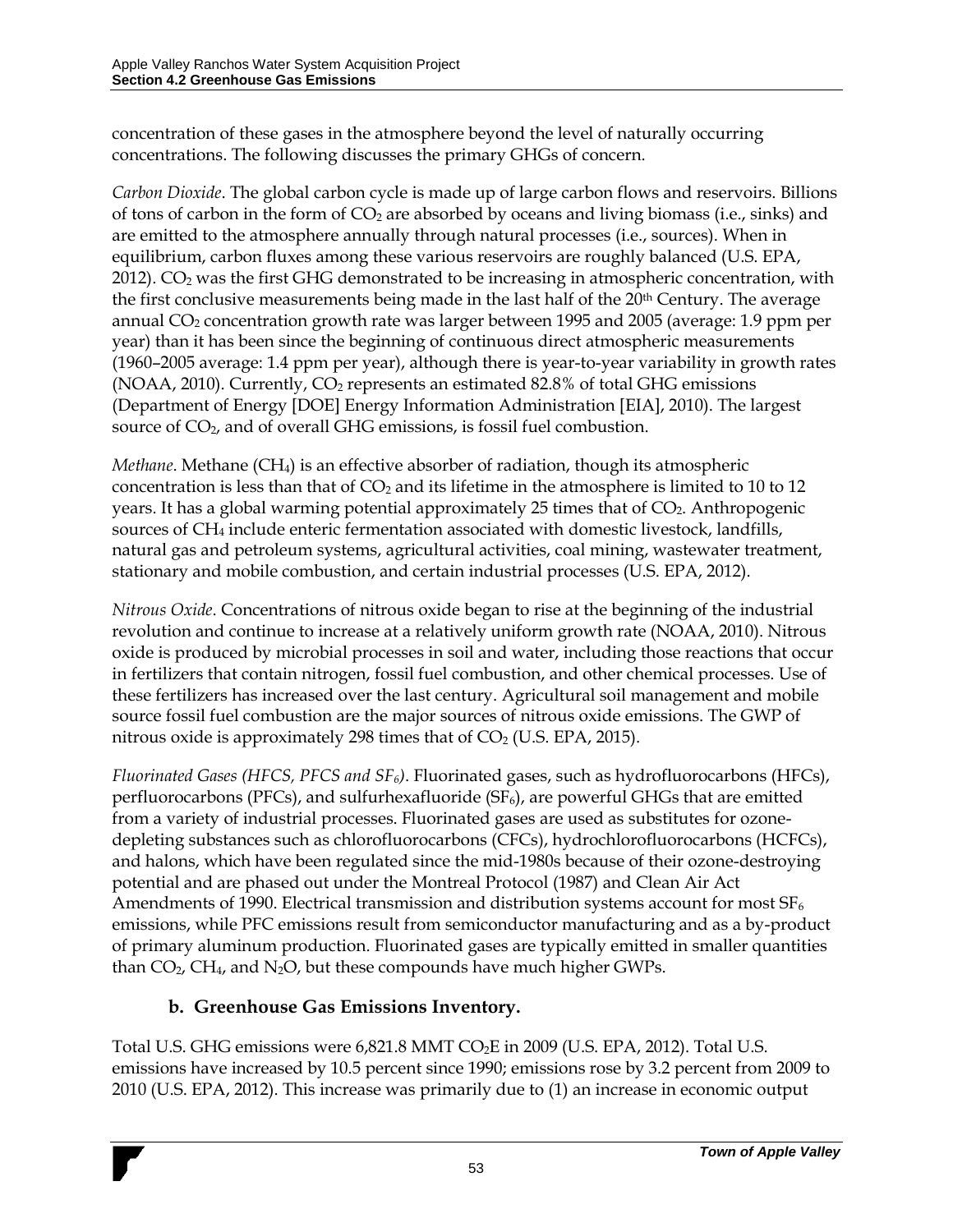concentration of these gases in the atmosphere beyond the level of naturally occurring concentrations. The following discusses the primary GHGs of concern.

*Carbon Dioxide*. The global carbon cycle is made up of large carbon flows and reservoirs. Billions of tons of carbon in the form of  $CO<sub>2</sub>$  are absorbed by oceans and living biomass (i.e., sinks) and are emitted to the atmosphere annually through natural processes (i.e., sources). When in equilibrium, carbon fluxes among these various reservoirs are roughly balanced (U.S. EPA, 2012).  $CO<sub>2</sub>$  was the first GHG demonstrated to be increasing in atmospheric concentration, with the first conclusive measurements being made in the last half of the 20<sup>th</sup> Century. The average annual  $CO<sub>2</sub>$  concentration growth rate was larger between 1995 and 2005 (average: 1.9 ppm per year) than it has been since the beginning of continuous direct atmospheric measurements (1960–2005 average: 1.4 ppm per year), although there is year-to-year variability in growth rates (NOAA, 2010). Currently, CO<sup>2</sup> represents an estimated 82.8% of total GHG emissions (Department of Energy [DOE] Energy Information Administration [EIA], 2010). The largest source of CO2, and of overall GHG emissions, is fossil fuel combustion.

*Methane*. Methane (CH4) is an effective absorber of radiation, though its atmospheric concentration is less than that of  $CO<sub>2</sub>$  and its lifetime in the atmosphere is limited to 10 to 12 years. It has a global warming potential approximately 25 times that of CO<sub>2</sub>. Anthropogenic sources of CH<sup>4</sup> include enteric fermentation associated with domestic livestock, landfills, natural gas and petroleum systems, agricultural activities, coal mining, wastewater treatment, stationary and mobile combustion, and certain industrial processes (U.S. EPA, 2012).

*Nitrous Oxide*. Concentrations of nitrous oxide began to rise at the beginning of the industrial revolution and continue to increase at a relatively uniform growth rate (NOAA, 2010). Nitrous oxide is produced by microbial processes in soil and water, including those reactions that occur in fertilizers that contain nitrogen, fossil fuel combustion, and other chemical processes. Use of these fertilizers has increased over the last century. Agricultural soil management and mobile source fossil fuel combustion are the major sources of nitrous oxide emissions. The GWP of nitrous oxide is approximately 298 times that of  $CO<sub>2</sub>$  (U.S. EPA, 2015).

*Fluorinated Gases (HFCS, PFCS and SF6)*. Fluorinated gases, such as hydrofluorocarbons (HFCs), perfluorocarbons (PFCs), and sulfurthexafluoride ( $SF_6$ ), are powerful GHGs that are emitted from a variety of industrial processes. Fluorinated gases are used as substitutes for ozonedepleting substances such as chlorofluorocarbons (CFCs), hydrochlorofluorocarbons (HCFCs), and halons, which have been regulated since the mid-1980s because of their ozone-destroying potential and are phased out under the Montreal Protocol (1987) and Clean Air Act Amendments of 1990. Electrical transmission and distribution systems account for most  $SF_6$ emissions, while PFC emissions result from semiconductor manufacturing and as a by-product of primary aluminum production. Fluorinated gases are typically emitted in smaller quantities than  $CO<sub>2</sub>$ ,  $CH<sub>4</sub>$ , and N<sub>2</sub>O, but these compounds have much higher GWPs.

### **b. Greenhouse Gas Emissions Inventory.**

Total U.S. GHG emissions were 6,821.8 MMT CO2E in 2009 (U.S. EPA, 2012). Total U.S. emissions have increased by 10.5 percent since 1990; emissions rose by 3.2 percent from 2009 to 2010 (U.S. EPA, 2012). This increase was primarily due to (1) an increase in economic output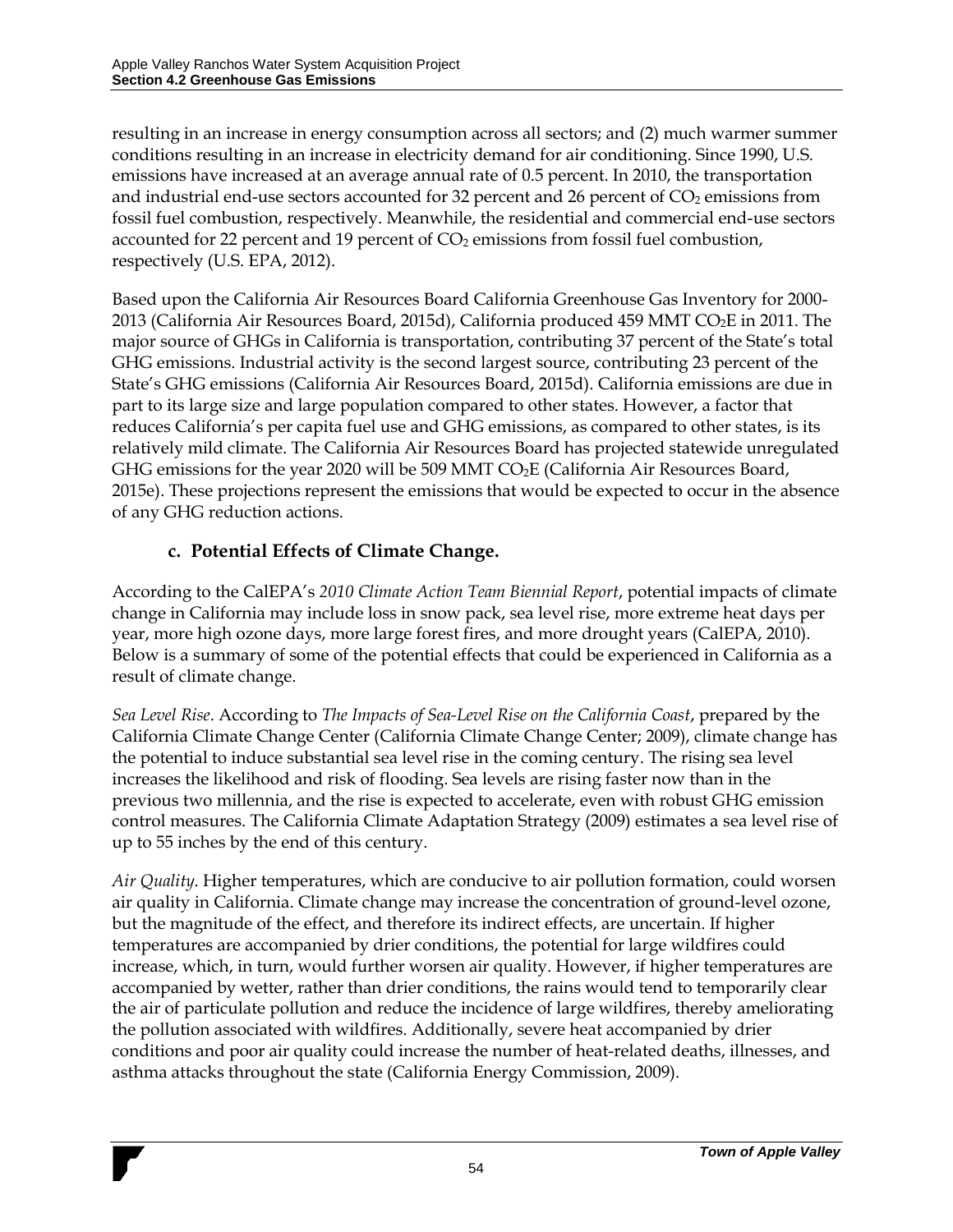resulting in an increase in energy consumption across all sectors; and (2) much warmer summer conditions resulting in an increase in electricity demand for air conditioning. Since 1990, U.S. emissions have increased at an average annual rate of 0.5 percent. In 2010, the transportation and industrial end-use sectors accounted for 32 percent and 26 percent of  $CO<sub>2</sub>$  emissions from fossil fuel combustion, respectively. Meanwhile, the residential and commercial end-use sectors accounted for 22 percent and 19 percent of  $CO<sub>2</sub>$  emissions from fossil fuel combustion, respectively (U.S. EPA, 2012).

Based upon the California Air Resources Board California Greenhouse Gas Inventory for 2000- 2013 (California Air Resources Board, 2015d), California produced 459 MMT CO<sub>2</sub>E in 2011. The major source of GHGs in California is transportation, contributing 37 percent of the State's total GHG emissions. Industrial activity is the second largest source, contributing 23 percent of the State's GHG emissions (California Air Resources Board, 2015d). California emissions are due in part to its large size and large population compared to other states. However, a factor that reduces California's per capita fuel use and GHG emissions, as compared to other states, is its relatively mild climate. The California Air Resources Board has projected statewide unregulated GHG emissions for the year 2020 will be 509 MMT  $CO<sub>2</sub>E$  (California Air Resources Board, 2015e). These projections represent the emissions that would be expected to occur in the absence of any GHG reduction actions.

### **c. Potential Effects of Climate Change.**

According to the CalEPA's *2010 Climate Action Team Biennial Report*, potential impacts of climate change in California may include loss in snow pack, sea level rise, more extreme heat days per year, more high ozone days, more large forest fires, and more drought years (CalEPA, 2010). Below is a summary of some of the potential effects that could be experienced in California as a result of climate change.

*Sea Level Rise*. According to *The Impacts of Sea-Level Rise on the California Coast*, prepared by the California Climate Change Center (California Climate Change Center; 2009), climate change has the potential to induce substantial sea level rise in the coming century. The rising sea level increases the likelihood and risk of flooding. Sea levels are rising faster now than in the previous two millennia, and the rise is expected to accelerate, even with robust GHG emission control measures. The California Climate Adaptation Strategy (2009) estimates a sea level rise of up to 55 inches by the end of this century.

*Air Quality*. Higher temperatures, which are conducive to air pollution formation, could worsen air quality in California. Climate change may increase the concentration of ground-level ozone, but the magnitude of the effect, and therefore its indirect effects, are uncertain. If higher temperatures are accompanied by drier conditions, the potential for large wildfires could increase, which, in turn, would further worsen air quality. However, if higher temperatures are accompanied by wetter, rather than drier conditions, the rains would tend to temporarily clear the air of particulate pollution and reduce the incidence of large wildfires, thereby ameliorating the pollution associated with wildfires. Additionally, severe heat accompanied by drier conditions and poor air quality could increase the number of heat-related deaths, illnesses, and asthma attacks throughout the state (California Energy Commission, 2009).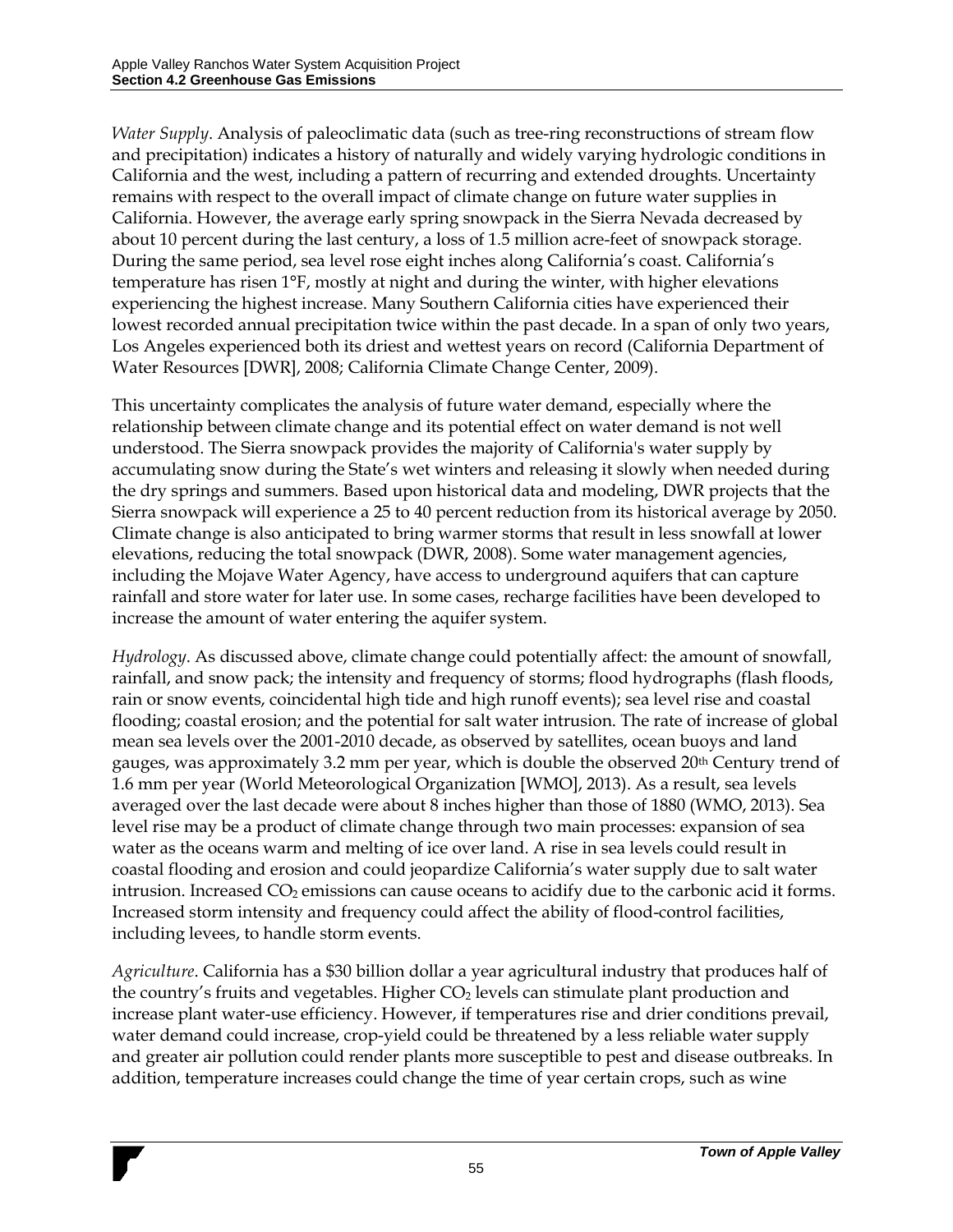*Water Supply*. Analysis of paleoclimatic data (such as tree-ring reconstructions of stream flow and precipitation) indicates a history of naturally and widely varying hydrologic conditions in California and the west, including a pattern of recurring and extended droughts. Uncertainty remains with respect to the overall impact of climate change on future water supplies in California. However, the average early spring snowpack in the Sierra Nevada decreased by about 10 percent during the last century, a loss of 1.5 million acre-feet of snowpack storage. During the same period, sea level rose eight inches along California's coast. California's temperature has risen 1°F, mostly at night and during the winter, with higher elevations experiencing the highest increase. Many Southern California cities have experienced their lowest recorded annual precipitation twice within the past decade. In a span of only two years, Los Angeles experienced both its driest and wettest years on record (California Department of Water Resources [DWR], 2008; California Climate Change Center, 2009).

This uncertainty complicates the analysis of future water demand, especially where the relationship between climate change and its potential effect on water demand is not well understood. The Sierra snowpack provides the majority of California's water supply by accumulating snow during the State's wet winters and releasing it slowly when needed during the dry springs and summers. Based upon historical data and modeling, DWR projects that the Sierra snowpack will experience a 25 to 40 percent reduction from its historical average by 2050. Climate change is also anticipated to bring warmer storms that result in less snowfall at lower elevations, reducing the total snowpack (DWR, 2008). Some water management agencies, including the Mojave Water Agency, have access to underground aquifers that can capture rainfall and store water for later use. In some cases, recharge facilities have been developed to increase the amount of water entering the aquifer system.

*Hydrology*. As discussed above, climate change could potentially affect: the amount of snowfall, rainfall, and snow pack; the intensity and frequency of storms; flood hydrographs (flash floods, rain or snow events, coincidental high tide and high runoff events); sea level rise and coastal flooding; coastal erosion; and the potential for salt water intrusion. The rate of increase of global mean sea levels over the 2001-2010 decade, as observed by satellites, ocean buoys and land gauges, was approximately 3.2 mm per year, which is double the observed 20th Century trend of 1.6 mm per year (World Meteorological Organization [WMO], 2013). As a result, sea levels averaged over the last decade were about 8 inches higher than those of 1880 (WMO, 2013). Sea level rise may be a product of climate change through two main processes: expansion of sea water as the oceans warm and melting of ice over land. A rise in sea levels could result in coastal flooding and erosion and could jeopardize California's water supply due to salt water intrusion. Increased CO<sub>2</sub> emissions can cause oceans to acidify due to the carbonic acid it forms. Increased storm intensity and frequency could affect the ability of flood-control facilities, including levees, to handle storm events.

*Agriculture*. California has a \$30 billion dollar a year agricultural industry that produces half of the country's fruits and vegetables. Higher  $CO<sub>2</sub>$  levels can stimulate plant production and increase plant water-use efficiency. However, if temperatures rise and drier conditions prevail, water demand could increase, crop-yield could be threatened by a less reliable water supply and greater air pollution could render plants more susceptible to pest and disease outbreaks. In addition, temperature increases could change the time of year certain crops, such as wine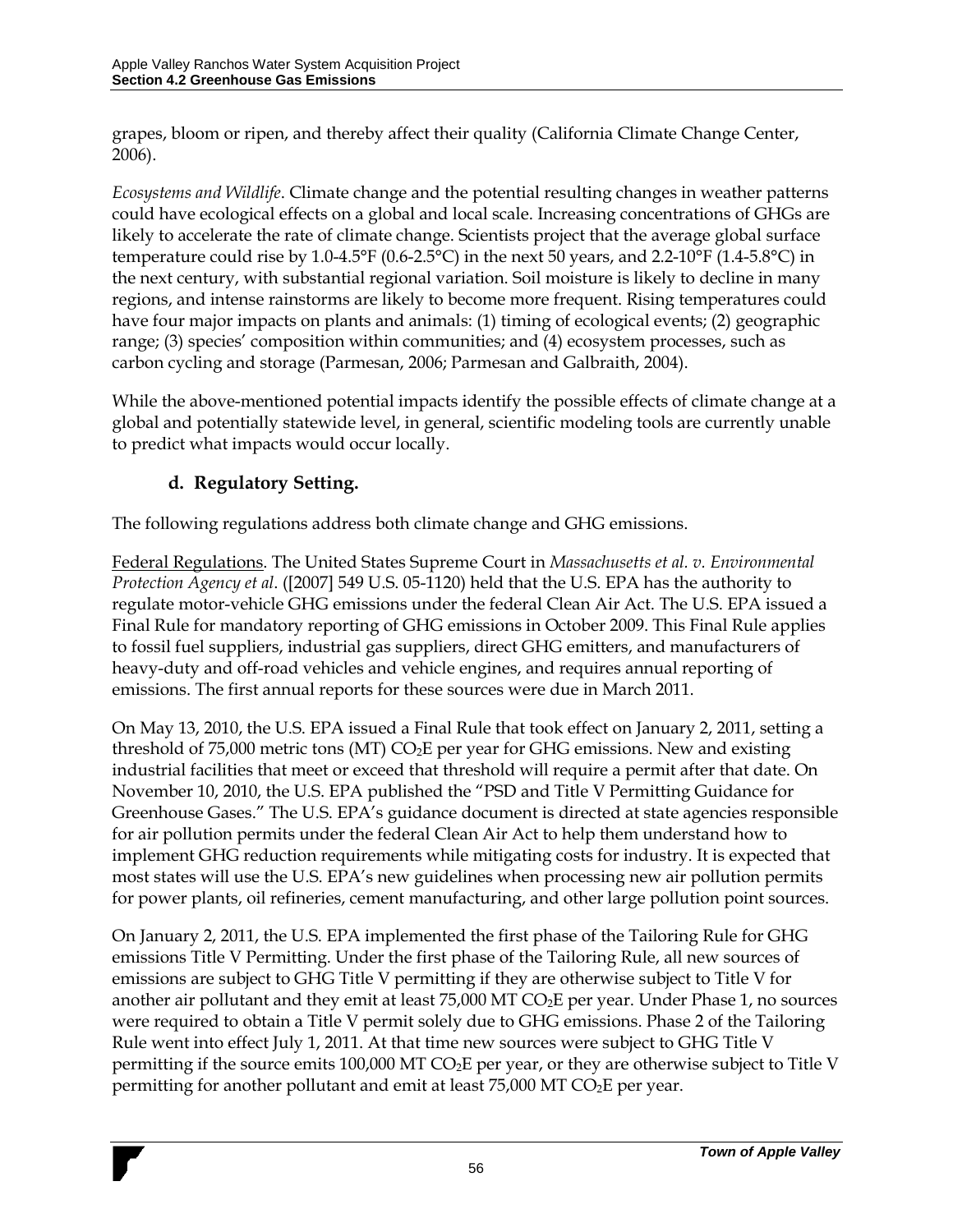grapes, bloom or ripen, and thereby affect their quality (California Climate Change Center, 2006).

*Ecosystems and Wildlife*. Climate change and the potential resulting changes in weather patterns could have ecological effects on a global and local scale. Increasing concentrations of GHGs are likely to accelerate the rate of climate change. Scientists project that the average global surface temperature could rise by 1.0-4.5°F (0.6-2.5°C) in the next 50 years, and 2.2-10°F (1.4-5.8°C) in the next century, with substantial regional variation. Soil moisture is likely to decline in many regions, and intense rainstorms are likely to become more frequent. Rising temperatures could have four major impacts on plants and animals: (1) timing of ecological events; (2) geographic range; (3) species' composition within communities; and (4) ecosystem processes, such as carbon cycling and storage (Parmesan, 2006; Parmesan and Galbraith, 2004).

While the above-mentioned potential impacts identify the possible effects of climate change at a global and potentially statewide level, in general, scientific modeling tools are currently unable to predict what impacts would occur locally.

## **d. Regulatory Setting.**

The following regulations address both climate change and GHG emissions.

Federal Regulations. The United States Supreme Court in *Massachusetts et al. v. Environmental Protection Agency et al*. ([2007] 549 U.S. 05-1120) held that the U.S. EPA has the authority to regulate motor-vehicle GHG emissions under the federal Clean Air Act. The U.S. EPA issued a Final Rule for mandatory reporting of GHG emissions in October 2009. This Final Rule applies to fossil fuel suppliers, industrial gas suppliers, direct GHG emitters, and manufacturers of heavy-duty and off-road vehicles and vehicle engines, and requires annual reporting of emissions. The first annual reports for these sources were due in March 2011.

On May 13, 2010, the U.S. EPA issued a Final Rule that took effect on January 2, 2011, setting a threshold of 75,000 metric tons (MT) CO2E per year for GHG emissions. New and existing industrial facilities that meet or exceed that threshold will require a permit after that date. On November 10, 2010, the U.S. EPA published the "PSD and Title V Permitting Guidance for Greenhouse Gases." The U.S. EPA's guidance document is directed at state agencies responsible for air pollution permits under the federal Clean Air Act to help them understand how to implement GHG reduction requirements while mitigating costs for industry. It is expected that most states will use the U.S. EPA's new guidelines when processing new air pollution permits for power plants, oil refineries, cement manufacturing, and other large pollution point sources.

On January 2, 2011, the U.S. EPA implemented the first phase of the Tailoring Rule for GHG emissions Title V Permitting. Under the first phase of the Tailoring Rule, all new sources of emissions are subject to GHG Title V permitting if they are otherwise subject to Title V for another air pollutant and they emit at least  $75,000$  MT CO<sub>2</sub>E per year. Under Phase 1, no sources were required to obtain a Title V permit solely due to GHG emissions. Phase 2 of the Tailoring Rule went into effect July 1, 2011. At that time new sources were subject to GHG Title V permitting if the source emits 100,000 MT  $CO<sub>2</sub>E$  per year, or they are otherwise subject to Title V permitting for another pollutant and emit at least  $75,000$  MT CO<sub>2</sub>E per year.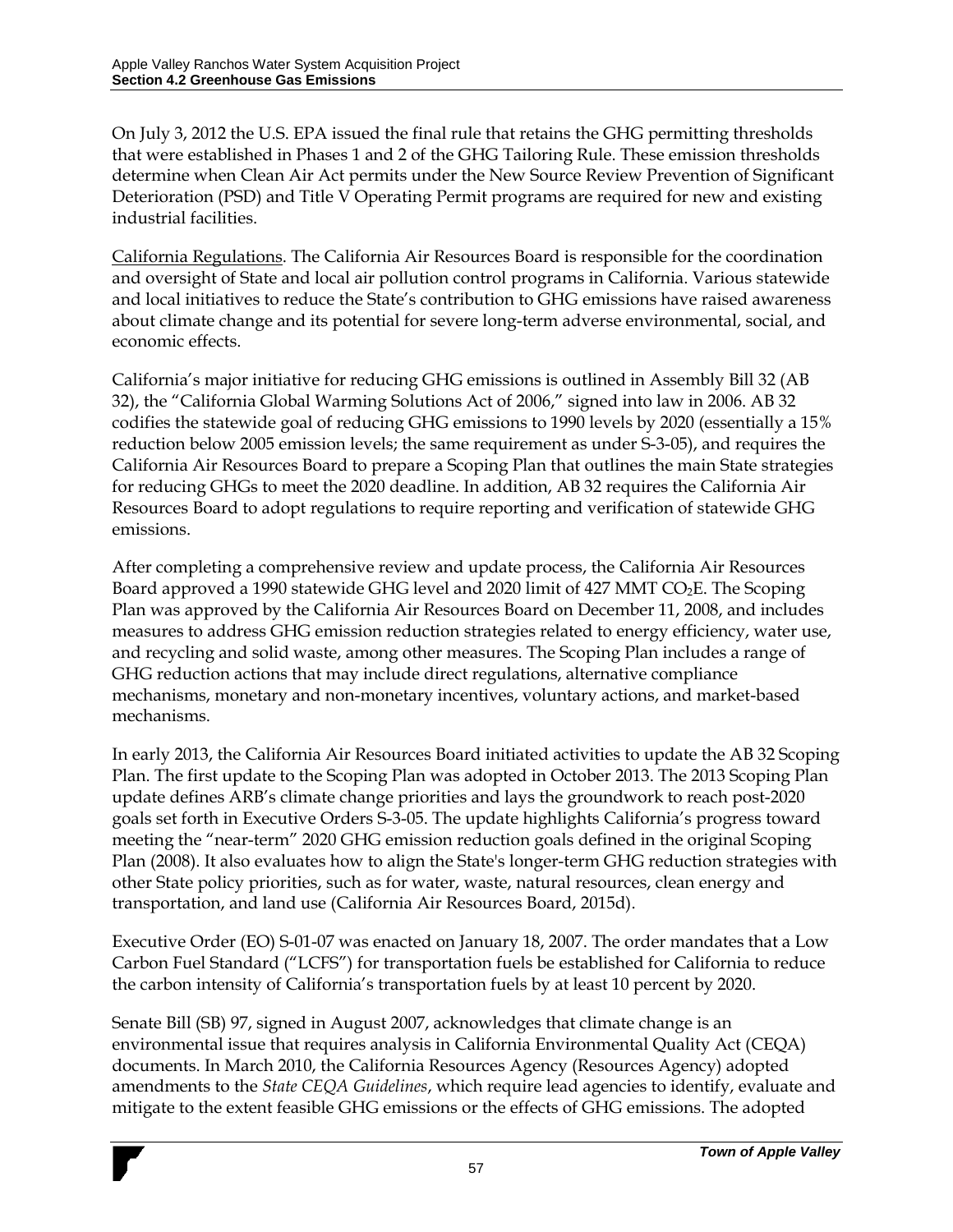On July 3, 2012 the U.S. EPA issued the final rule that retains the GHG permitting thresholds that were established in Phases 1 and 2 of the GHG Tailoring Rule. These emission thresholds determine when Clean Air Act permits under the New Source Review Prevention of Significant Deterioration (PSD) and Title V Operating Permit programs are required for new and existing industrial facilities.

California Regulations. The California Air Resources Board is responsible for the coordination and oversight of State and local air pollution control programs in California. Various statewide and local initiatives to reduce the State's contribution to GHG emissions have raised awareness about climate change and its potential for severe long-term adverse environmental, social, and economic effects.

California's major initiative for reducing GHG emissions is outlined in Assembly Bill 32 (AB 32), the "California Global Warming Solutions Act of 2006," signed into law in 2006. AB 32 codifies the statewide goal of reducing GHG emissions to 1990 levels by 2020 (essentially a 15% reduction below 2005 emission levels; the same requirement as under S-3-05), and requires the California Air Resources Board to prepare a Scoping Plan that outlines the main State strategies for reducing GHGs to meet the 2020 deadline. In addition, AB 32 requires the California Air Resources Board to adopt regulations to require reporting and verification of statewide GHG emissions.

After completing a comprehensive review and update process, the California Air Resources Board approved a 1990 statewide GHG level and 2020 limit of 427 MMT CO<sub>2</sub>E. The Scoping Plan was approved by the California Air Resources Board on December 11, 2008, and includes measures to address GHG emission reduction strategies related to energy efficiency, water use, and recycling and solid waste, among other measures. The Scoping Plan includes a range of GHG reduction actions that may include direct regulations, alternative compliance mechanisms, monetary and non-monetary incentives, voluntary actions, and market-based mechanisms.

In early 2013, the California Air Resources Board initiated activities to update the AB 32 Scoping Plan. The first update to the Scoping Plan was adopted in October 2013. The 2013 Scoping Plan update defines ARB's climate change priorities and lays the groundwork to reach post-2020 goals set forth in Executive Orders S-3-05. The update highlights California's progress toward meeting the "near-term" 2020 GHG emission reduction goals defined in the original Scoping Plan (2008). It also evaluates how to align the State's longer-term GHG reduction strategies with other State policy priorities, such as for water, waste, natural resources, clean energy and transportation, and land use (California Air Resources Board, 2015d).

Executive Order (EO) S-01-07 was enacted on January 18, 2007. The order mandates that a Low Carbon Fuel Standard ("LCFS") for transportation fuels be established for California to reduce the carbon intensity of California's transportation fuels by at least 10 percent by 2020.

Senate Bill (SB) 97, signed in August 2007, acknowledges that climate change is an environmental issue that requires analysis in California Environmental Quality Act (CEQA) documents. In March 2010, the California Resources Agency (Resources Agency) adopted amendments to the *State CEQA Guidelines*, which require lead agencies to identify, evaluate and mitigate to the extent feasible GHG emissions or the effects of GHG emissions. The adopted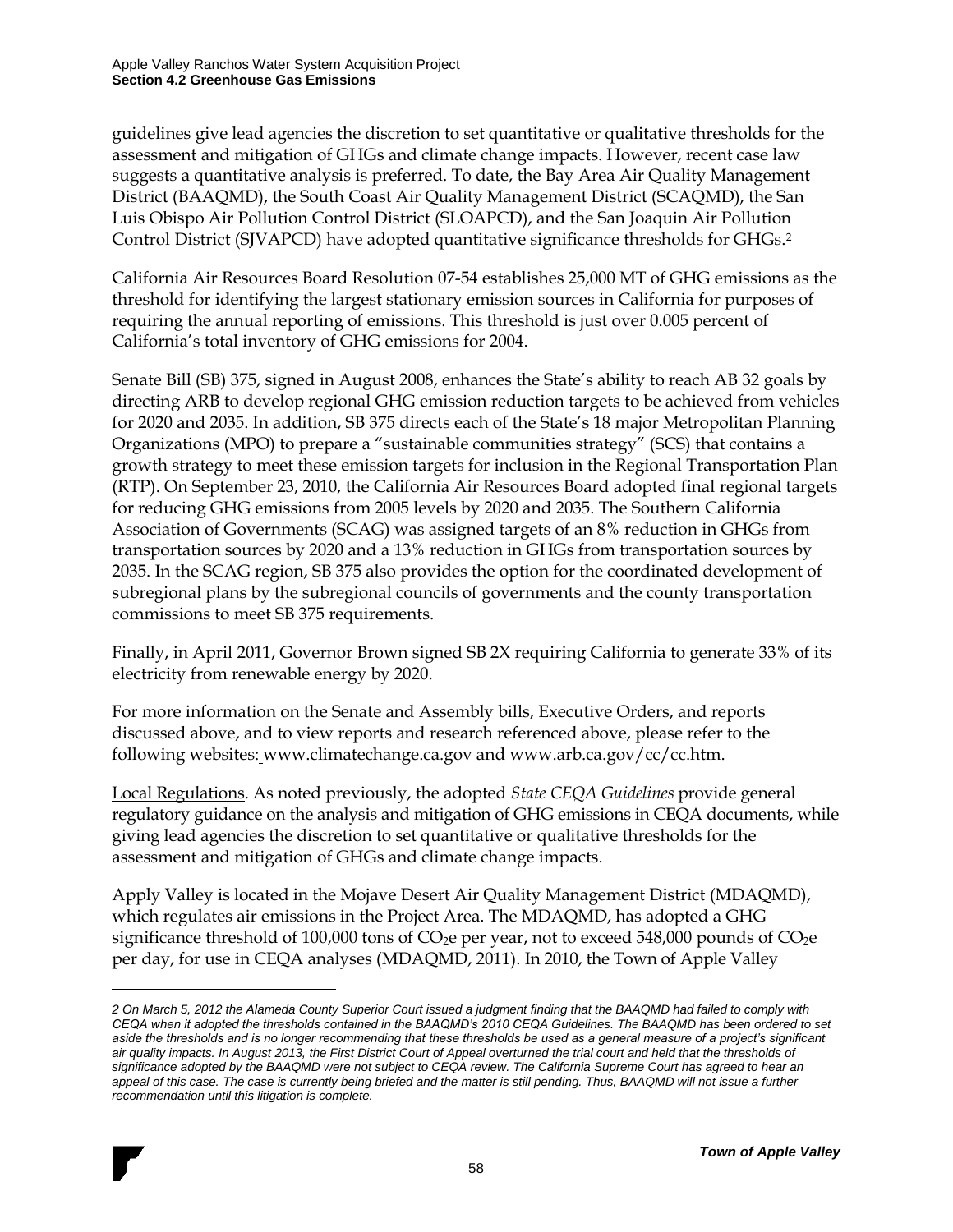$\overline{a}$ 

guidelines give lead agencies the discretion to set quantitative or qualitative thresholds for the assessment and mitigation of GHGs and climate change impacts. However, recent case law suggests a quantitative analysis is preferred. To date, the Bay Area Air Quality Management District (BAAQMD), the South Coast Air Quality Management District (SCAQMD), the San Luis Obispo Air Pollution Control District (SLOAPCD), and the San Joaquin Air Pollution Control District (SJVAPCD) have adopted quantitative significance thresholds for GHGs.<sup>2</sup>

California Air Resources Board Resolution 07-54 establishes 25,000 MT of GHG emissions as the threshold for identifying the largest stationary emission sources in California for purposes of requiring the annual reporting of emissions. This threshold is just over 0.005 percent of California's total inventory of GHG emissions for 2004.

Senate Bill (SB) 375, signed in August 2008, enhances the State's ability to reach AB 32 goals by directing ARB to develop regional GHG emission reduction targets to be achieved from vehicles for 2020 and 2035. In addition, SB 375 directs each of the State's 18 major Metropolitan Planning Organizations (MPO) to prepare a "sustainable communities strategy" (SCS) that contains a growth strategy to meet these emission targets for inclusion in the Regional Transportation Plan (RTP). On September 23, 2010, the California Air Resources Board adopted final regional targets for reducing GHG emissions from 2005 levels by 2020 and 2035. The Southern California Association of Governments (SCAG) was assigned targets of an 8% reduction in GHGs from transportation sources by 2020 and a 13% reduction in GHGs from transportation sources by 2035. In the SCAG region, SB 375 also provides the option for the coordinated development of subregional plans by the subregional councils of governments and the county transportation commissions to meet SB 375 requirements.

Finally, in April 2011, Governor Brown signed SB 2X requiring California to generate 33% of its electricity from renewable energy by 2020.

For more information on the Senate and Assembly bills, Executive Orders, and reports discussed above, and to view reports and research referenced above, please refer to the following websites: www.climatechange.ca.gov and www.arb.ca.gov/cc/cc.htm.

Local Regulations. As noted previously, the adopted *State CEQA Guidelines* provide general regulatory guidance on the analysis and mitigation of GHG emissions in CEQA documents, while giving lead agencies the discretion to set quantitative or qualitative thresholds for the assessment and mitigation of GHGs and climate change impacts.

Apply Valley is located in the Mojave Desert Air Quality Management District (MDAQMD), which regulates air emissions in the Project Area. The MDAQMD, has adopted a GHG significance threshold of 100,000 tons of  $CO<sub>2</sub>e$  per year, not to exceed 548,000 pounds of  $CO<sub>2</sub>e$ per day, for use in CEQA analyses (MDAQMD, 2011). In 2010, the Town of Apple Valley

*<sup>2</sup> On March 5, 2012 the Alameda County Superior Court issued a judgment finding that the BAAQMD had failed to comply with CEQA when it adopted the thresholds contained in the BAAQMD's 2010 CEQA Guidelines. The BAAQMD has been ordered to set aside the thresholds and is no longer recommending that these thresholds be used as a general measure of a project's significant air quality impacts. In August 2013, the First District Court of Appeal overturned the trial court and held that the thresholds of significance adopted by the BAAQMD were not subject to CEQA review. The California Supreme Court has agreed to hear an appeal of this case. The case is currently being briefed and the matter is still pending. Thus, BAAQMD will not issue a further recommendation until this litigation is complete.*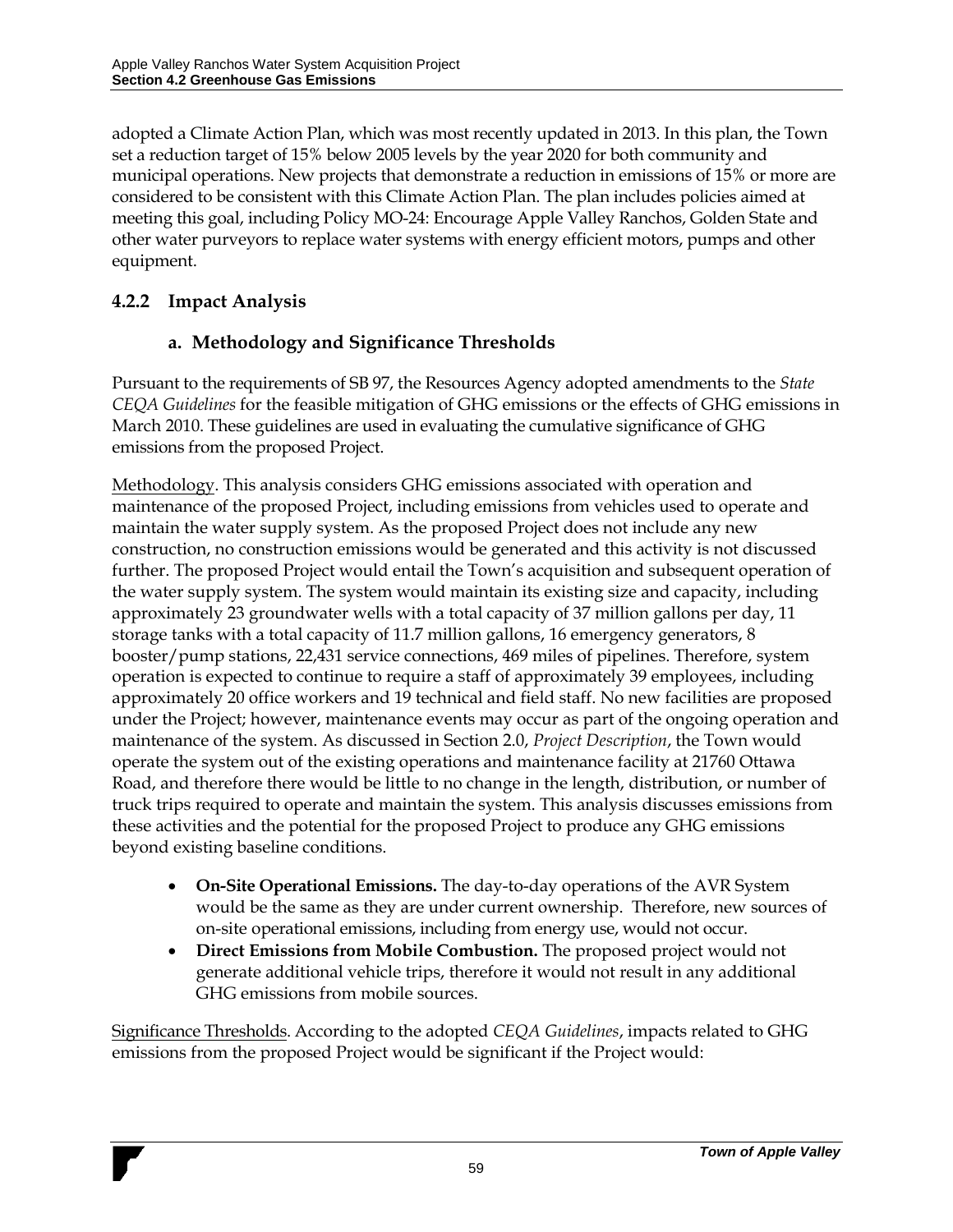adopted a Climate Action Plan, which was most recently updated in 2013. In this plan, the Town set a reduction target of 15% below 2005 levels by the year 2020 for both community and municipal operations. New projects that demonstrate a reduction in emissions of 15% or more are considered to be consistent with this Climate Action Plan. The plan includes policies aimed at meeting this goal, including Policy MO-24: Encourage Apple Valley Ranchos, Golden State and other water purveyors to replace water systems with energy efficient motors, pumps and other equipment.

### **4.2.2 Impact Analysis**

## **a. Methodology and Significance Thresholds**

Pursuant to the requirements of SB 97, the Resources Agency adopted amendments to the *State CEQA Guidelines* for the feasible mitigation of GHG emissions or the effects of GHG emissions in March 2010. These guidelines are used in evaluating the cumulative significance of GHG emissions from the proposed Project.

Methodology. This analysis considers GHG emissions associated with operation and maintenance of the proposed Project, including emissions from vehicles used to operate and maintain the water supply system. As the proposed Project does not include any new construction, no construction emissions would be generated and this activity is not discussed further. The proposed Project would entail the Town's acquisition and subsequent operation of the water supply system. The system would maintain its existing size and capacity, including approximately 23 groundwater wells with a total capacity of 37 million gallons per day, 11 storage tanks with a total capacity of 11.7 million gallons, 16 emergency generators, 8 booster/pump stations, 22,431 service connections, 469 miles of pipelines. Therefore, system operation is expected to continue to require a staff of approximately 39 employees, including approximately 20 office workers and 19 technical and field staff. No new facilities are proposed under the Project; however, maintenance events may occur as part of the ongoing operation and maintenance of the system. As discussed in Section 2.0, *Project Description*, the Town would operate the system out of the existing operations and maintenance facility at 21760 Ottawa Road, and therefore there would be little to no change in the length, distribution, or number of truck trips required to operate and maintain the system. This analysis discusses emissions from these activities and the potential for the proposed Project to produce any GHG emissions beyond existing baseline conditions.

- **On-Site Operational Emissions.** The day-to-day operations of the AVR System would be the same as they are under current ownership. Therefore, new sources of on-site operational emissions, including from energy use, would not occur.
- **Direct Emissions from Mobile Combustion.** The proposed project would not generate additional vehicle trips, therefore it would not result in any additional GHG emissions from mobile sources.

Significance Thresholds. According to the adopted *CEQA Guidelines*, impacts related to GHG emissions from the proposed Project would be significant if the Project would: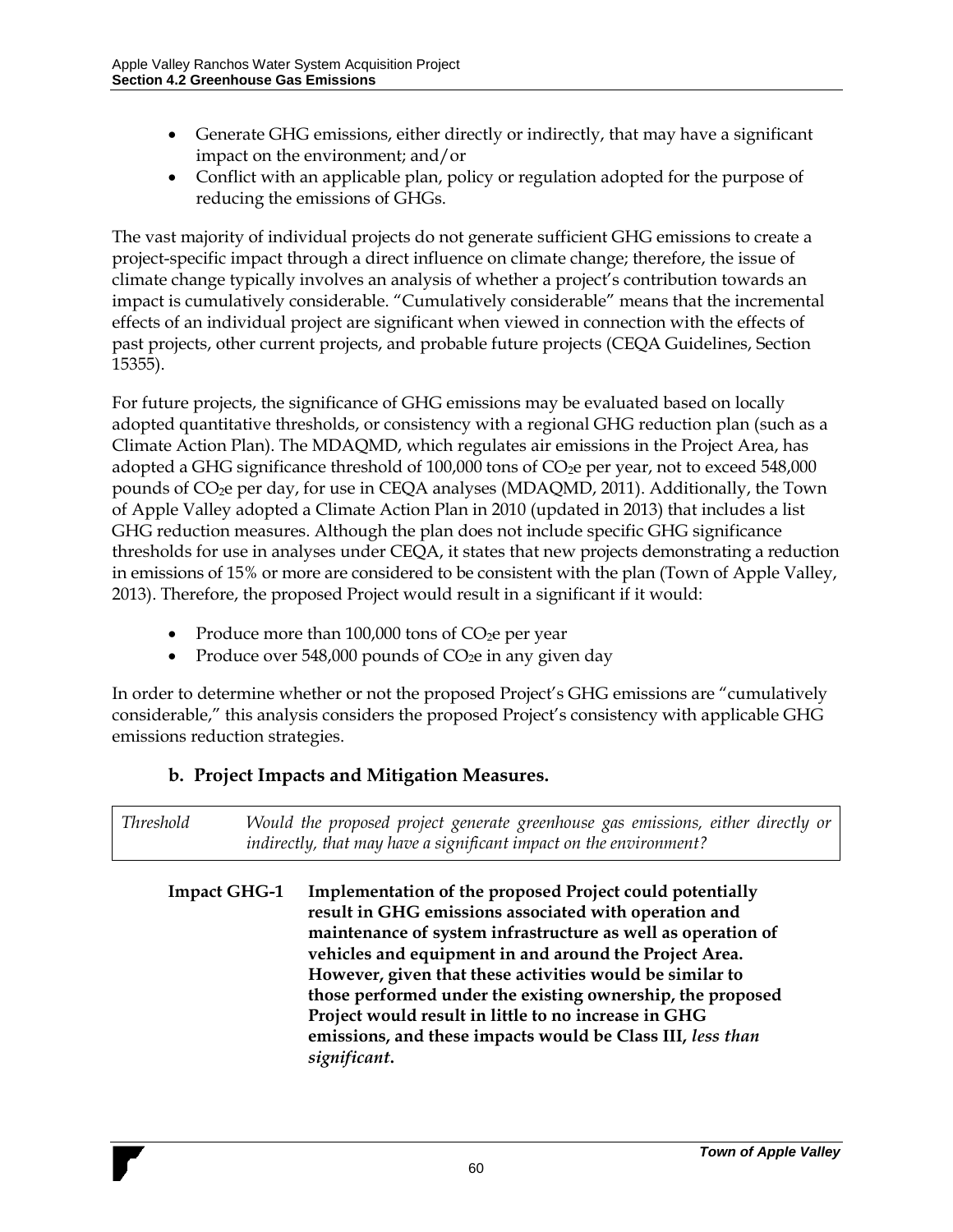- Generate GHG emissions, either directly or indirectly, that may have a significant impact on the environment; and/or
- Conflict with an applicable plan, policy or regulation adopted for the purpose of reducing the emissions of GHGs.

The vast majority of individual projects do not generate sufficient GHG emissions to create a project-specific impact through a direct influence on climate change; therefore, the issue of climate change typically involves an analysis of whether a project's contribution towards an impact is cumulatively considerable. "Cumulatively considerable" means that the incremental effects of an individual project are significant when viewed in connection with the effects of past projects, other current projects, and probable future projects (CEQA Guidelines, Section 15355).

For future projects, the significance of GHG emissions may be evaluated based on locally adopted quantitative thresholds, or consistency with a regional GHG reduction plan (such as a Climate Action Plan). The MDAQMD, which regulates air emissions in the Project Area, has adopted a GHG significance threshold of  $100,000$  tons of  $CO<sub>2</sub>e$  per year, not to exceed 548,000 pounds of CO2e per day, for use in CEQA analyses (MDAQMD, 2011). Additionally, the Town of Apple Valley adopted a Climate Action Plan in 2010 (updated in 2013) that includes a list GHG reduction measures. Although the plan does not include specific GHG significance thresholds for use in analyses under CEQA, it states that new projects demonstrating a reduction in emissions of 15% or more are considered to be consistent with the plan (Town of Apple Valley, 2013). Therefore, the proposed Project would result in a significant if it would:

- Produce more than  $100,000$  tons of  $CO<sub>2</sub>e$  per year
- Produce over 548,000 pounds of  $CO<sub>2</sub>e$  in any given day

In order to determine whether or not the proposed Project's GHG emissions are "cumulatively considerable," this analysis considers the proposed Project's consistency with applicable GHG emissions reduction strategies.

### **b. Project Impacts and Mitigation Measures.**

*Threshold Would the proposed project generate greenhouse gas emissions, either directly or indirectly, that may have a significant impact on the environment?*

**Impact GHG-1 Implementation of the proposed Project could potentially result in GHG emissions associated with operation and maintenance of system infrastructure as well as operation of vehicles and equipment in and around the Project Area. However, given that these activities would be similar to those performed under the existing ownership, the proposed Project would result in little to no increase in GHG emissions, and these impacts would be Class III,** *less than significant***.**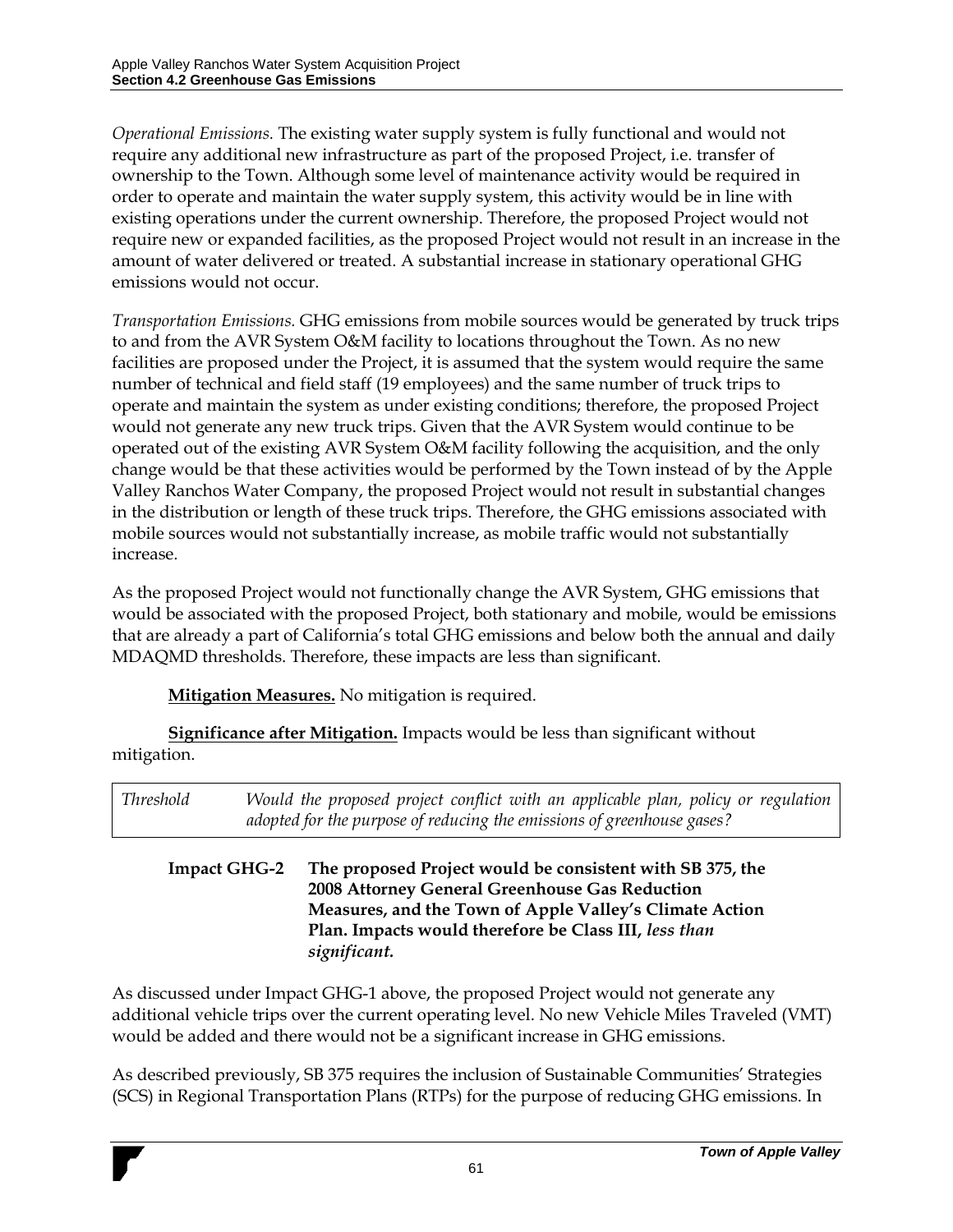*Operational Emissions.* The existing water supply system is fully functional and would not require any additional new infrastructure as part of the proposed Project, i.e. transfer of ownership to the Town. Although some level of maintenance activity would be required in order to operate and maintain the water supply system, this activity would be in line with existing operations under the current ownership. Therefore, the proposed Project would not require new or expanded facilities, as the proposed Project would not result in an increase in the amount of water delivered or treated. A substantial increase in stationary operational GHG emissions would not occur.

*Transportation Emissions.* GHG emissions from mobile sources would be generated by truck trips to and from the AVR System O&M facility to locations throughout the Town. As no new facilities are proposed under the Project, it is assumed that the system would require the same number of technical and field staff (19 employees) and the same number of truck trips to operate and maintain the system as under existing conditions; therefore, the proposed Project would not generate any new truck trips. Given that the AVR System would continue to be operated out of the existing AVR System O&M facility following the acquisition, and the only change would be that these activities would be performed by the Town instead of by the Apple Valley Ranchos Water Company, the proposed Project would not result in substantial changes in the distribution or length of these truck trips. Therefore, the GHG emissions associated with mobile sources would not substantially increase, as mobile traffic would not substantially increase.

As the proposed Project would not functionally change the AVR System, GHG emissions that would be associated with the proposed Project, both stationary and mobile, would be emissions that are already a part of California's total GHG emissions and below both the annual and daily MDAQMD thresholds. Therefore, these impacts are less than significant.

**Mitigation Measures.** No mitigation is required.

**Significance after Mitigation.** Impacts would be less than significant without mitigation.

| <i>Threshold</i>    |  | Would the proposed project conflict with an applicable plan, policy or regulation<br>adopted for the purpose of reducing the emissions of greenhouse gases?             |
|---------------------|--|-------------------------------------------------------------------------------------------------------------------------------------------------------------------------|
| <b>Impact GHG-2</b> |  | The proposed Project would be consistent with SB 375, the<br>2008 Attorney General Greenhouse Gas Reduction<br>Measures, and the Terms of Angle Vallacks Climate Astron |

#### **Measures, and the Town of Apple Valley's Climate Action Plan. Impacts would therefore be Class III,** *less than significant.*

As discussed under Impact GHG-1 above, the proposed Project would not generate any additional vehicle trips over the current operating level. No new Vehicle Miles Traveled (VMT) would be added and there would not be a significant increase in GHG emissions.

As described previously, SB 375 requires the inclusion of Sustainable Communities' Strategies (SCS) in Regional Transportation Plans (RTPs) for the purpose of reducing GHG emissions. In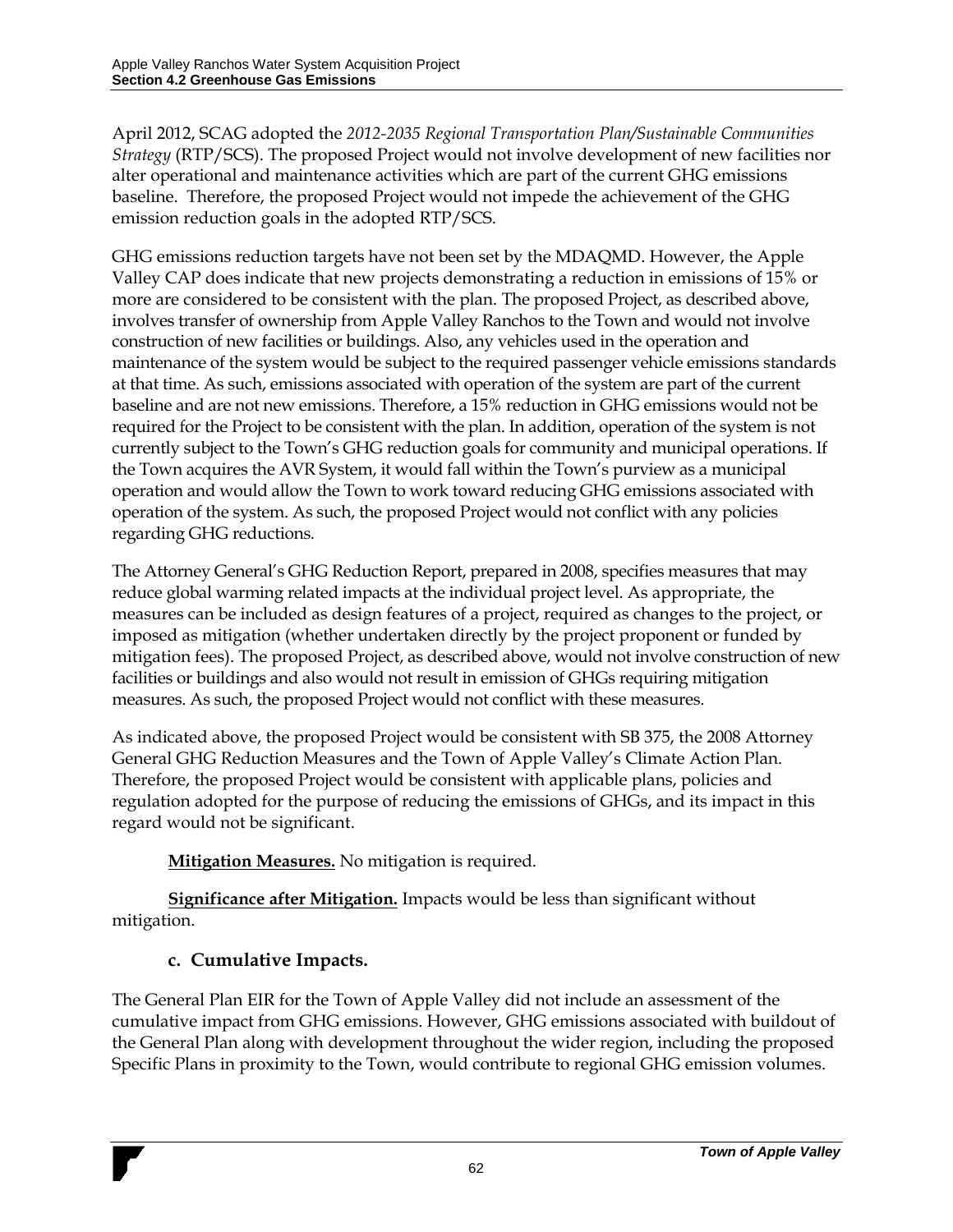April 2012, SCAG adopted the *2012-2035 Regional Transportation Plan/Sustainable Communities Strategy* (RTP/SCS). The proposed Project would not involve development of new facilities nor alter operational and maintenance activities which are part of the current GHG emissions baseline. Therefore, the proposed Project would not impede the achievement of the GHG emission reduction goals in the adopted RTP/SCS.

GHG emissions reduction targets have not been set by the MDAQMD. However, the Apple Valley CAP does indicate that new projects demonstrating a reduction in emissions of 15% or more are considered to be consistent with the plan. The proposed Project, as described above, involves transfer of ownership from Apple Valley Ranchos to the Town and would not involve construction of new facilities or buildings. Also, any vehicles used in the operation and maintenance of the system would be subject to the required passenger vehicle emissions standards at that time. As such, emissions associated with operation of the system are part of the current baseline and are not new emissions. Therefore, a 15% reduction in GHG emissions would not be required for the Project to be consistent with the plan. In addition, operation of the system is not currently subject to the Town's GHG reduction goals for community and municipal operations. If the Town acquires the AVR System, it would fall within the Town's purview as a municipal operation and would allow the Town to work toward reducing GHG emissions associated with operation of the system. As such, the proposed Project would not conflict with any policies regarding GHG reductions.

The Attorney General's GHG Reduction Report, prepared in 2008, specifies measures that may reduce global warming related impacts at the individual project level. As appropriate, the measures can be included as design features of a project, required as changes to the project, or imposed as mitigation (whether undertaken directly by the project proponent or funded by mitigation fees). The proposed Project, as described above, would not involve construction of new facilities or buildings and also would not result in emission of GHGs requiring mitigation measures. As such, the proposed Project would not conflict with these measures.

As indicated above, the proposed Project would be consistent with SB 375, the 2008 Attorney General GHG Reduction Measures and the Town of Apple Valley's Climate Action Plan. Therefore, the proposed Project would be consistent with applicable plans, policies and regulation adopted for the purpose of reducing the emissions of GHGs, and its impact in this regard would not be significant.

**Mitigation Measures.** No mitigation is required.

**Significance after Mitigation.** Impacts would be less than significant without mitigation.

## **c. Cumulative Impacts.**

The General Plan EIR for the Town of Apple Valley did not include an assessment of the cumulative impact from GHG emissions. However, GHG emissions associated with buildout of the General Plan along with development throughout the wider region, including the proposed Specific Plans in proximity to the Town, would contribute to regional GHG emission volumes.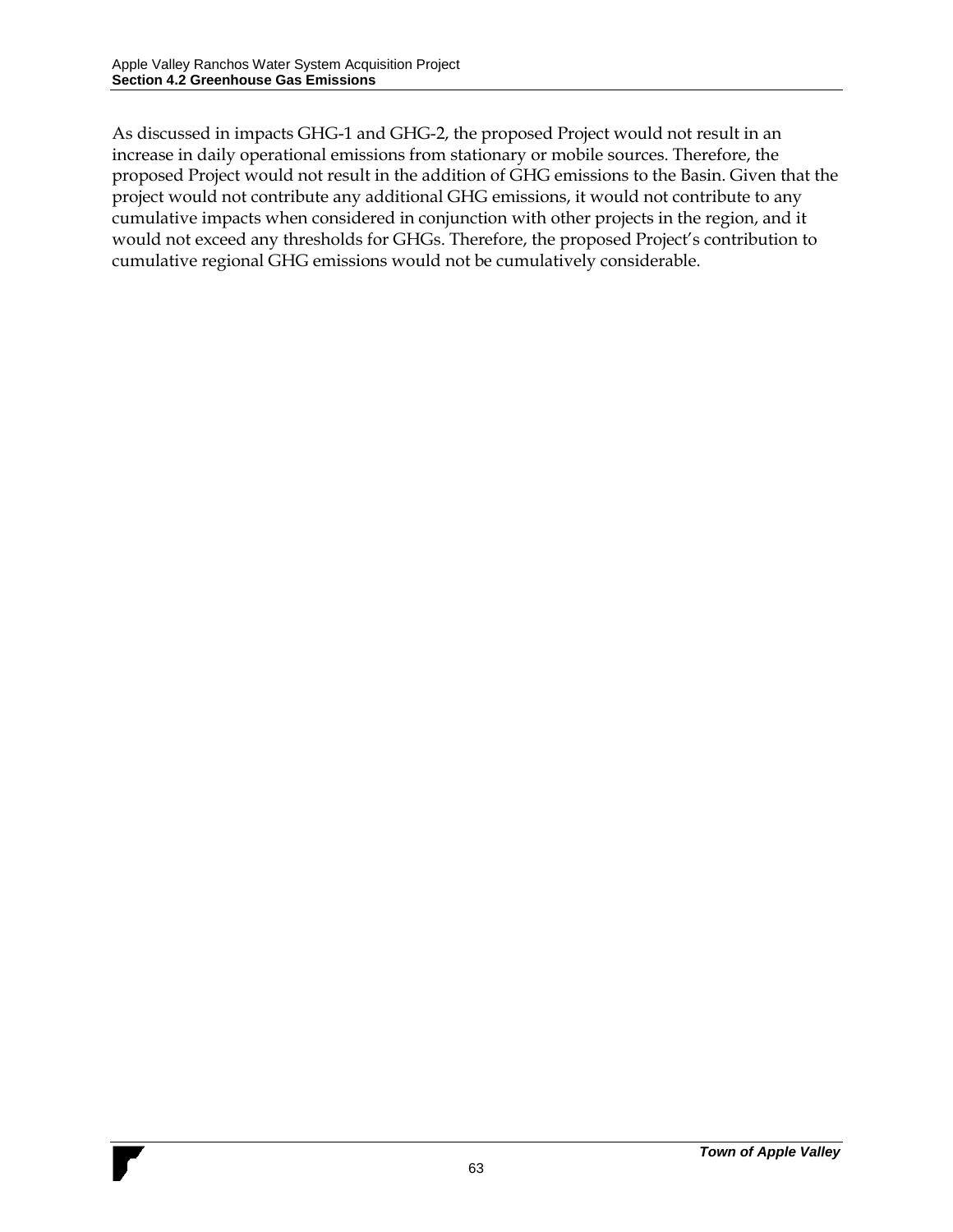As discussed in impacts GHG-1 and GHG-2, the proposed Project would not result in an increase in daily operational emissions from stationary or mobile sources. Therefore, the proposed Project would not result in the addition of GHG emissions to the Basin. Given that the project would not contribute any additional GHG emissions, it would not contribute to any cumulative impacts when considered in conjunction with other projects in the region, and it would not exceed any thresholds for GHGs. Therefore, the proposed Project's contribution to cumulative regional GHG emissions would not be cumulatively considerable.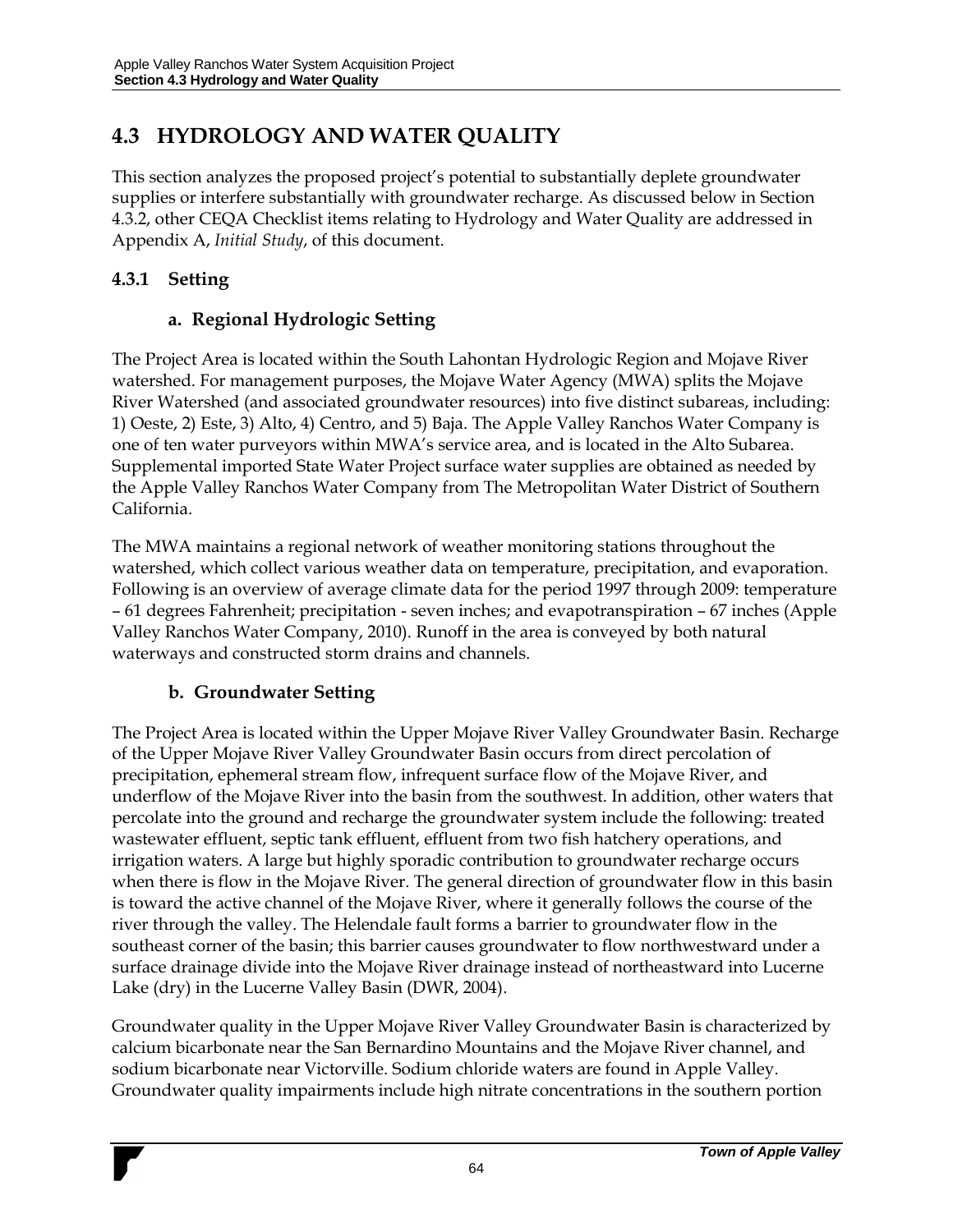## **4.3 HYDROLOGY AND WATER QUALITY**

This section analyzes the proposed project's potential to substantially deplete groundwater supplies or interfere substantially with groundwater recharge. As discussed below in Section 4.3.2, other CEQA Checklist items relating to Hydrology and Water Quality are addressed in Appendix A, *Initial Study*, of this document.

### **4.3.1 Setting**

### **a. Regional Hydrologic Setting**

The Project Area is located within the South Lahontan Hydrologic Region and Mojave River watershed. For management purposes, the Mojave Water Agency (MWA) splits the Mojave River Watershed (and associated groundwater resources) into five distinct subareas, including: 1) Oeste, 2) Este, 3) Alto, 4) Centro, and 5) Baja. The Apple Valley Ranchos Water Company is one of ten water purveyors within MWA's service area, and is located in the Alto Subarea. Supplemental imported State Water Project surface water supplies are obtained as needed by the Apple Valley Ranchos Water Company from The Metropolitan Water District of Southern California.

The MWA maintains a regional network of weather monitoring stations throughout the watershed, which collect various weather data on temperature, precipitation, and evaporation. Following is an overview of average climate data for the period 1997 through 2009: temperature – 61 degrees Fahrenheit; precipitation - seven inches; and evapotranspiration – 67 inches (Apple Valley Ranchos Water Company, 2010). Runoff in the area is conveyed by both natural waterways and constructed storm drains and channels.

### **b. Groundwater Setting**

The Project Area is located within the Upper Mojave River Valley Groundwater Basin. Recharge of the Upper Mojave River Valley Groundwater Basin occurs from direct percolation of precipitation, ephemeral stream flow, infrequent surface flow of the Mojave River, and underflow of the Mojave River into the basin from the southwest. In addition, other waters that percolate into the ground and recharge the groundwater system include the following: treated wastewater effluent, septic tank effluent, effluent from two fish hatchery operations, and irrigation waters. A large but highly sporadic contribution to groundwater recharge occurs when there is flow in the Mojave River. The general direction of groundwater flow in this basin is toward the active channel of the Mojave River, where it generally follows the course of the river through the valley. The Helendale fault forms a barrier to groundwater flow in the southeast corner of the basin; this barrier causes groundwater to flow northwestward under a surface drainage divide into the Mojave River drainage instead of northeastward into Lucerne Lake (dry) in the Lucerne Valley Basin (DWR, 2004).

Groundwater quality in the Upper Mojave River Valley Groundwater Basin is characterized by calcium bicarbonate near the San Bernardino Mountains and the Mojave River channel, and sodium bicarbonate near Victorville. Sodium chloride waters are found in Apple Valley. Groundwater quality impairments include high nitrate concentrations in the southern portion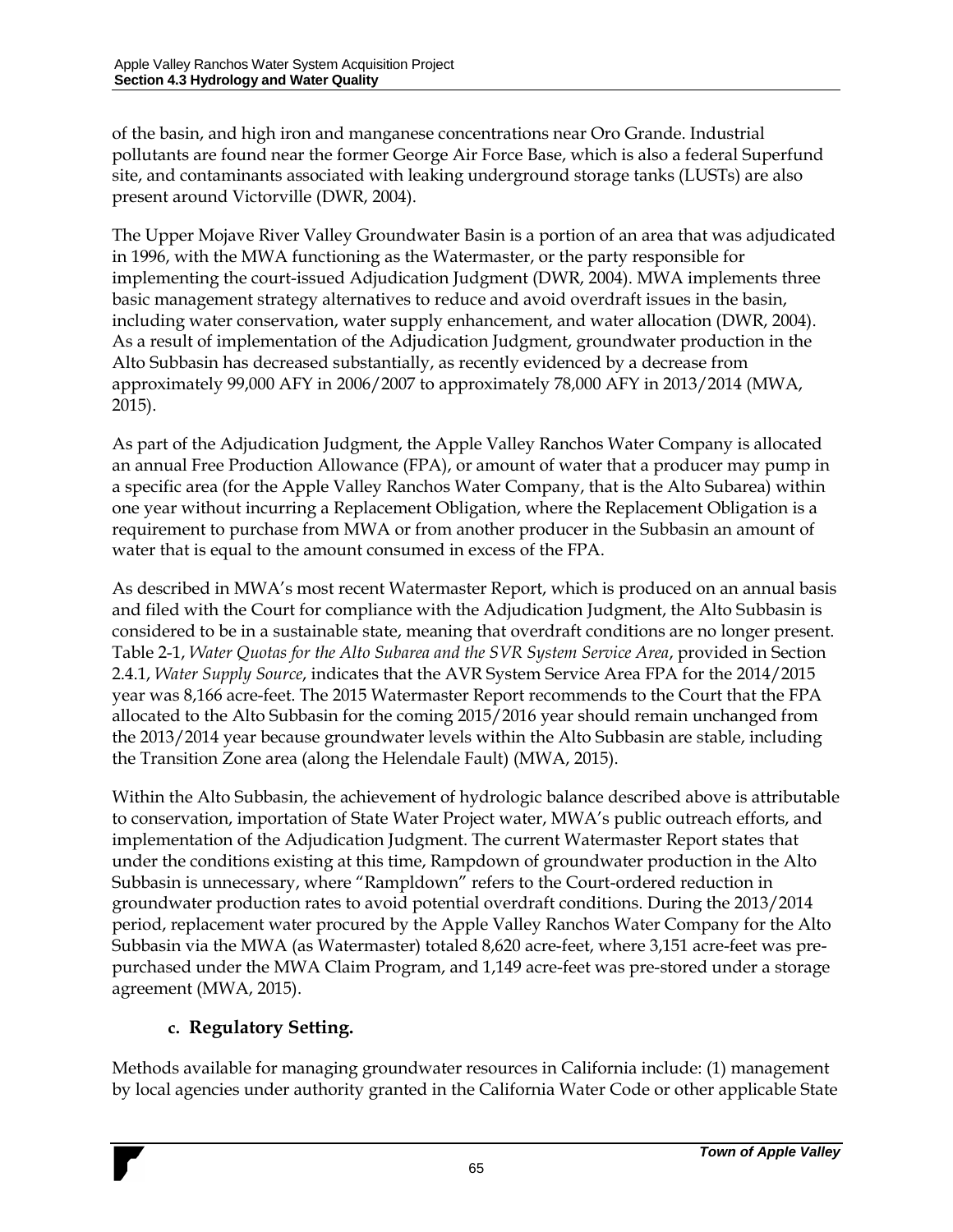of the basin, and high iron and manganese concentrations near Oro Grande. Industrial pollutants are found near the former George Air Force Base, which is also a federal Superfund site, and contaminants associated with leaking underground storage tanks (LUSTs) are also present around Victorville (DWR, 2004).

The Upper Mojave River Valley Groundwater Basin is a portion of an area that was adjudicated in 1996, with the MWA functioning as the Watermaster, or the party responsible for implementing the court-issued Adjudication Judgment (DWR, 2004). MWA implements three basic management strategy alternatives to reduce and avoid overdraft issues in the basin, including water conservation, water supply enhancement, and water allocation (DWR, 2004). As a result of implementation of the Adjudication Judgment, groundwater production in the Alto Subbasin has decreased substantially, as recently evidenced by a decrease from approximately 99,000 AFY in 2006/2007 to approximately 78,000 AFY in 2013/2014 (MWA, 2015).

As part of the Adjudication Judgment, the Apple Valley Ranchos Water Company is allocated an annual Free Production Allowance (FPA), or amount of water that a producer may pump in a specific area (for the Apple Valley Ranchos Water Company, that is the Alto Subarea) within one year without incurring a Replacement Obligation, where the Replacement Obligation is a requirement to purchase from MWA or from another producer in the Subbasin an amount of water that is equal to the amount consumed in excess of the FPA.

As described in MWA's most recent Watermaster Report, which is produced on an annual basis and filed with the Court for compliance with the Adjudication Judgment, the Alto Subbasin is considered to be in a sustainable state, meaning that overdraft conditions are no longer present. Table 2-1, *Water Quotas for the Alto Subarea and the SVR System Service Area*, provided in Section 2.4.1, *Water Supply Source*, indicates that the AVR System Service Area FPA for the 2014/2015 year was 8,166 acre-feet. The 2015 Watermaster Report recommends to the Court that the FPA allocated to the Alto Subbasin for the coming 2015/2016 year should remain unchanged from the 2013/2014 year because groundwater levels within the Alto Subbasin are stable, including the Transition Zone area (along the Helendale Fault) (MWA, 2015).

Within the Alto Subbasin, the achievement of hydrologic balance described above is attributable to conservation, importation of State Water Project water, MWA's public outreach efforts, and implementation of the Adjudication Judgment. The current Watermaster Report states that under the conditions existing at this time, Rampdown of groundwater production in the Alto Subbasin is unnecessary, where "Rampldown" refers to the Court-ordered reduction in groundwater production rates to avoid potential overdraft conditions. During the 2013/2014 period, replacement water procured by the Apple Valley Ranchos Water Company for the Alto Subbasin via the MWA (as Watermaster) totaled 8,620 acre-feet, where 3,151 acre-feet was prepurchased under the MWA Claim Program, and 1,149 acre-feet was pre-stored under a storage agreement (MWA, 2015).

### **c. Regulatory Setting.**

Methods available for managing groundwater resources in California include: (1) management by local agencies under authority granted in the California Water Code or other applicable State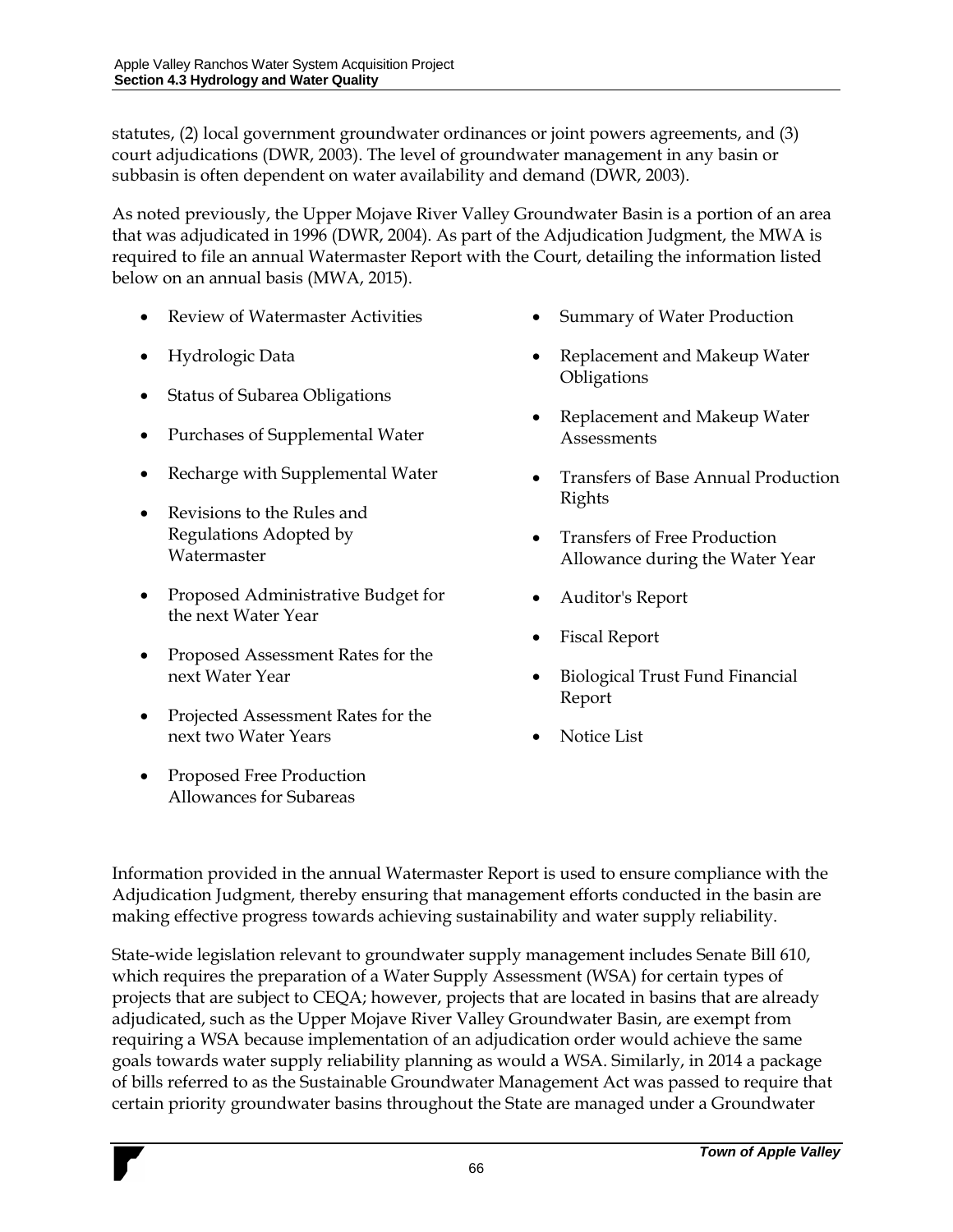statutes, (2) local government groundwater ordinances or joint powers agreements, and (3) court adjudications (DWR, 2003). The level of groundwater management in any basin or subbasin is often dependent on water availability and demand (DWR, 2003).

As noted previously, the Upper Mojave River Valley Groundwater Basin is a portion of an area that was adjudicated in 1996 (DWR, 2004). As part of the Adjudication Judgment, the MWA is required to file an annual Watermaster Report with the Court, detailing the information listed below on an annual basis (MWA, 2015).

- Review of Watermaster Activities
- Hydrologic Data
- Status of Subarea Obligations
- Purchases of Supplemental Water
- Recharge with Supplemental Water
- Revisions to the Rules and Regulations Adopted by Watermaster
- Proposed Administrative Budget for the next Water Year
- Proposed Assessment Rates for the next Water Year
- Projected Assessment Rates for the next two Water Years
- Proposed Free Production Allowances for Subareas
- Summary of Water Production
- Replacement and Makeup Water **Obligations**
- Replacement and Makeup Water **Assessments**
- Transfers of Base Annual Production Rights
- Transfers of Free Production Allowance during the Water Year
- Auditor's Report
- Fiscal Report
- Biological Trust Fund Financial Report
- Notice List

Information provided in the annual Watermaster Report is used to ensure compliance with the Adjudication Judgment, thereby ensuring that management efforts conducted in the basin are making effective progress towards achieving sustainability and water supply reliability.

State-wide legislation relevant to groundwater supply management includes Senate Bill 610, which requires the preparation of a Water Supply Assessment (WSA) for certain types of projects that are subject to CEQA; however, projects that are located in basins that are already adjudicated, such as the Upper Mojave River Valley Groundwater Basin, are exempt from requiring a WSA because implementation of an adjudication order would achieve the same goals towards water supply reliability planning as would a WSA. Similarly, in 2014 a package of bills referred to as the Sustainable Groundwater Management Act was passed to require that certain priority groundwater basins throughout the State are managed under a Groundwater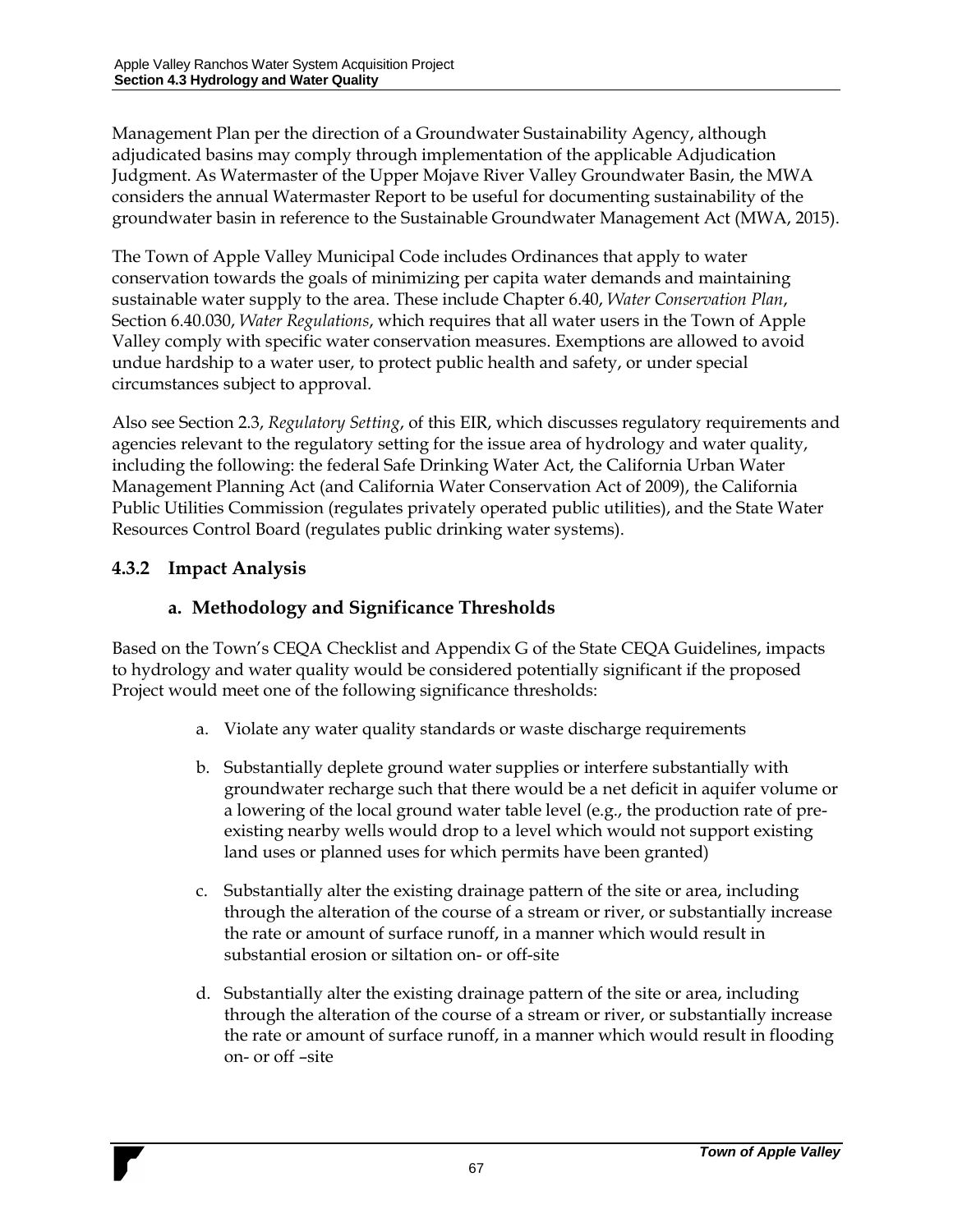Management Plan per the direction of a Groundwater Sustainability Agency, although adjudicated basins may comply through implementation of the applicable Adjudication Judgment. As Watermaster of the Upper Mojave River Valley Groundwater Basin, the MWA considers the annual Watermaster Report to be useful for documenting sustainability of the groundwater basin in reference to the Sustainable Groundwater Management Act (MWA, 2015).

The Town of Apple Valley Municipal Code includes Ordinances that apply to water conservation towards the goals of minimizing per capita water demands and maintaining sustainable water supply to the area. These include Chapter 6.40, *Water Conservation Plan*, Section 6.40.030, *Water Regulations*, which requires that all water users in the Town of Apple Valley comply with specific water conservation measures. Exemptions are allowed to avoid undue hardship to a water user, to protect public health and safety, or under special circumstances subject to approval.

Also see Section 2.3, *Regulatory Setting*, of this EIR, which discusses regulatory requirements and agencies relevant to the regulatory setting for the issue area of hydrology and water quality, including the following: the federal Safe Drinking Water Act, the California Urban Water Management Planning Act (and California Water Conservation Act of 2009), the California Public Utilities Commission (regulates privately operated public utilities), and the State Water Resources Control Board (regulates public drinking water systems).

### **4.3.2 Impact Analysis**

## **a. Methodology and Significance Thresholds**

Based on the Town's CEQA Checklist and Appendix G of the State CEQA Guidelines, impacts to hydrology and water quality would be considered potentially significant if the proposed Project would meet one of the following significance thresholds:

- a. Violate any water quality standards or waste discharge requirements
- b. Substantially deplete ground water supplies or interfere substantially with groundwater recharge such that there would be a net deficit in aquifer volume or a lowering of the local ground water table level (e.g., the production rate of preexisting nearby wells would drop to a level which would not support existing land uses or planned uses for which permits have been granted)
- c. Substantially alter the existing drainage pattern of the site or area, including through the alteration of the course of a stream or river, or substantially increase the rate or amount of surface runoff, in a manner which would result in substantial erosion or siltation on- or off-site
- d. Substantially alter the existing drainage pattern of the site or area, including through the alteration of the course of a stream or river, or substantially increase the rate or amount of surface runoff, in a manner which would result in flooding on- or off –site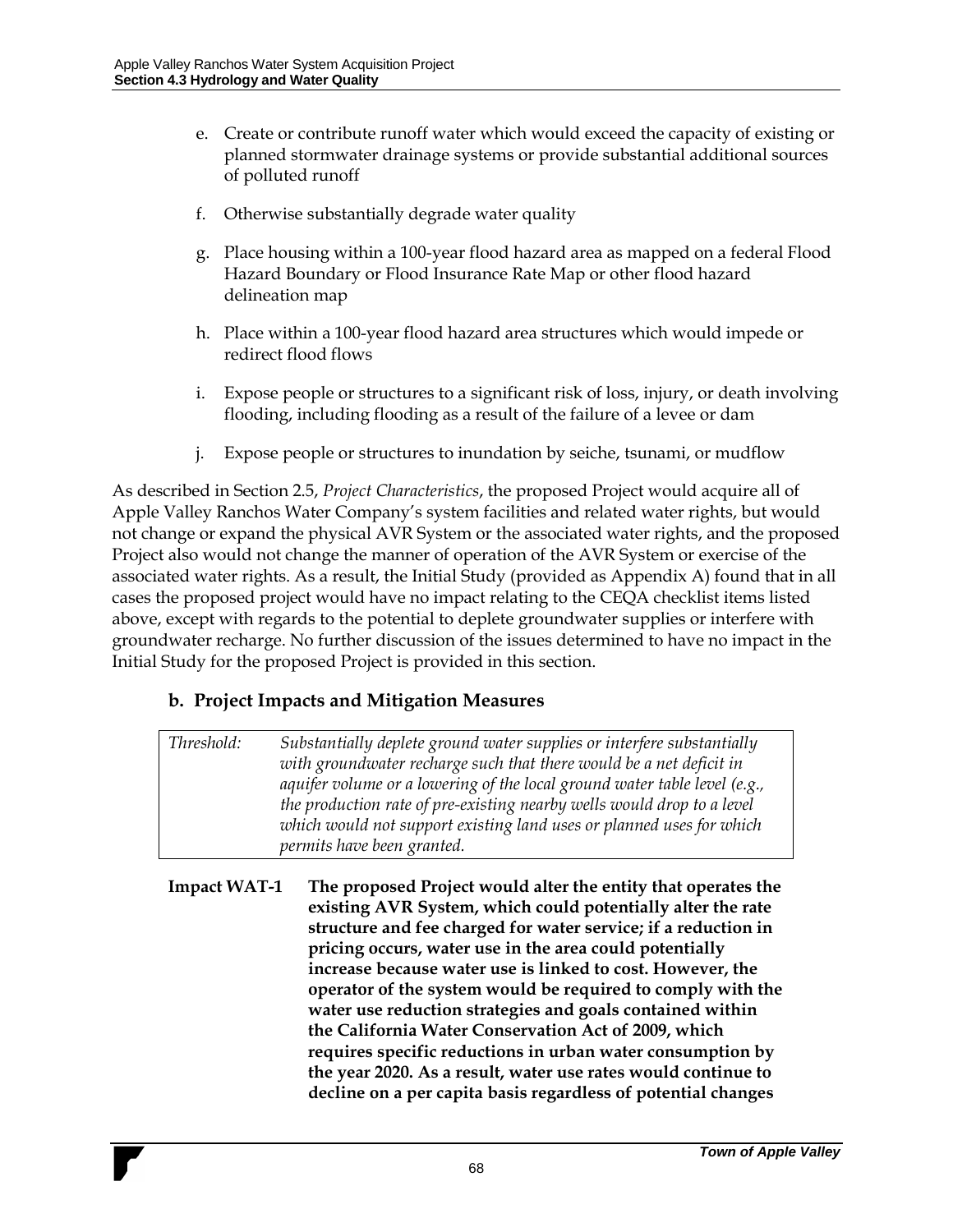- e. Create or contribute runoff water which would exceed the capacity of existing or planned stormwater drainage systems or provide substantial additional sources of polluted runoff
- f. Otherwise substantially degrade water quality
- g. Place housing within a 100-year flood hazard area as mapped on a federal Flood Hazard Boundary or Flood Insurance Rate Map or other flood hazard delineation map
- h. Place within a 100-year flood hazard area structures which would impede or redirect flood flows
- i. Expose people or structures to a significant risk of loss, injury, or death involving flooding, including flooding as a result of the failure of a levee or dam
- j. Expose people or structures to inundation by seiche, tsunami, or mudflow

As described in Section 2.5, *Project Characteristics*, the proposed Project would acquire all of Apple Valley Ranchos Water Company's system facilities and related water rights, but would not change or expand the physical AVR System or the associated water rights, and the proposed Project also would not change the manner of operation of the AVR System or exercise of the associated water rights. As a result, the Initial Study (provided as Appendix A) found that in all cases the proposed project would have no impact relating to the CEQA checklist items listed above, except with regards to the potential to deplete groundwater supplies or interfere with groundwater recharge. No further discussion of the issues determined to have no impact in the Initial Study for the proposed Project is provided in this section.

#### **b. Project Impacts and Mitigation Measures**

| Threshold: | Substantially deplete ground water supplies or interfere substantially    |
|------------|---------------------------------------------------------------------------|
|            | with groundwater recharge such that there would be a net deficit in       |
|            | aquifer volume or a lowering of the local ground water table level (e.g., |
|            | the production rate of pre-existing nearby wells would drop to a level    |
|            | which would not support existing land uses or planned uses for which      |
|            | permits have been granted.                                                |

**Impact WAT-1 The proposed Project would alter the entity that operates the existing AVR System, which could potentially alter the rate structure and fee charged for water service; if a reduction in pricing occurs, water use in the area could potentially increase because water use is linked to cost. However, the operator of the system would be required to comply with the water use reduction strategies and goals contained within the California Water Conservation Act of 2009, which requires specific reductions in urban water consumption by the year 2020. As a result, water use rates would continue to decline on a per capita basis regardless of potential changes**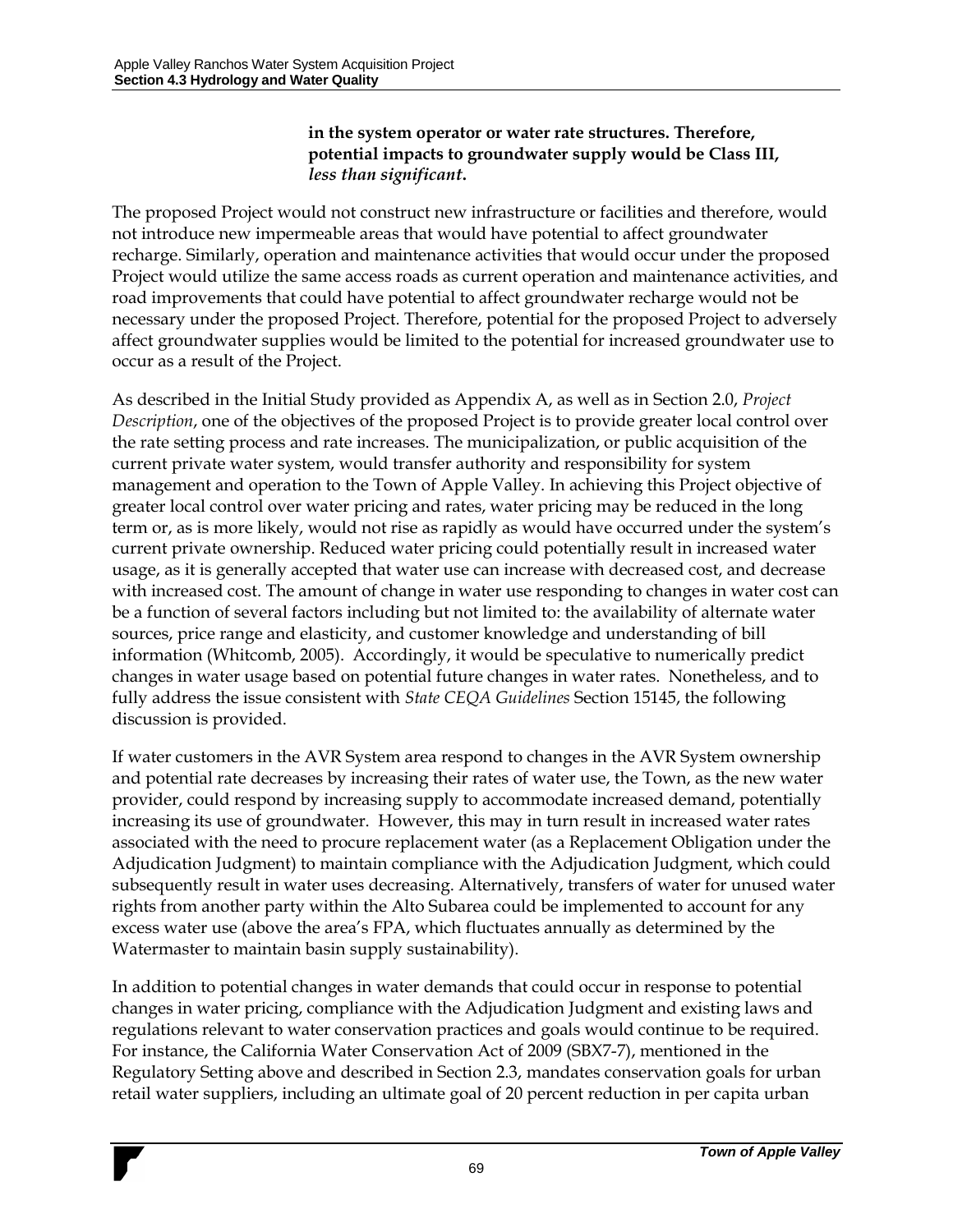#### **in the system operator or water rate structures. Therefore, potential impacts to groundwater supply would be Class III,**  *less than significant***.**

The proposed Project would not construct new infrastructure or facilities and therefore, would not introduce new impermeable areas that would have potential to affect groundwater recharge. Similarly, operation and maintenance activities that would occur under the proposed Project would utilize the same access roads as current operation and maintenance activities, and road improvements that could have potential to affect groundwater recharge would not be necessary under the proposed Project. Therefore, potential for the proposed Project to adversely affect groundwater supplies would be limited to the potential for increased groundwater use to occur as a result of the Project.

As described in the Initial Study provided as Appendix A, as well as in Section 2.0, *Project Description*, one of the objectives of the proposed Project is to provide greater local control over the rate setting process and rate increases. The municipalization, or public acquisition of the current private water system, would transfer authority and responsibility for system management and operation to the Town of Apple Valley. In achieving this Project objective of greater local control over water pricing and rates, water pricing may be reduced in the long term or, as is more likely, would not rise as rapidly as would have occurred under the system's current private ownership. Reduced water pricing could potentially result in increased water usage, as it is generally accepted that water use can increase with decreased cost, and decrease with increased cost. The amount of change in water use responding to changes in water cost can be a function of several factors including but not limited to: the availability of alternate water sources, price range and elasticity, and customer knowledge and understanding of bill information (Whitcomb, 2005). Accordingly, it would be speculative to numerically predict changes in water usage based on potential future changes in water rates. Nonetheless, and to fully address the issue consistent with *State CEQA Guidelines* Section 15145, the following discussion is provided.

If water customers in the AVR System area respond to changes in the AVR System ownership and potential rate decreases by increasing their rates of water use, the Town, as the new water provider, could respond by increasing supply to accommodate increased demand, potentially increasing its use of groundwater. However, this may in turn result in increased water rates associated with the need to procure replacement water (as a Replacement Obligation under the Adjudication Judgment) to maintain compliance with the Adjudication Judgment, which could subsequently result in water uses decreasing. Alternatively, transfers of water for unused water rights from another party within the Alto Subarea could be implemented to account for any excess water use (above the area's FPA, which fluctuates annually as determined by the Watermaster to maintain basin supply sustainability).

In addition to potential changes in water demands that could occur in response to potential changes in water pricing, compliance with the Adjudication Judgment and existing laws and regulations relevant to water conservation practices and goals would continue to be required. For instance, the California Water Conservation Act of 2009 (SBX7-7), mentioned in the Regulatory Setting above and described in Section 2.3, mandates conservation goals for urban retail water suppliers, including an ultimate goal of 20 percent reduction in per capita urban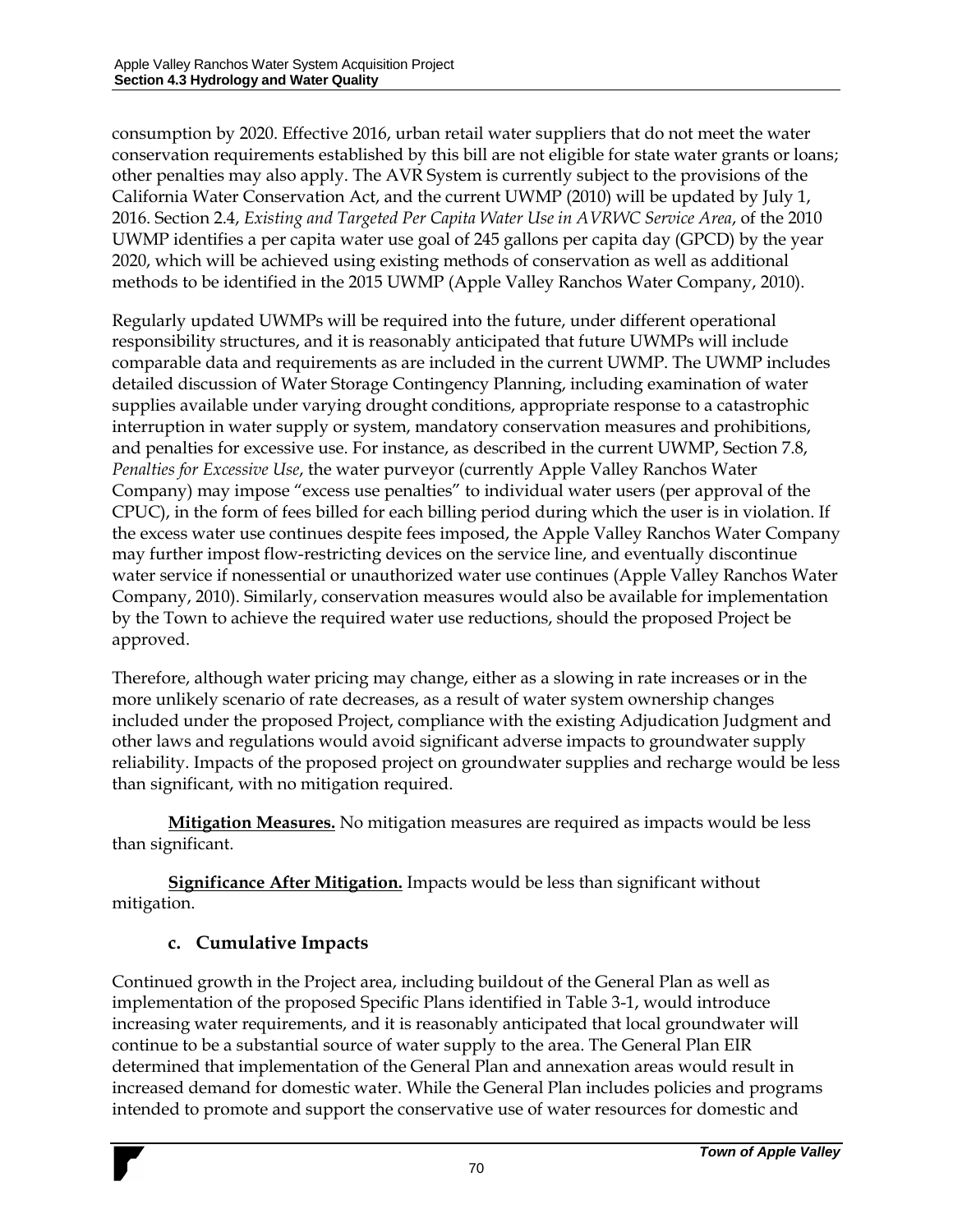consumption by 2020. Effective 2016, urban retail water suppliers that do not meet the water conservation requirements established by this bill are not eligible for state water grants or loans; other penalties may also apply. The AVR System is currently subject to the provisions of the California Water Conservation Act, and the current UWMP (2010) will be updated by July 1, 2016. Section 2.4, *Existing and Targeted Per Capita Water Use in AVRWC Service Area*, of the 2010 UWMP identifies a per capita water use goal of 245 gallons per capita day (GPCD) by the year 2020, which will be achieved using existing methods of conservation as well as additional methods to be identified in the 2015 UWMP (Apple Valley Ranchos Water Company, 2010).

Regularly updated UWMPs will be required into the future, under different operational responsibility structures, and it is reasonably anticipated that future UWMPs will include comparable data and requirements as are included in the current UWMP. The UWMP includes detailed discussion of Water Storage Contingency Planning, including examination of water supplies available under varying drought conditions, appropriate response to a catastrophic interruption in water supply or system, mandatory conservation measures and prohibitions, and penalties for excessive use. For instance, as described in the current UWMP, Section 7.8, *Penalties for Excessive Use*, the water purveyor (currently Apple Valley Ranchos Water Company) may impose "excess use penalties" to individual water users (per approval of the CPUC), in the form of fees billed for each billing period during which the user is in violation. If the excess water use continues despite fees imposed, the Apple Valley Ranchos Water Company may further impost flow-restricting devices on the service line, and eventually discontinue water service if nonessential or unauthorized water use continues (Apple Valley Ranchos Water Company, 2010). Similarly, conservation measures would also be available for implementation by the Town to achieve the required water use reductions, should the proposed Project be approved.

Therefore, although water pricing may change, either as a slowing in rate increases or in the more unlikely scenario of rate decreases, as a result of water system ownership changes included under the proposed Project, compliance with the existing Adjudication Judgment and other laws and regulations would avoid significant adverse impacts to groundwater supply reliability. Impacts of the proposed project on groundwater supplies and recharge would be less than significant, with no mitigation required.

**Mitigation Measures.** No mitigation measures are required as impacts would be less than significant.

**Significance After Mitigation.** Impacts would be less than significant without mitigation.

### **c. Cumulative Impacts**

Continued growth in the Project area, including buildout of the General Plan as well as implementation of the proposed Specific Plans identified in Table 3-1, would introduce increasing water requirements, and it is reasonably anticipated that local groundwater will continue to be a substantial source of water supply to the area. The General Plan EIR determined that implementation of the General Plan and annexation areas would result in increased demand for domestic water. While the General Plan includes policies and programs intended to promote and support the conservative use of water resources for domestic and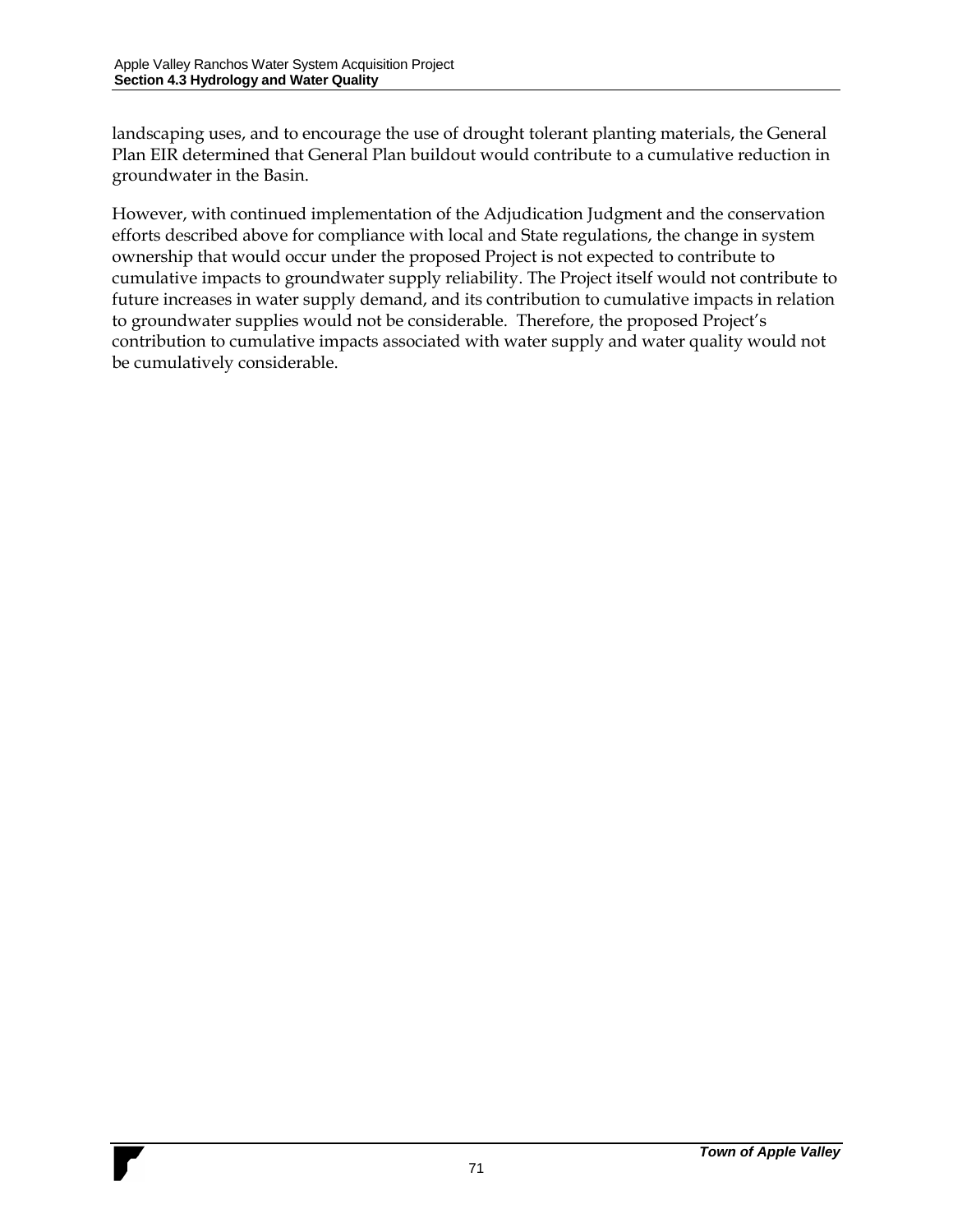landscaping uses, and to encourage the use of drought tolerant planting materials, the General Plan EIR determined that General Plan buildout would contribute to a cumulative reduction in groundwater in the Basin.

However, with continued implementation of the Adjudication Judgment and the conservation efforts described above for compliance with local and State regulations, the change in system ownership that would occur under the proposed Project is not expected to contribute to cumulative impacts to groundwater supply reliability. The Project itself would not contribute to future increases in water supply demand, and its contribution to cumulative impacts in relation to groundwater supplies would not be considerable. Therefore, the proposed Project's contribution to cumulative impacts associated with water supply and water quality would not be cumulatively considerable.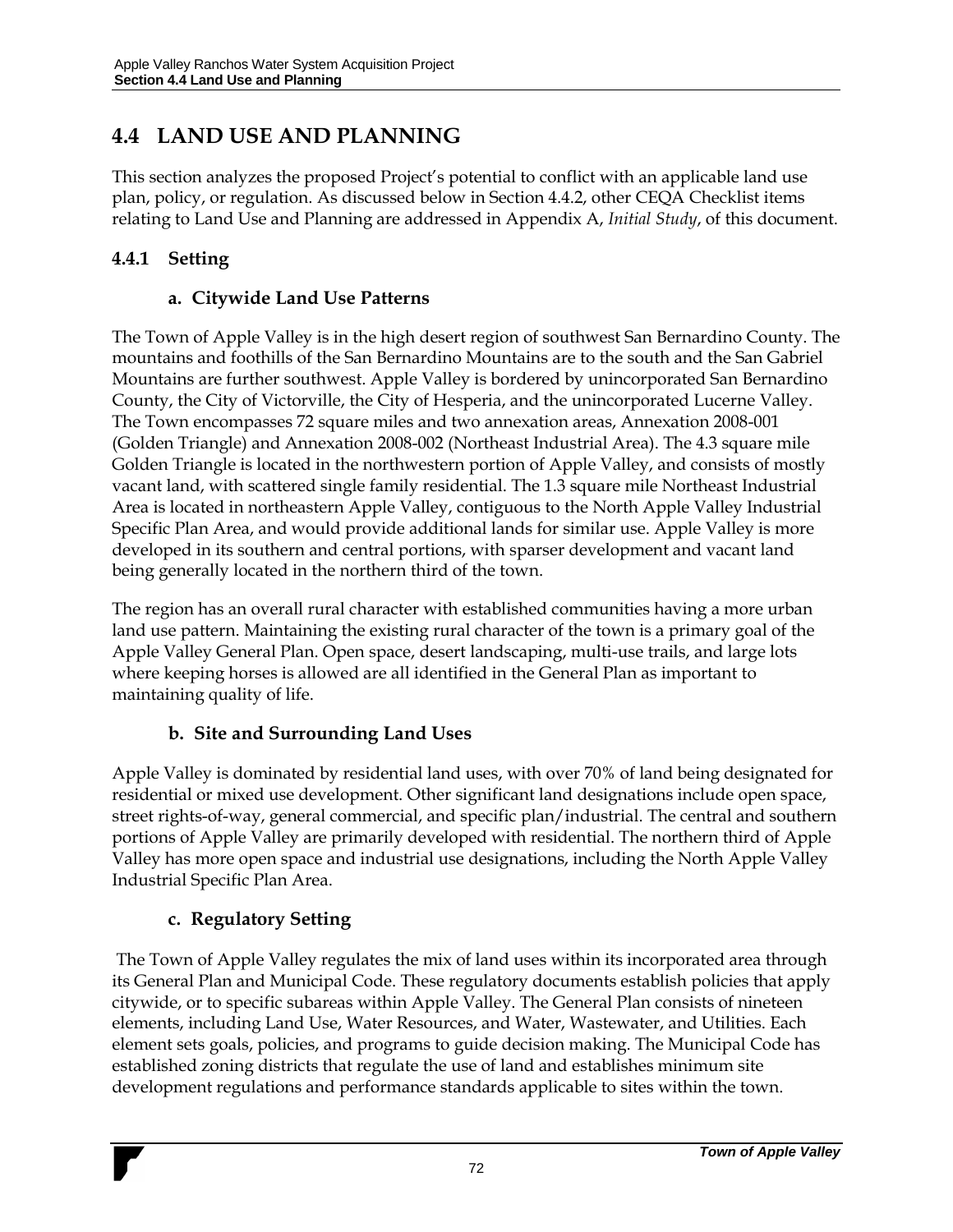## **4.4 LAND USE AND PLANNING**

This section analyzes the proposed Project's potential to conflict with an applicable land use plan, policy, or regulation. As discussed below in Section 4.4.2, other CEQA Checklist items relating to Land Use and Planning are addressed in Appendix A, *Initial Study*, of this document.

### **4.4.1 Setting**

### **a. Citywide Land Use Patterns**

The Town of Apple Valley is in the high desert region of southwest San Bernardino County. The mountains and foothills of the San Bernardino Mountains are to the south and the San Gabriel Mountains are further southwest. Apple Valley is bordered by unincorporated San Bernardino County, the City of Victorville, the City of Hesperia, and the unincorporated Lucerne Valley. The Town encompasses 72 square miles and two annexation areas, Annexation 2008-001 (Golden Triangle) and Annexation 2008-002 (Northeast Industrial Area). The 4.3 square mile Golden Triangle is located in the northwestern portion of Apple Valley, and consists of mostly vacant land, with scattered single family residential. The 1.3 square mile Northeast Industrial Area is located in northeastern Apple Valley, contiguous to the North Apple Valley Industrial Specific Plan Area, and would provide additional lands for similar use. Apple Valley is more developed in its southern and central portions, with sparser development and vacant land being generally located in the northern third of the town.

The region has an overall rural character with established communities having a more urban land use pattern. Maintaining the existing rural character of the town is a primary goal of the Apple Valley General Plan. Open space, desert landscaping, multi-use trails, and large lots where keeping horses is allowed are all identified in the General Plan as important to maintaining quality of life.

### **b. Site and Surrounding Land Uses**

Apple Valley is dominated by residential land uses, with over 70% of land being designated for residential or mixed use development. Other significant land designations include open space, street rights-of-way, general commercial, and specific plan/industrial. The central and southern portions of Apple Valley are primarily developed with residential. The northern third of Apple Valley has more open space and industrial use designations, including the North Apple Valley Industrial Specific Plan Area.

### **c. Regulatory Setting**

The Town of Apple Valley regulates the mix of land uses within its incorporated area through its General Plan and Municipal Code. These regulatory documents establish policies that apply citywide, or to specific subareas within Apple Valley. The General Plan consists of nineteen elements, including Land Use, Water Resources, and Water, Wastewater, and Utilities. Each element sets goals, policies, and programs to guide decision making. The Municipal Code has established zoning districts that regulate the use of land and establishes minimum site development regulations and performance standards applicable to sites within the town.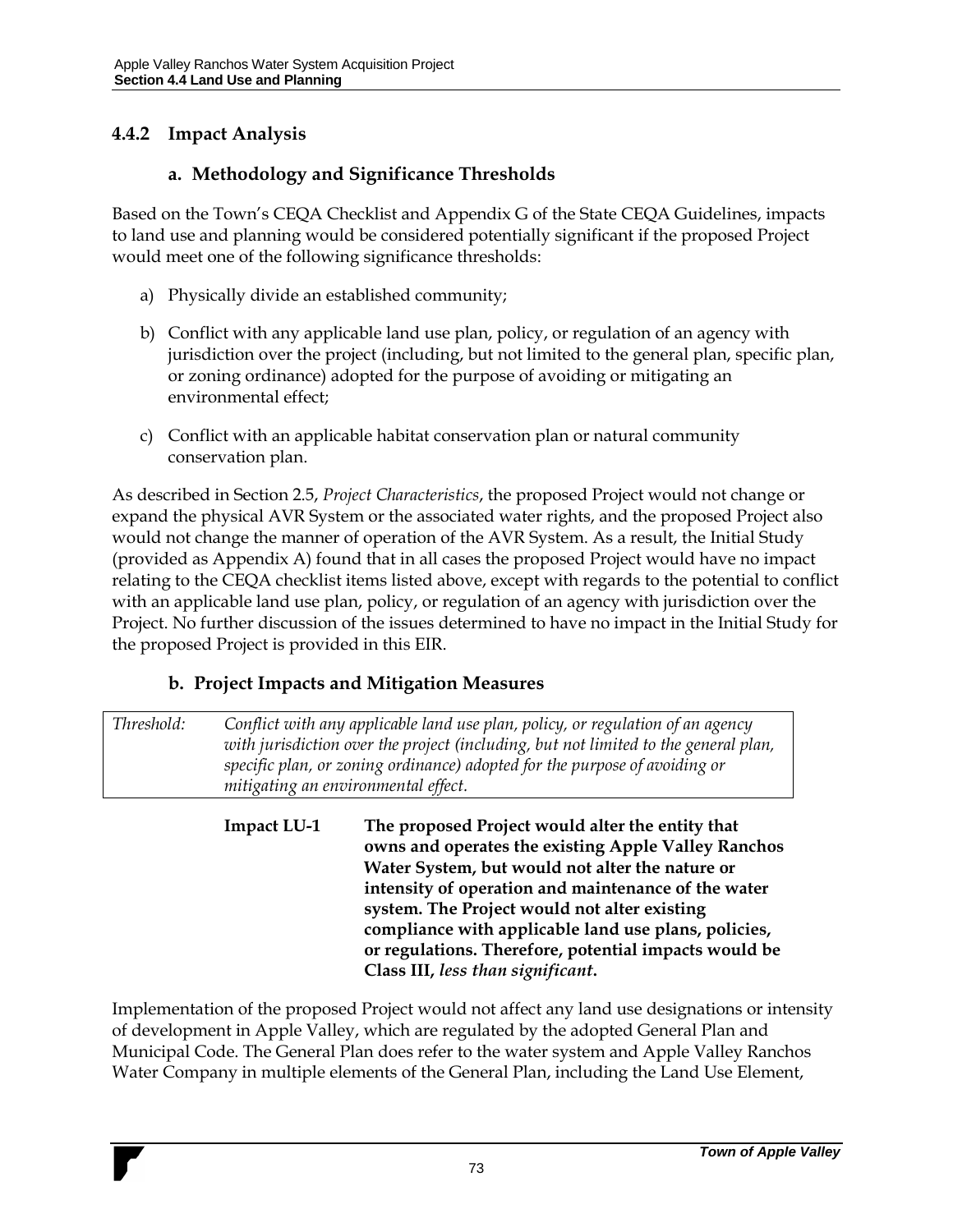## **4.4.2 Impact Analysis**

#### **a. Methodology and Significance Thresholds**

Based on the Town's CEQA Checklist and Appendix G of the State CEQA Guidelines, impacts to land use and planning would be considered potentially significant if the proposed Project would meet one of the following significance thresholds:

- a) Physically divide an established community;
- b) Conflict with any applicable land use plan, policy, or regulation of an agency with jurisdiction over the project (including, but not limited to the general plan, specific plan, or zoning ordinance) adopted for the purpose of avoiding or mitigating an environmental effect;
- c) Conflict with an applicable habitat conservation plan or natural community conservation plan.

As described in Section 2.5, *Project Characteristics*, the proposed Project would not change or expand the physical AVR System or the associated water rights, and the proposed Project also would not change the manner of operation of the AVR System. As a result, the Initial Study (provided as Appendix A) found that in all cases the proposed Project would have no impact relating to the CEQA checklist items listed above, except with regards to the potential to conflict with an applicable land use plan, policy, or regulation of an agency with jurisdiction over the Project. No further discussion of the issues determined to have no impact in the Initial Study for the proposed Project is provided in this EIR.

### **b. Project Impacts and Mitigation Measures**

*Threshold: Conflict with any applicable land use plan, policy, or regulation of an agency with jurisdiction over the project (including, but not limited to the general plan, specific plan, or zoning ordinance) adopted for the purpose of avoiding or mitigating an environmental effect.*

> **Impact LU-1 The proposed Project would alter the entity that owns and operates the existing Apple Valley Ranchos Water System, but would not alter the nature or intensity of operation and maintenance of the water system. The Project would not alter existing compliance with applicable land use plans, policies, or regulations. Therefore, potential impacts would be Class III,** *less than significant***.**

Implementation of the proposed Project would not affect any land use designations or intensity of development in Apple Valley, which are regulated by the adopted General Plan and Municipal Code. The General Plan does refer to the water system and Apple Valley Ranchos Water Company in multiple elements of the General Plan, including the Land Use Element,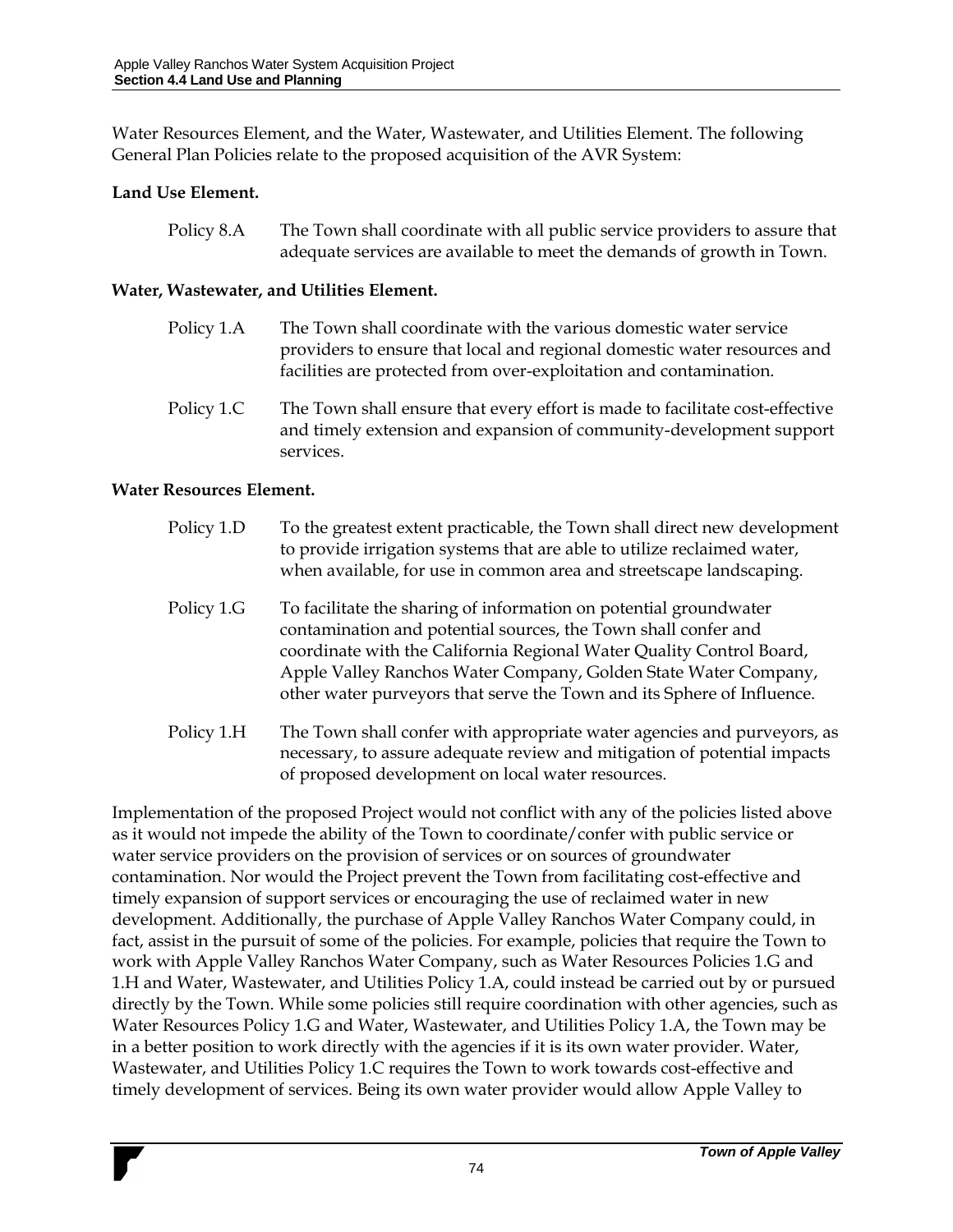Water Resources Element, and the Water, Wastewater, and Utilities Element. The following General Plan Policies relate to the proposed acquisition of the AVR System:

#### **Land Use Element.**

| Policy 8.A | The Town shall coordinate with all public service providers to assure that |
|------------|----------------------------------------------------------------------------|
|            | adequate services are available to meet the demands of growth in Town.     |

#### **Water, Wastewater, and Utilities Element.**

- Policy 1.A The Town shall coordinate with the various domestic water service providers to ensure that local and regional domestic water resources and facilities are protected from over-exploitation and contamination.
- Policy 1.C The Town shall ensure that every effort is made to facilitate cost-effective and timely extension and expansion of community-development support services.

#### **Water Resources Element.**

- Policy 1.D To the greatest extent practicable, the Town shall direct new development to provide irrigation systems that are able to utilize reclaimed water, when available, for use in common area and streetscape landscaping.
- Policy 1.G To facilitate the sharing of information on potential groundwater contamination and potential sources, the Town shall confer and coordinate with the California Regional Water Quality Control Board, Apple Valley Ranchos Water Company, Golden State Water Company, other water purveyors that serve the Town and its Sphere of Influence.
- Policy 1.H The Town shall confer with appropriate water agencies and purveyors, as necessary, to assure adequate review and mitigation of potential impacts of proposed development on local water resources.

Implementation of the proposed Project would not conflict with any of the policies listed above as it would not impede the ability of the Town to coordinate/confer with public service or water service providers on the provision of services or on sources of groundwater contamination. Nor would the Project prevent the Town from facilitating cost-effective and timely expansion of support services or encouraging the use of reclaimed water in new development. Additionally, the purchase of Apple Valley Ranchos Water Company could, in fact, assist in the pursuit of some of the policies. For example, policies that require the Town to work with Apple Valley Ranchos Water Company, such as Water Resources Policies 1.G and 1.H and Water, Wastewater, and Utilities Policy 1.A, could instead be carried out by or pursued directly by the Town. While some policies still require coordination with other agencies, such as Water Resources Policy 1.G and Water, Wastewater, and Utilities Policy 1.A, the Town may be in a better position to work directly with the agencies if it is its own water provider. Water, Wastewater, and Utilities Policy 1.C requires the Town to work towards cost-effective and timely development of services. Being its own water provider would allow Apple Valley to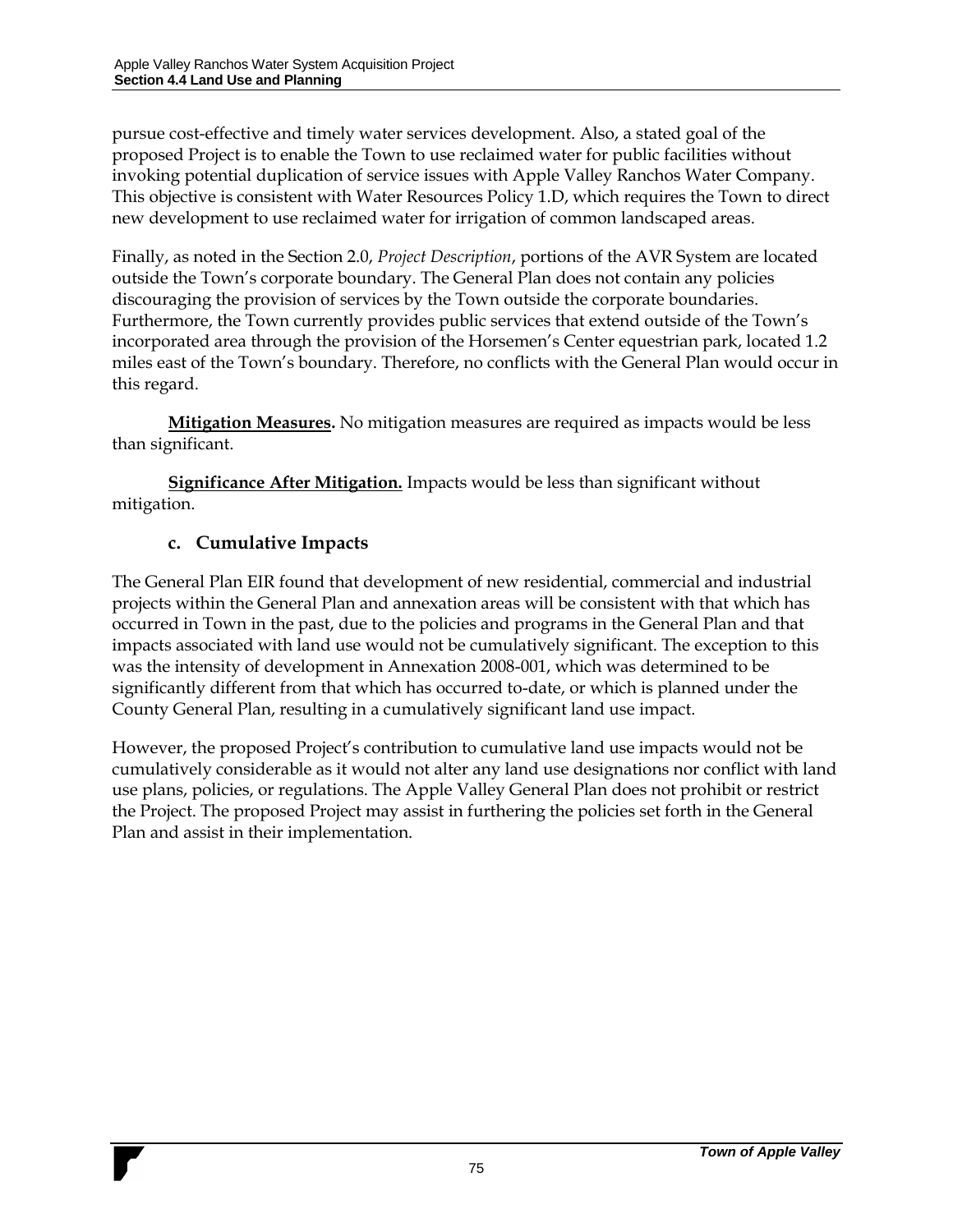pursue cost-effective and timely water services development. Also, a stated goal of the proposed Project is to enable the Town to use reclaimed water for public facilities without invoking potential duplication of service issues with Apple Valley Ranchos Water Company. This objective is consistent with Water Resources Policy 1.D, which requires the Town to direct new development to use reclaimed water for irrigation of common landscaped areas.

Finally, as noted in the Section 2.0, *Project Description*, portions of the AVR System are located outside the Town's corporate boundary. The General Plan does not contain any policies discouraging the provision of services by the Town outside the corporate boundaries. Furthermore, the Town currently provides public services that extend outside of the Town's incorporated area through the provision of the Horsemen's Center equestrian park, located 1.2 miles east of the Town's boundary. Therefore, no conflicts with the General Plan would occur in this regard.

**Mitigation Measures.** No mitigation measures are required as impacts would be less than significant.

**Significance After Mitigation.** Impacts would be less than significant without mitigation.

#### **c. Cumulative Impacts**

The General Plan EIR found that development of new residential, commercial and industrial projects within the General Plan and annexation areas will be consistent with that which has occurred in Town in the past, due to the policies and programs in the General Plan and that impacts associated with land use would not be cumulatively significant. The exception to this was the intensity of development in Annexation 2008-001, which was determined to be significantly different from that which has occurred to-date, or which is planned under the County General Plan, resulting in a cumulatively significant land use impact.

However, the proposed Project's contribution to cumulative land use impacts would not be cumulatively considerable as it would not alter any land use designations nor conflict with land use plans, policies, or regulations. The Apple Valley General Plan does not prohibit or restrict the Project. The proposed Project may assist in furthering the policies set forth in the General Plan and assist in their implementation.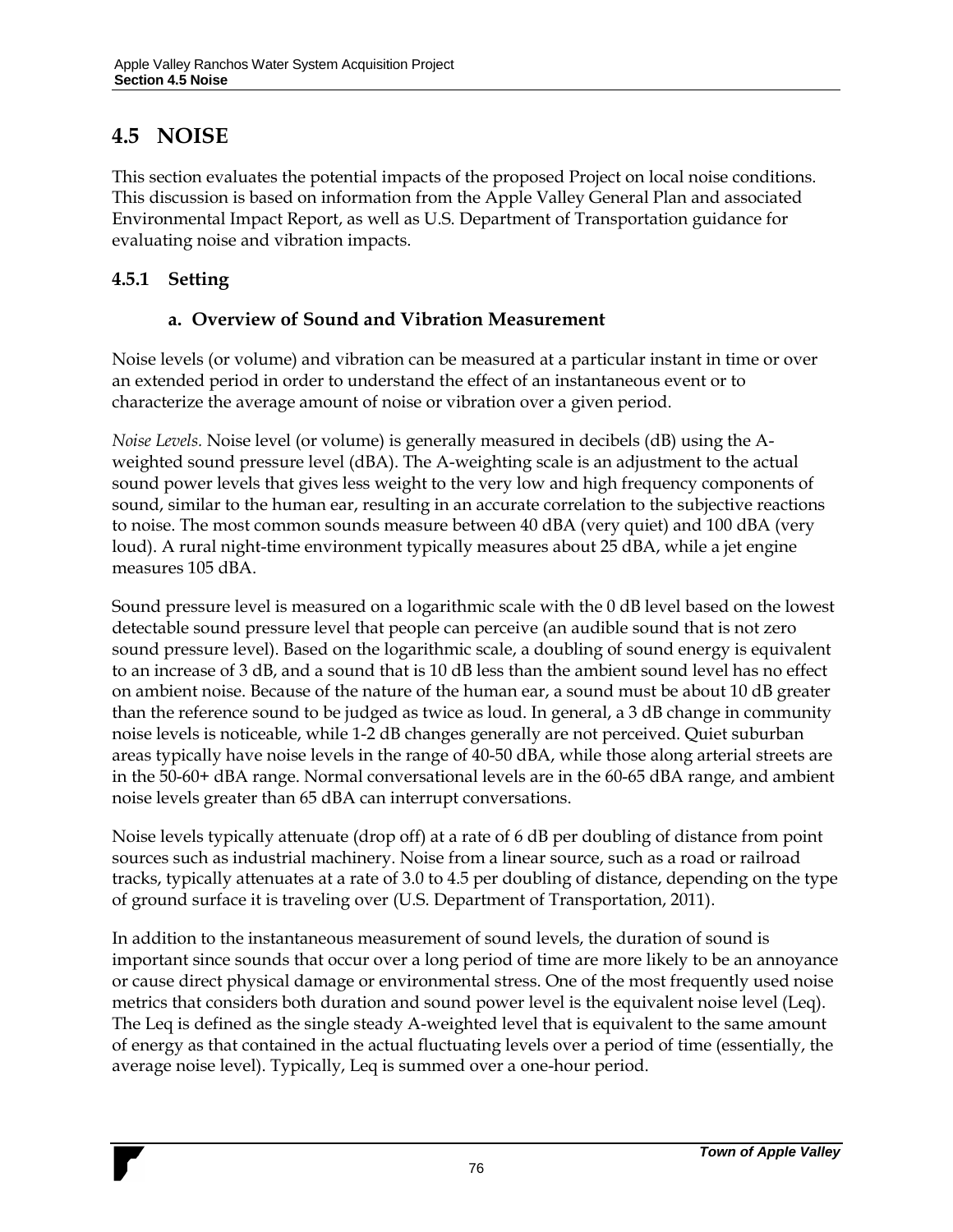## **4.5 NOISE**

This section evaluates the potential impacts of the proposed Project on local noise conditions. This discussion is based on information from the Apple Valley General Plan and associated Environmental Impact Report, as well as U.S. Department of Transportation guidance for evaluating noise and vibration impacts.

### **4.5.1 Setting**

#### **a. Overview of Sound and Vibration Measurement**

Noise levels (or volume) and vibration can be measured at a particular instant in time or over an extended period in order to understand the effect of an instantaneous event or to characterize the average amount of noise or vibration over a given period.

*Noise Levels.* Noise level (or volume) is generally measured in decibels (dB) using the Aweighted sound pressure level (dBA). The A-weighting scale is an adjustment to the actual sound power levels that gives less weight to the very low and high frequency components of sound, similar to the human ear, resulting in an accurate correlation to the subjective reactions to noise. The most common sounds measure between 40 dBA (very quiet) and 100 dBA (very loud). A rural night-time environment typically measures about 25 dBA, while a jet engine measures 105 dBA.

Sound pressure level is measured on a logarithmic scale with the 0 dB level based on the lowest detectable sound pressure level that people can perceive (an audible sound that is not zero sound pressure level). Based on the logarithmic scale, a doubling of sound energy is equivalent to an increase of 3 dB, and a sound that is 10 dB less than the ambient sound level has no effect on ambient noise. Because of the nature of the human ear, a sound must be about 10 dB greater than the reference sound to be judged as twice as loud. In general, a 3 dB change in community noise levels is noticeable, while 1-2 dB changes generally are not perceived. Quiet suburban areas typically have noise levels in the range of 40-50 dBA, while those along arterial streets are in the 50-60+ dBA range. Normal conversational levels are in the 60-65 dBA range, and ambient noise levels greater than 65 dBA can interrupt conversations.

Noise levels typically attenuate (drop off) at a rate of 6 dB per doubling of distance from point sources such as industrial machinery. Noise from a linear source, such as a road or railroad tracks, typically attenuates at a rate of 3.0 to 4.5 per doubling of distance, depending on the type of ground surface it is traveling over (U.S. Department of Transportation, 2011).

In addition to the instantaneous measurement of sound levels, the duration of sound is important since sounds that occur over a long period of time are more likely to be an annoyance or cause direct physical damage or environmental stress. One of the most frequently used noise metrics that considers both duration and sound power level is the equivalent noise level (Leq). The Leq is defined as the single steady A-weighted level that is equivalent to the same amount of energy as that contained in the actual fluctuating levels over a period of time (essentially, the average noise level). Typically, Leq is summed over a one-hour period.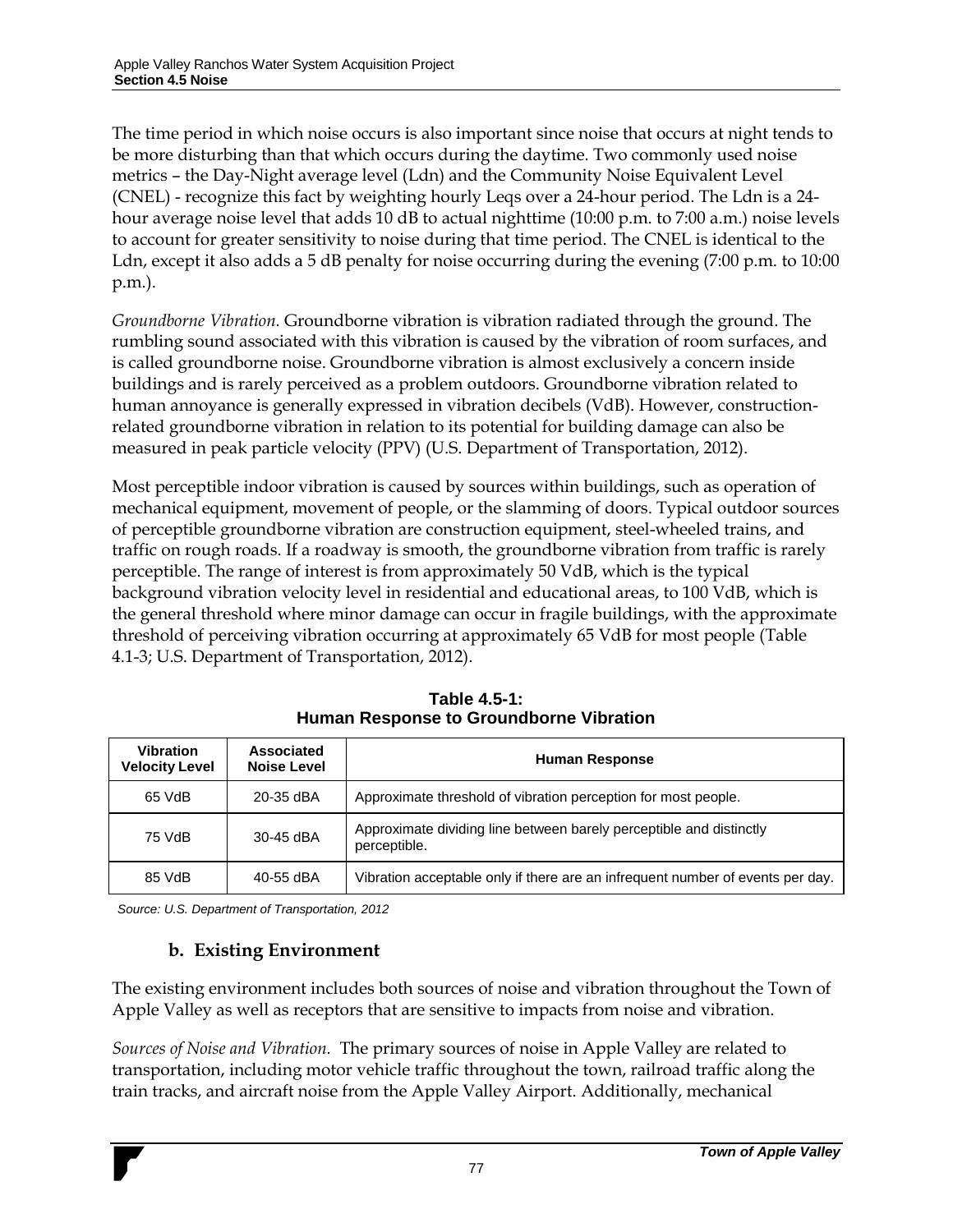The time period in which noise occurs is also important since noise that occurs at night tends to be more disturbing than that which occurs during the daytime. Two commonly used noise metrics – the Day-Night average level (Ldn) and the Community Noise Equivalent Level (CNEL) - recognize this fact by weighting hourly Leqs over a 24-hour period. The Ldn is a 24 hour average noise level that adds 10 dB to actual nighttime (10:00 p.m. to 7:00 a.m.) noise levels to account for greater sensitivity to noise during that time period. The CNEL is identical to the Ldn, except it also adds a 5 dB penalty for noise occurring during the evening (7:00 p.m. to 10:00 p.m.).

*Groundborne Vibration.* Groundborne vibration is vibration radiated through the ground. The rumbling sound associated with this vibration is caused by the vibration of room surfaces, and is called groundborne noise. Groundborne vibration is almost exclusively a concern inside buildings and is rarely perceived as a problem outdoors. Groundborne vibration related to human annoyance is generally expressed in vibration decibels (VdB). However, constructionrelated groundborne vibration in relation to its potential for building damage can also be measured in peak particle velocity (PPV) (U.S. Department of Transportation, 2012).

Most perceptible indoor vibration is caused by sources within buildings, such as operation of mechanical equipment, movement of people, or the slamming of doors. Typical outdoor sources of perceptible groundborne vibration are construction equipment, steel-wheeled trains, and traffic on rough roads. If a roadway is smooth, the groundborne vibration from traffic is rarely perceptible. The range of interest is from approximately 50 VdB, which is the typical background vibration velocity level in residential and educational areas, to 100 VdB, which is the general threshold where minor damage can occur in fragile buildings, with the approximate threshold of perceiving vibration occurring at approximately 65 VdB for most people [\(Table](#page-11-0)  [4.1-3;](#page-11-0) U.S. Department of Transportation, 2012).

| <b>Vibration</b><br><b>Velocity Level</b> | Associated<br><b>Noise Level</b> | <b>Human Response</b>                                                               |  |  |
|-------------------------------------------|----------------------------------|-------------------------------------------------------------------------------------|--|--|
| 65 VdB                                    | 20-35 dBA                        | Approximate threshold of vibration perception for most people.                      |  |  |
| 75 VdB                                    | 30-45 dBA                        | Approximate dividing line between barely perceptible and distinctly<br>perceptible. |  |  |
| 85 VdB                                    | 40-55 dBA                        | Vibration acceptable only if there are an infrequent number of events per day.      |  |  |

**Table 4.5-1: Human Response to Groundborne Vibration**

*Source: U.S. Department of Transportation, 2012*

#### **b. Existing Environment**

The existing environment includes both sources of noise and vibration throughout the Town of Apple Valley as well as receptors that are sensitive to impacts from noise and vibration.

*Sources of Noise and Vibration.* The primary sources of noise in Apple Valley are related to transportation, including motor vehicle traffic throughout the town, railroad traffic along the train tracks, and aircraft noise from the Apple Valley Airport. Additionally, mechanical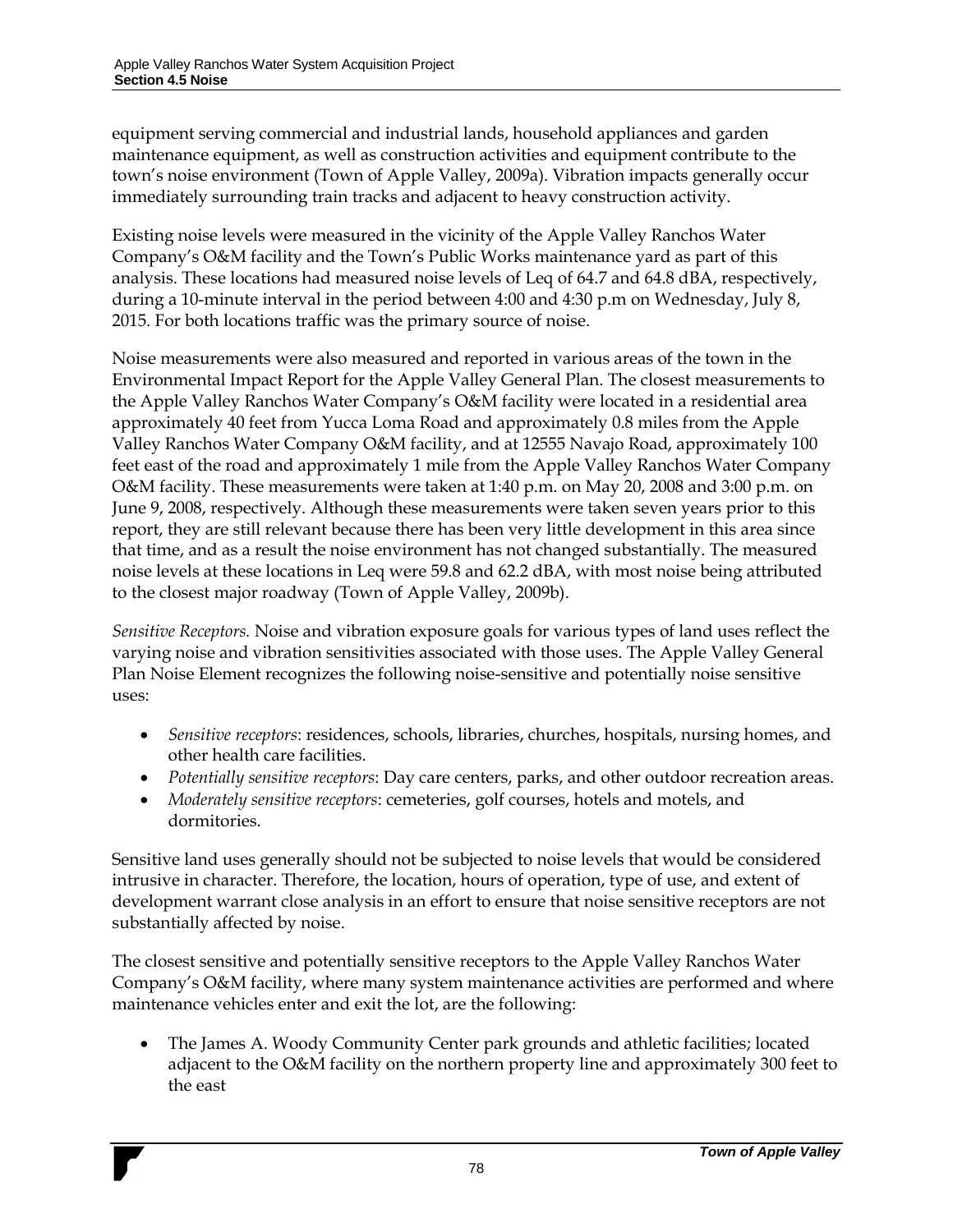equipment serving commercial and industrial lands, household appliances and garden maintenance equipment, as well as construction activities and equipment contribute to the town's noise environment (Town of Apple Valley, 2009a). Vibration impacts generally occur immediately surrounding train tracks and adjacent to heavy construction activity.

Existing noise levels were measured in the vicinity of the Apple Valley Ranchos Water Company's O&M facility and the Town's Public Works maintenance yard as part of this analysis. These locations had measured noise levels of Leq of 64.7 and 64.8 dBA, respectively, during a 10-minute interval in the period between 4:00 and 4:30 p.m on Wednesday, July 8, 2015. For both locations traffic was the primary source of noise.

Noise measurements were also measured and reported in various areas of the town in the Environmental Impact Report for the Apple Valley General Plan. The closest measurements to the Apple Valley Ranchos Water Company's O&M facility were located in a residential area approximately 40 feet from Yucca Loma Road and approximately 0.8 miles from the Apple Valley Ranchos Water Company O&M facility, and at 12555 Navajo Road, approximately 100 feet east of the road and approximately 1 mile from the Apple Valley Ranchos Water Company O&M facility. These measurements were taken at 1:40 p.m. on May 20, 2008 and 3:00 p.m. on June 9, 2008, respectively. Although these measurements were taken seven years prior to this report, they are still relevant because there has been very little development in this area since that time, and as a result the noise environment has not changed substantially. The measured noise levels at these locations in Leq were 59.8 and 62.2 dBA, with most noise being attributed to the closest major roadway (Town of Apple Valley, 2009b).

*Sensitive Receptors.* Noise and vibration exposure goals for various types of land uses reflect the varying noise and vibration sensitivities associated with those uses. The Apple Valley General Plan Noise Element recognizes the following noise-sensitive and potentially noise sensitive uses:

- *Sensitive receptors*: residences, schools, libraries, churches, hospitals, nursing homes, and other health care facilities.
- *Potentially sensitive receptors*: Day care centers, parks, and other outdoor recreation areas.
- *Moderately sensitive receptors*: cemeteries, golf courses, hotels and motels, and dormitories.

Sensitive land uses generally should not be subjected to noise levels that would be considered intrusive in character. Therefore, the location, hours of operation, type of use, and extent of development warrant close analysis in an effort to ensure that noise sensitive receptors are not substantially affected by noise.

The closest sensitive and potentially sensitive receptors to the Apple Valley Ranchos Water Company's O&M facility, where many system maintenance activities are performed and where maintenance vehicles enter and exit the lot, are the following:

 The James A. Woody Community Center park grounds and athletic facilities; located adjacent to the O&M facility on the northern property line and approximately 300 feet to the east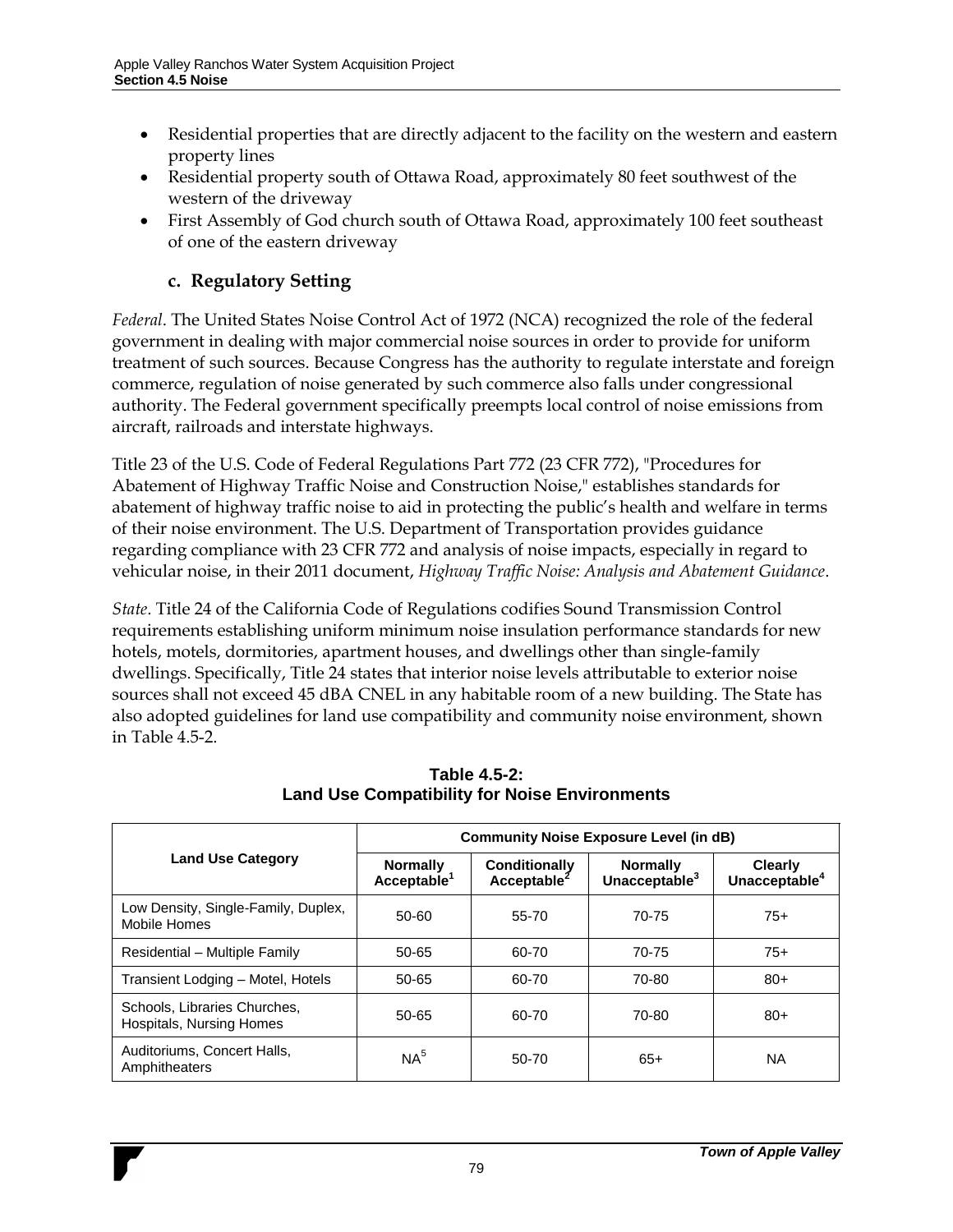- Residential properties that are directly adjacent to the facility on the western and eastern property lines
- Residential property south of Ottawa Road, approximately 80 feet southwest of the western of the driveway
- First Assembly of God church south of Ottawa Road, approximately 100 feet southeast of one of the eastern driveway

### **c. Regulatory Setting**

*Federal*. The United States Noise Control Act of 1972 (NCA) recognized the role of the federal government in dealing with major commercial noise sources in order to provide for uniform treatment of such sources. Because Congress has the authority to regulate interstate and foreign commerce, regulation of noise generated by such commerce also falls under congressional authority. The Federal government specifically preempts local control of noise emissions from aircraft, railroads and interstate highways.

Title 23 of the U.S. Code of Federal Regulations Part 772 (23 CFR 772), "Procedures for Abatement of Highway Traffic Noise and Construction Noise," establishes standards for abatement of highway traffic noise to aid in protecting the public's health and welfare in terms of their noise environment. The U.S. Department of Transportation provides guidance regarding compliance with 23 CFR 772 and analysis of noise impacts, especially in regard to vehicular noise, in their 2011 document, *Highway Traffic Noise: Analysis and Abatement Guidance*.

*State*. Title 24 of the California Code of Regulations codifies Sound Transmission Control requirements establishing uniform minimum noise insulation performance standards for new hotels, motels, dormitories, apartment houses, and dwellings other than single-family dwellings. Specifically, Title 24 states that interior noise levels attributable to exterior noise sources shall not exceed 45 dBA CNEL in any habitable room of a new building. The State has also adopted guidelines for land use compatibility and community noise environment, shown in [Table 4.5-2.](#page-41-0)

<span id="page-41-0"></span>

|                                                          | <b>Community Noise Exposure Level (in dB)</b> |                                                 |                                              |                                             |  |
|----------------------------------------------------------|-----------------------------------------------|-------------------------------------------------|----------------------------------------------|---------------------------------------------|--|
| <b>Land Use Category</b>                                 | <b>Normally</b><br>Acceptable <sup>1</sup>    | <b>Conditionally</b><br>Acceptable <sup>2</sup> | <b>Normally</b><br>Unacceptable <sup>3</sup> | <b>Clearly</b><br>Unacceptable <sup>4</sup> |  |
| Low Density, Single-Family, Duplex,<br>Mobile Homes      | 50-60                                         | 55-70                                           | 70-75                                        | $75+$                                       |  |
| Residential - Multiple Family                            | 50-65                                         | 60-70                                           | 70-75                                        | $75+$                                       |  |
| Transient Lodging - Motel, Hotels                        | 50-65                                         | 60-70                                           | 70-80                                        | $80+$                                       |  |
| Schools, Libraries Churches,<br>Hospitals, Nursing Homes | 50-65                                         | 60-70                                           | 70-80                                        | $80+$                                       |  |
| Auditoriums, Concert Halls,<br>Amphitheaters             | NA <sup>5</sup>                               | 50-70                                           | $65+$                                        | <b>NA</b>                                   |  |

**Table 4.5-2: Land Use Compatibility for Noise Environments**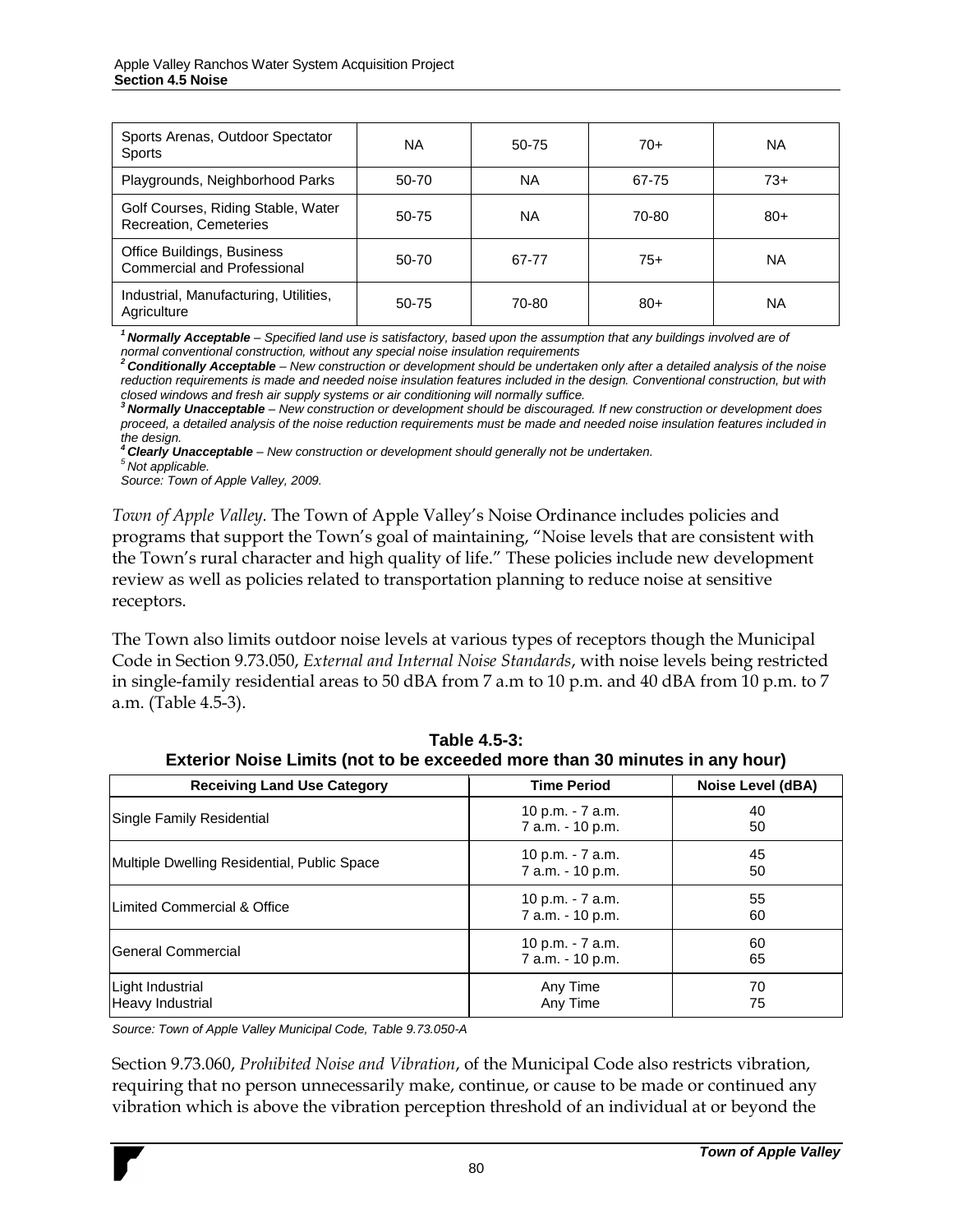| Sports Arenas, Outdoor Spectator<br><b>Sports</b>                | <b>NA</b> | 50-75     | $70+$ | <b>NA</b> |
|------------------------------------------------------------------|-----------|-----------|-------|-----------|
| Playgrounds, Neighborhood Parks                                  | 50-70     | <b>NA</b> | 67-75 | $73+$     |
| Golf Courses, Riding Stable, Water<br>Recreation, Cemeteries     | 50-75     | ΝA        | 70-80 | $80+$     |
| Office Buildings, Business<br><b>Commercial and Professional</b> | 50-70     | 67-77     | $75+$ | <b>NA</b> |
| Industrial, Manufacturing, Utilities,<br>Agriculture             | 50-75     | 70-80     | $80+$ | ΝA        |

*<sup>1</sup>Normally Acceptable – Specified land use is satisfactory, based upon the assumption that any buildings involved are of* 

normal conventional construction, without any special noise insulation requirements<br><sup>2</sup> **Conditionally Acceptable** – New construction or development should be undertaken only after a detailed analysis of the noise *reduction requirements is made and needed noise insulation features included in the design. Conventional construction, but with* 

closed windows and fresh air supply systems or air conditioning will normally suffice.<br><sup>3</sup> **Normally Unacceptable** – New construction or development should be discouraged. If new construction or development does *proceed, a detailed analysis of the noise reduction requirements must be made and needed noise insulation features included in the design.* 

*<sup>4</sup>Clearly Unacceptable – New construction or development should generally not be undertaken.*

*<sup>5</sup>Not applicable.*

*Source: Town of Apple Valley, 2009.*

*Town of Apple Valley.* The Town of Apple Valley's Noise Ordinance includes policies and programs that support the Town's goal of maintaining, "Noise levels that are consistent with the Town's rural character and high quality of life." These policies include new development review as well as policies related to transportation planning to reduce noise at sensitive receptors.

The Town also limits outdoor noise levels at various types of receptors though the Municipal Code in Section 9.73.050, *External and Internal Noise Standards*, with noise levels being restricted in single-family residential areas to 50 dBA from 7 a.m to 10 p.m. and 40 dBA from 10 p.m. to 7 a.m. [\(Table 4.5-3\)](#page-42-0).

<span id="page-42-0"></span>

| <b>Receiving Land Use Category</b>          | <b>Time Period</b>                   | Noise Level (dBA) |  |
|---------------------------------------------|--------------------------------------|-------------------|--|
| Single Family Residential                   | 10 p.m. - 7 a.m.<br>7 a.m. - 10 p.m. | 40<br>50          |  |
| Multiple Dwelling Residential, Public Space | 10 p.m. - 7 a.m.<br>7 a.m. - 10 p.m. | 45<br>50          |  |
| Limited Commercial & Office                 | 10 p.m. - 7 a.m.<br>7 a.m. - 10 p.m. | 55<br>60          |  |
| <b>General Commercial</b>                   | 10 p.m. - 7 a.m.<br>7 a.m. - 10 p.m. | 60<br>65          |  |
| Light Industrial<br>Heavy Industrial        | Any Time<br>Any Time                 | 70<br>75          |  |

| Table 4.5-3:                                                                |  |
|-----------------------------------------------------------------------------|--|
| Exterior Noise Limits (not to be exceeded more than 30 minutes in any hour) |  |

*Source: Town of Apple Valley Municipal Code, Table 9.73.050-A*

Section 9.73.060, *Prohibited Noise and Vibration*, of the Municipal Code also restricts vibration, requiring that no person unnecessarily make, continue, or cause to be made or continued any vibration which is above the vibration perception threshold of an individual at or beyond the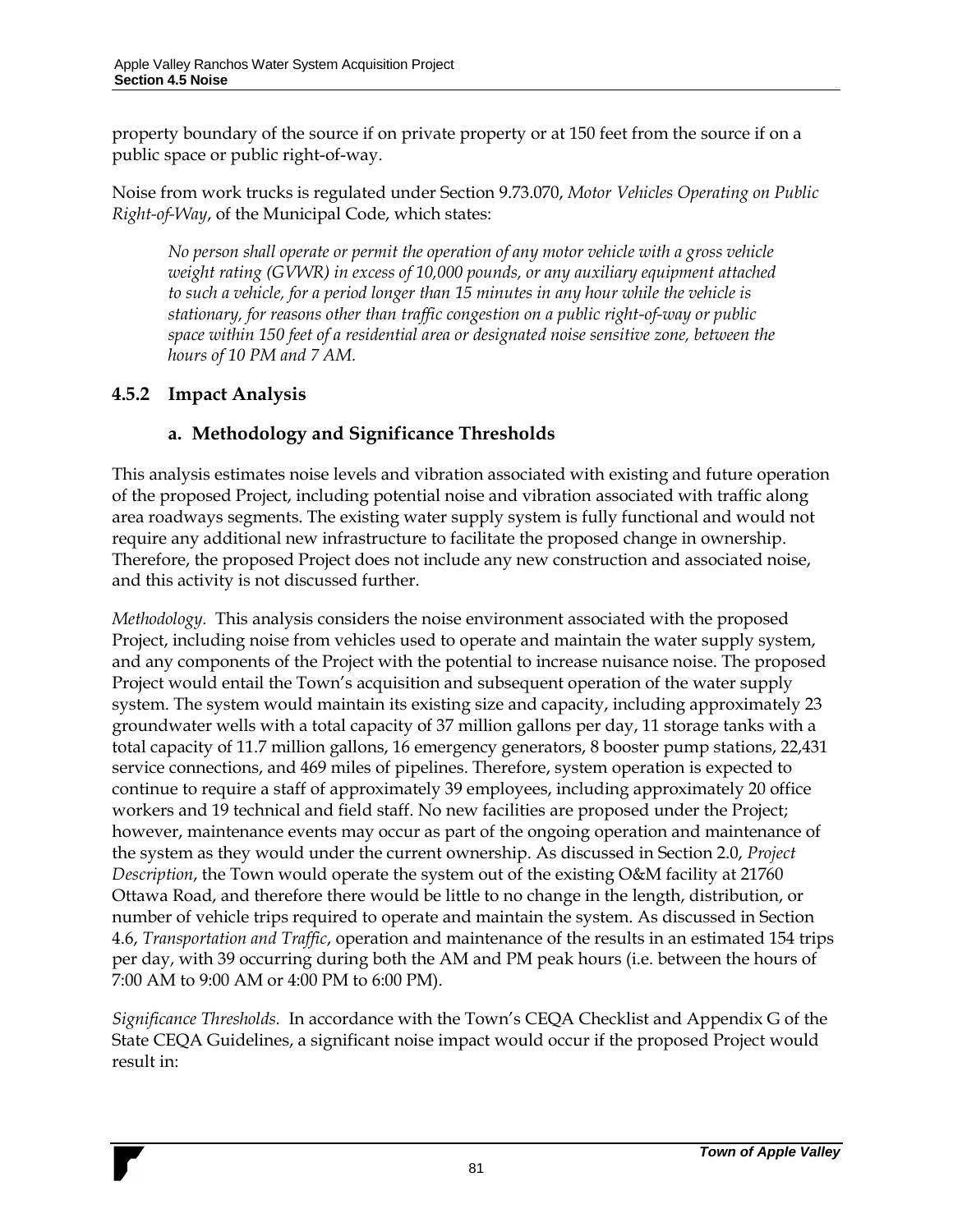property boundary of the source if on private property or at 150 feet from the source if on a public space or public right-of-way.

Noise from work trucks is regulated under Section 9.73.070, *Motor Vehicles Operating on Public Right-of-Way*, of the Municipal Code, which states:

*No person shall operate or permit the operation of any motor vehicle with a gross vehicle weight rating (GVWR) in excess of 10,000 pounds, or any auxiliary equipment attached to such a vehicle, for a period longer than 15 minutes in any hour while the vehicle is stationary, for reasons other than traffic congestion on a public right-of-way or public space within 150 feet of a residential area or designated noise sensitive zone, between the hours of 10 PM and 7 AM.*

### **4.5.2 Impact Analysis**

### **a. Methodology and Significance Thresholds**

This analysis estimates noise levels and vibration associated with existing and future operation of the proposed Project, including potential noise and vibration associated with traffic along area roadways segments. The existing water supply system is fully functional and would not require any additional new infrastructure to facilitate the proposed change in ownership. Therefore, the proposed Project does not include any new construction and associated noise, and this activity is not discussed further.

*Methodology.* This analysis considers the noise environment associated with the proposed Project, including noise from vehicles used to operate and maintain the water supply system, and any components of the Project with the potential to increase nuisance noise. The proposed Project would entail the Town's acquisition and subsequent operation of the water supply system. The system would maintain its existing size and capacity, including approximately 23 groundwater wells with a total capacity of 37 million gallons per day, 11 storage tanks with a total capacity of 11.7 million gallons, 16 emergency generators, 8 booster pump stations, 22,431 service connections, and 469 miles of pipelines. Therefore, system operation is expected to continue to require a staff of approximately 39 employees, including approximately 20 office workers and 19 technical and field staff. No new facilities are proposed under the Project; however, maintenance events may occur as part of the ongoing operation and maintenance of the system as they would under the current ownership. As discussed in Section 2.0, *Project Description*, the Town would operate the system out of the existing O&M facility at 21760 Ottawa Road, and therefore there would be little to no change in the length, distribution, or number of vehicle trips required to operate and maintain the system. As discussed in Section 4.6, *Transportation and Traffic*, operation and maintenance of the results in an estimated 154 trips per day, with 39 occurring during both the AM and PM peak hours (i.e. between the hours of 7:00 AM to 9:00 AM or 4:00 PM to 6:00 PM).

*Significance Thresholds.* In accordance with the Town's CEQA Checklist and Appendix G of the State CEQA Guidelines, a significant noise impact would occur if the proposed Project would result in: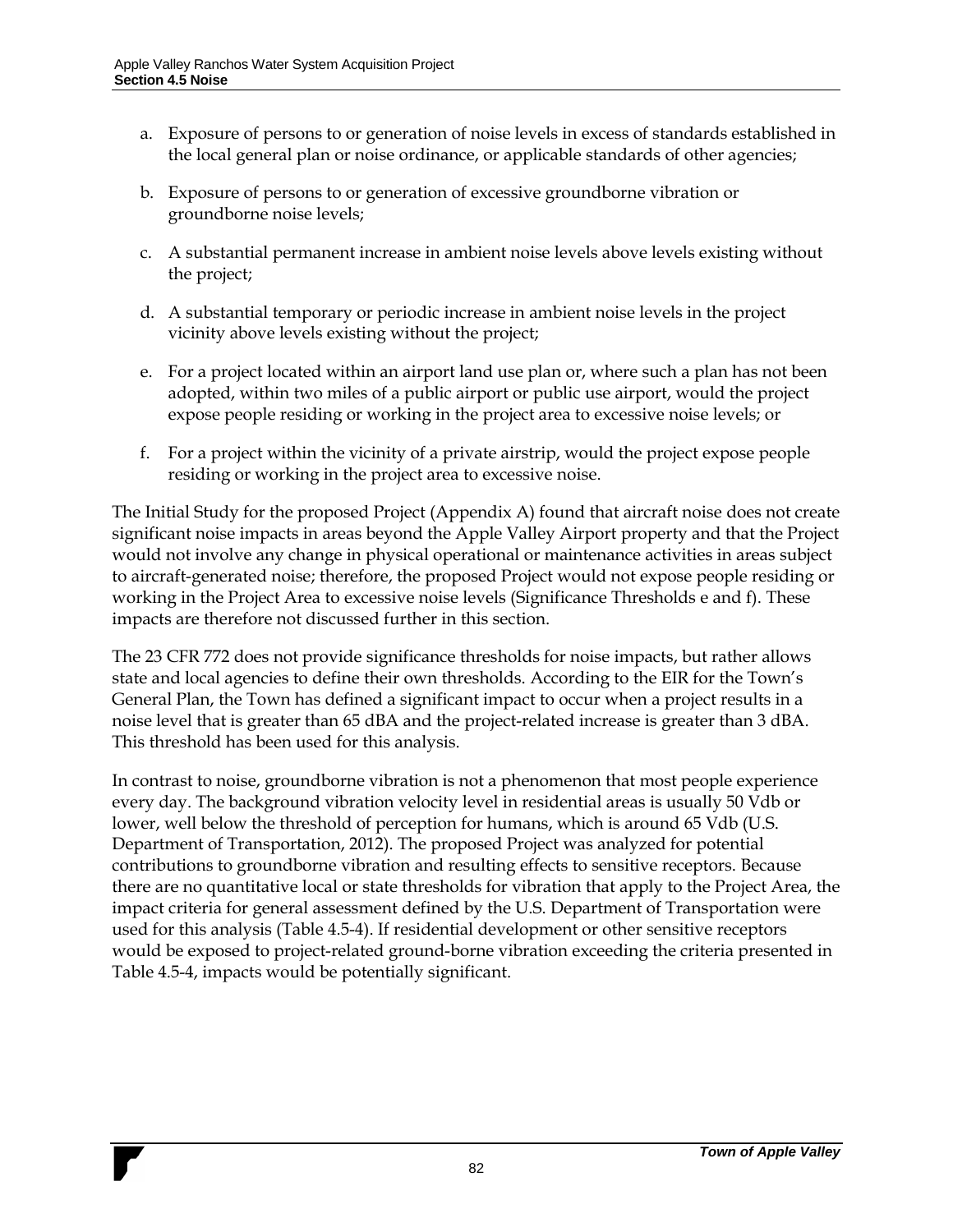- a. Exposure of persons to or generation of noise levels in excess of standards established in the local general plan or noise ordinance, or applicable standards of other agencies;
- b. Exposure of persons to or generation of excessive groundborne vibration or groundborne noise levels;
- c. A substantial permanent increase in ambient noise levels above levels existing without the project;
- d. A substantial temporary or periodic increase in ambient noise levels in the project vicinity above levels existing without the project;
- e. For a project located within an airport land use plan or, where such a plan has not been adopted, within two miles of a public airport or public use airport, would the project expose people residing or working in the project area to excessive noise levels; or
- f. For a project within the vicinity of a private airstrip, would the project expose people residing or working in the project area to excessive noise.

The Initial Study for the proposed Project (Appendix A) found that aircraft noise does not create significant noise impacts in areas beyond the Apple Valley Airport property and that the Project would not involve any change in physical operational or maintenance activities in areas subject to aircraft-generated noise; therefore, the proposed Project would not expose people residing or working in the Project Area to excessive noise levels (Significance Thresholds e and f). These impacts are therefore not discussed further in this section.

The 23 CFR 772 does not provide significance thresholds for noise impacts, but rather allows state and local agencies to define their own thresholds. According to the EIR for the Town's General Plan, the Town has defined a significant impact to occur when a project results in a noise level that is greater than 65 dBA and the project-related increase is greater than 3 dBA. This threshold has been used for this analysis.

In contrast to noise, groundborne vibration is not a phenomenon that most people experience every day. The background vibration velocity level in residential areas is usually 50 Vdb or lower, well below the threshold of perception for humans, which is around 65 Vdb (U.S. Department of Transportation, 2012). The proposed Project was analyzed for potential contributions to groundborne vibration and resulting effects to sensitive receptors. Because there are no quantitative local or state thresholds for vibration that apply to the Project Area, the impact criteria for general assessment defined by the U.S. Department of Transportation were used for this analysis [\(Table 4.5-4\)](#page-45-0). If residential development or other sensitive receptors would be exposed to project-related ground-borne vibration exceeding the criteria presented in [Table 4.5-4,](#page-45-0) impacts would be potentially significant.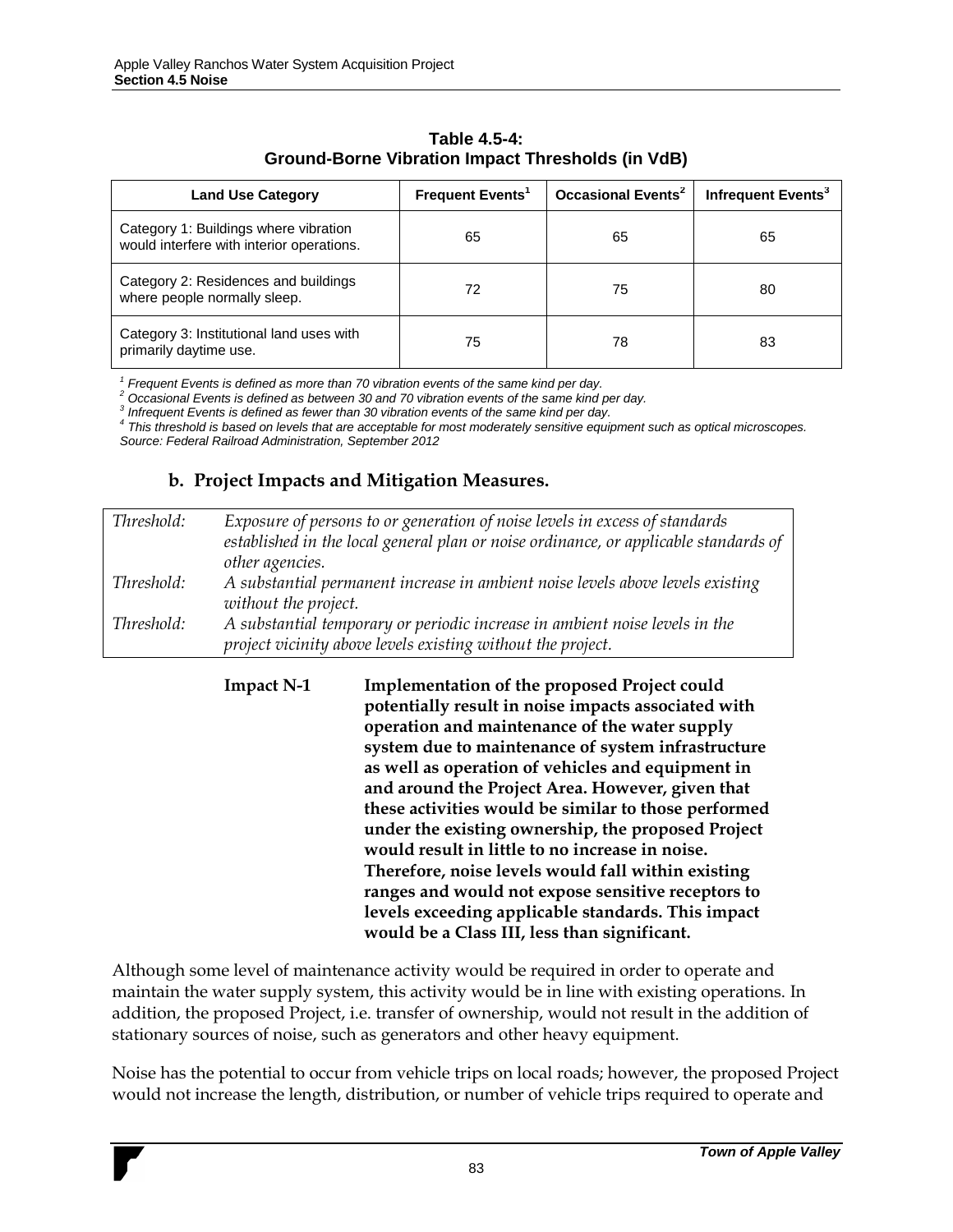<span id="page-45-0"></span>

| <b>Land Use Category</b>                                                           | <b>Frequent Events</b> | <b>Occasional Events<sup>2</sup></b> | Infrequent Events <sup>3</sup> |
|------------------------------------------------------------------------------------|------------------------|--------------------------------------|--------------------------------|
| Category 1: Buildings where vibration<br>would interfere with interior operations. | 65                     | 65                                   | 65                             |
| Category 2: Residences and buildings<br>where people normally sleep.               | 72                     | 75                                   | 80                             |
| Category 3: Institutional land uses with<br>primarily daytime use.                 | 75                     | 78                                   | 83                             |

#### **Table 4.5-4: Ground-Borne Vibration Impact Thresholds (in VdB)**

*1 Frequent Events is defined as more than 70 vibration events of the same kind per day.*

*<sup>2</sup> Occasional Events is defined as between 30 and 70 vibration events of the same kind per day.*

*3 Infrequent Events is defined as fewer than 30 vibration events of the same kind per day.*

*4 This threshold is based on levels that are acceptable for most moderately sensitive equipment such as optical microscopes. Source: Federal Railroad Administration, September 2012*

#### **b. Project Impacts and Mitigation Measures.**

| Threshold: | Exposure of persons to or generation of noise levels in excess of standards<br>established in the local general plan or noise ordinance, or applicable standards of |
|------------|---------------------------------------------------------------------------------------------------------------------------------------------------------------------|
|            | other agencies.                                                                                                                                                     |
| Threshold: | A substantial permanent increase in ambient noise levels above levels existing<br>without the project.                                                              |
| Threshold: | A substantial temporary or periodic increase in ambient noise levels in the<br>project vicinity above levels existing without the project.                          |

**Impact N-1 Implementation of the proposed Project could potentially result in noise impacts associated with operation and maintenance of the water supply system due to maintenance of system infrastructure as well as operation of vehicles and equipment in and around the Project Area. However, given that these activities would be similar to those performed under the existing ownership, the proposed Project would result in little to no increase in noise. Therefore, noise levels would fall within existing ranges and would not expose sensitive receptors to levels exceeding applicable standards. This impact would be a Class III, less than significant.**

Although some level of maintenance activity would be required in order to operate and maintain the water supply system, this activity would be in line with existing operations. In addition, the proposed Project, i.e. transfer of ownership, would not result in the addition of stationary sources of noise, such as generators and other heavy equipment.

Noise has the potential to occur from vehicle trips on local roads; however, the proposed Project would not increase the length, distribution, or number of vehicle trips required to operate and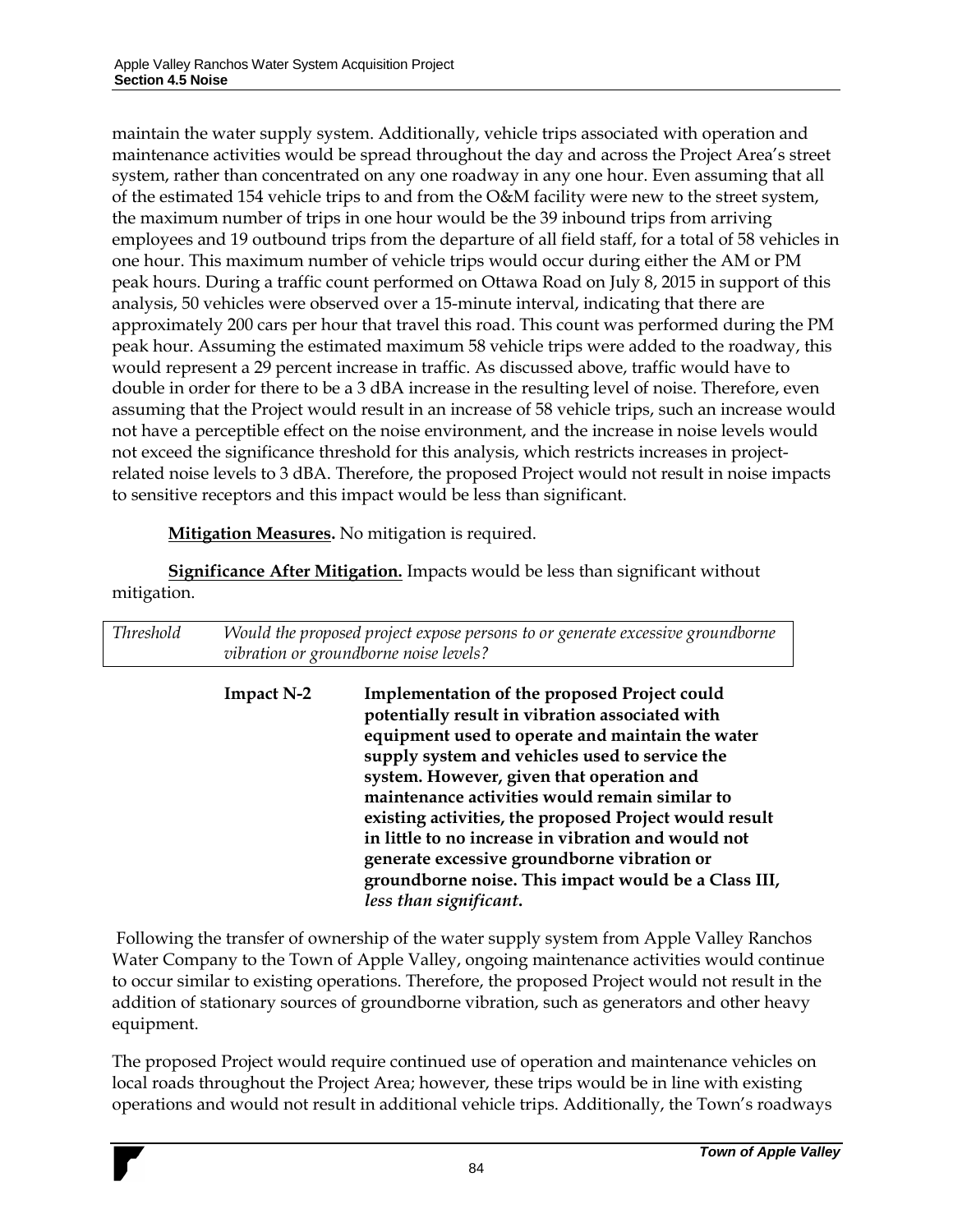maintain the water supply system. Additionally, vehicle trips associated with operation and maintenance activities would be spread throughout the day and across the Project Area's street system, rather than concentrated on any one roadway in any one hour. Even assuming that all of the estimated 154 vehicle trips to and from the O&M facility were new to the street system, the maximum number of trips in one hour would be the 39 inbound trips from arriving employees and 19 outbound trips from the departure of all field staff, for a total of 58 vehicles in one hour. This maximum number of vehicle trips would occur during either the AM or PM peak hours. During a traffic count performed on Ottawa Road on July 8, 2015 in support of this analysis, 50 vehicles were observed over a 15-minute interval, indicating that there are approximately 200 cars per hour that travel this road. This count was performed during the PM peak hour. Assuming the estimated maximum 58 vehicle trips were added to the roadway, this would represent a 29 percent increase in traffic. As discussed above, traffic would have to double in order for there to be a 3 dBA increase in the resulting level of noise. Therefore, even assuming that the Project would result in an increase of 58 vehicle trips, such an increase would not have a perceptible effect on the noise environment, and the increase in noise levels would not exceed the significance threshold for this analysis, which restricts increases in projectrelated noise levels to 3 dBA. Therefore, the proposed Project would not result in noise impacts to sensitive receptors and this impact would be less than significant.

**Mitigation Measures.** No mitigation is required.

**Significance After Mitigation.** Impacts would be less than significant without mitigation.

*Threshold Would the proposed project expose persons to or generate excessive groundborne vibration or groundborne noise levels?* **Impact N-2 Implementation of the proposed Project could** 

**potentially result in vibration associated with equipment used to operate and maintain the water supply system and vehicles used to service the system. However, given that operation and maintenance activities would remain similar to existing activities, the proposed Project would result in little to no increase in vibration and would not generate excessive groundborne vibration or groundborne noise. This impact would be a Class III,**  *less than significant***.**

Following the transfer of ownership of the water supply system from Apple Valley Ranchos Water Company to the Town of Apple Valley, ongoing maintenance activities would continue to occur similar to existing operations. Therefore, the proposed Project would not result in the addition of stationary sources of groundborne vibration, such as generators and other heavy equipment.

The proposed Project would require continued use of operation and maintenance vehicles on local roads throughout the Project Area; however, these trips would be in line with existing operations and would not result in additional vehicle trips. Additionally, the Town's roadways